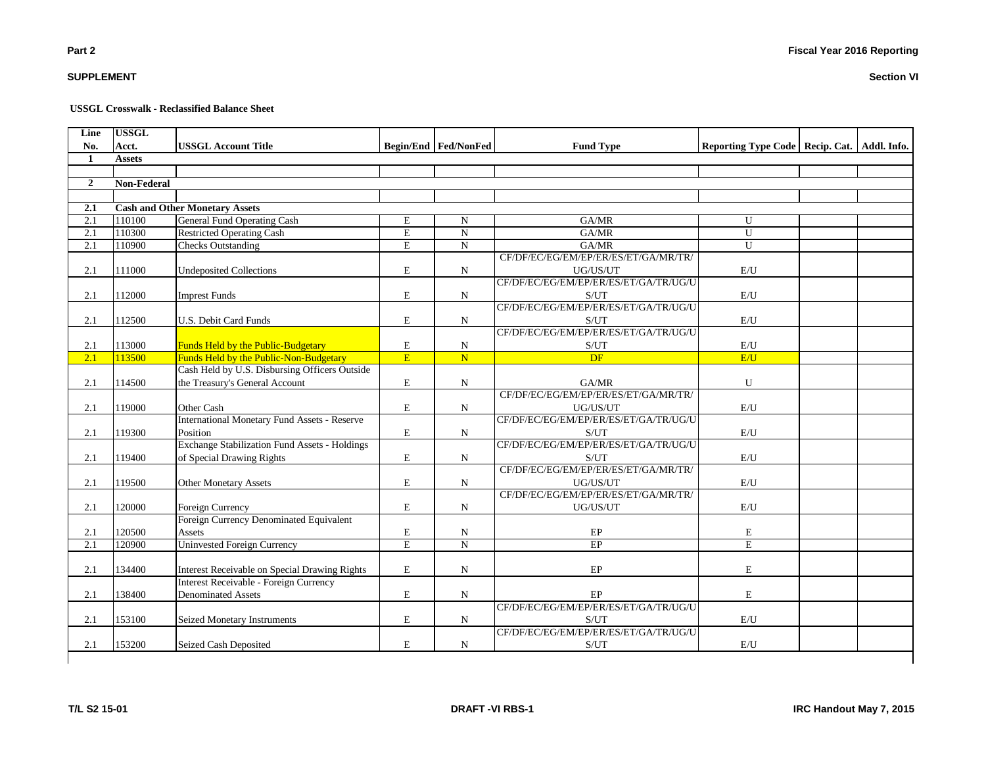# **SUPPLEMENT**

#### **USSGL Crosswalk - Reclassified Balance Sheet**

| Line<br>No.    | <b>USSGL</b><br>Acct. |                                                      |                |                               |                                       |                                                 |  |
|----------------|-----------------------|------------------------------------------------------|----------------|-------------------------------|---------------------------------------|-------------------------------------------------|--|
| 1              | <b>Assets</b>         | <b>USSGL Account Title</b>                           |                | <b>Begin/End   Fed/NonFed</b> | <b>Fund Type</b>                      | Reporting Type Code   Recip. Cat.   Addl. Info. |  |
|                |                       |                                                      |                |                               |                                       |                                                 |  |
| $\overline{2}$ | Non-Federal           |                                                      |                |                               |                                       |                                                 |  |
|                |                       |                                                      |                |                               |                                       |                                                 |  |
| 2.1            |                       | <b>Cash and Other Monetary Assets</b>                |                |                               |                                       |                                                 |  |
| 2.1            | 110100                | General Fund Operating Cash                          | E              | N                             | GA/MR                                 | $\mathbf{U}$                                    |  |
| 2.1            | 110300                | <b>Restricted Operating Cash</b>                     | $\mathbf E$    | ${\bf N}$                     | GA/MR                                 | U                                               |  |
| 2.1            | 110900                | <b>Checks Outstanding</b>                            | $\overline{E}$ | $\overline{N}$                | GA/MR                                 | $\overline{U}$                                  |  |
|                |                       |                                                      |                |                               | CF/DF/EC/EG/EM/EP/ER/ES/ET/GA/MR/TR/  |                                                 |  |
| 2.1            | 111000                | <b>Undeposited Collections</b>                       | $\mathbf E$    | $\mathbf N$                   | UG/US/UT                              | E/U                                             |  |
|                |                       |                                                      |                |                               | CF/DF/EC/EG/EM/EP/ER/ES/ET/GA/TR/UG/U |                                                 |  |
| 2.1            | 112000                | <b>Imprest Funds</b>                                 | $\mathbf E$    | $\mathbf N$                   | S/UT                                  | E/U                                             |  |
|                |                       |                                                      |                |                               | CF/DF/EC/EG/EM/EP/ER/ES/ET/GA/TR/UG/U |                                                 |  |
| 2.1            | 112500                | U.S. Debit Card Funds                                | $\mathbf E$    | N                             | S/UT                                  | E/U                                             |  |
|                |                       |                                                      |                |                               | CF/DF/EC/EG/EM/EP/ER/ES/ET/GA/TR/UG/U |                                                 |  |
| 2.1            | 113000                | Funds Held by the Public-Budgetary                   | ${\bf E}$      | N                             | S/UT                                  | E/U                                             |  |
| 2.1            | 113500                | Funds Held by the Public-Non-Budgetary               | E              | $\overline{\mathbf{N}}$       | DF                                    | E/U                                             |  |
|                |                       | Cash Held by U.S. Disbursing Officers Outside        |                |                               |                                       |                                                 |  |
| 2.1            | 114500                | the Treasury's General Account                       | $\mathbf E$    | $\mathbf N$                   | GA/MR                                 | U                                               |  |
|                |                       |                                                      |                |                               | CF/DF/EC/EG/EM/EP/ER/ES/ET/GA/MR/TR/  |                                                 |  |
| 2.1            | 119000                | Other Cash                                           | E              | ${\bf N}$                     | UG/US/UT                              | $\mathbf{E}/\mathbf{U}$                         |  |
|                |                       | <b>International Monetary Fund Assets - Reserve</b>  |                |                               | CF/DF/EC/EG/EM/EP/ER/ES/ET/GA/TR/UG/U |                                                 |  |
| 2.1            | 119300                | Position                                             | $\mathbf E$    | $\mathbf N$                   | S/UT                                  | E/U                                             |  |
|                |                       | <b>Exchange Stabilization Fund Assets - Holdings</b> |                |                               | CF/DF/EC/EG/EM/EP/ER/ES/ET/GA/TR/UG/U |                                                 |  |
| 2.1            | 119400                | of Special Drawing Rights                            | $\mathbf E$    | ${\bf N}$                     | S/UT                                  | $\mathrm{E}/\mathrm{U}$                         |  |
|                |                       |                                                      |                |                               | CF/DF/EC/EG/EM/EP/ER/ES/ET/GA/MR/TR/  |                                                 |  |
| 2.1            | 119500                | <b>Other Monetary Assets</b>                         | $\mathbf E$    | ${\bf N}$                     | UG/US/UT                              | E/U                                             |  |
|                |                       |                                                      |                |                               | CF/DF/EC/EG/EM/EP/ER/ES/ET/GA/MR/TR/  |                                                 |  |
| 2.1            | 120000                | Foreign Currency                                     | $\mathbf E$    | $\mathbf N$                   | UG/US/UT                              | $\mathbf{E}/\mathbf{U}$                         |  |
|                |                       | Foreign Currency Denominated Equivalent              |                |                               |                                       |                                                 |  |
| 2.1            | 120500                | Assets                                               | $\mathbf E$    | N                             | EP                                    | E                                               |  |
| 2.1            | 120900                | <b>Uninvested Foreign Currency</b>                   | $\mathbf E$    | $\overline{\text{N}}$         | EP                                    | $\mathbf E$                                     |  |
|                |                       |                                                      |                |                               |                                       |                                                 |  |
| 2.1            | 134400                | Interest Receivable on Special Drawing Rights        | E              | N                             | $\rm EP$                              | E                                               |  |
|                |                       | Interest Receivable - Foreign Currency               |                |                               |                                       |                                                 |  |
| 2.1            | 138400                | <b>Denominated Assets</b>                            | E              | ${\bf N}$                     | $\rm EP$                              | $\mathbf E$                                     |  |
|                |                       |                                                      |                |                               | CF/DF/EC/EG/EM/EP/ER/ES/ET/GA/TR/UG/U |                                                 |  |
| 2.1            | 153100                | <b>Seized Monetary Instruments</b>                   | $\mathbf E$    | N                             | S/UT                                  | E/U                                             |  |
|                |                       |                                                      |                |                               | CF/DF/EC/EG/EM/EP/ER/ES/ET/GA/TR/UG/U |                                                 |  |
| 2.1            | 153200                | Seized Cash Deposited                                | $\mathbf E$    | N                             | S/UT                                  | E/U                                             |  |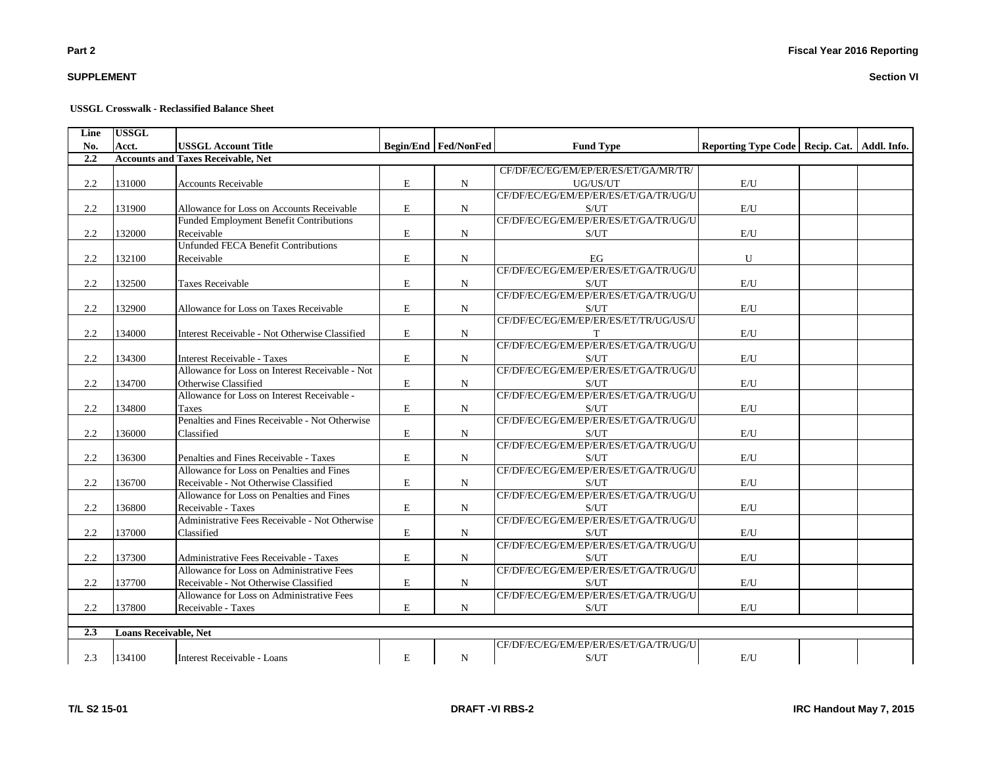# **SUPPLEMENT**

#### **USSGL Crosswalk - Reclassified Balance Sheet**

| Line | <b>USSGL</b>                 |                                                                                |             |                      |                                                    |                                                 |  |
|------|------------------------------|--------------------------------------------------------------------------------|-------------|----------------------|----------------------------------------------------|-------------------------------------------------|--|
| No.  | Acct.                        | <b>USSGL Account Title</b>                                                     |             | Begin/End Fed/NonFed | <b>Fund Type</b>                                   | Reporting Type Code   Recip. Cat.   Addl. Info. |  |
| 2.2  |                              | <b>Accounts and Taxes Receivable, Net</b>                                      |             |                      |                                                    |                                                 |  |
|      |                              |                                                                                |             |                      | CF/DF/EC/EG/EM/EP/ER/ES/ET/GA/MR/TR/               |                                                 |  |
| 2.2  | 131000                       | <b>Accounts Receivable</b>                                                     | E           | N                    | UG/US/UT                                           | E/U                                             |  |
|      |                              |                                                                                |             |                      | CF/DF/EC/EG/EM/EP/ER/ES/ET/GA/TR/UG/U              |                                                 |  |
| 2.2  | 131900                       | Allowance for Loss on Accounts Receivable                                      | E           | N                    | S/UT                                               | E/U                                             |  |
|      |                              | Funded Employment Benefit Contributions                                        |             |                      | CF/DF/EC/EG/EM/EP/ER/ES/ET/GA/TR/UG/U              |                                                 |  |
| 2.2  | 132000                       | Receivable                                                                     | E           | N                    | S/UT                                               | E/U                                             |  |
|      |                              | <b>Unfunded FECA Benefit Contributions</b>                                     |             |                      |                                                    |                                                 |  |
| 2.2  | 132100                       | Receivable                                                                     | E           | N                    | EG                                                 | U                                               |  |
|      |                              |                                                                                |             |                      | CF/DF/EC/EG/EM/EP/ER/ES/ET/GA/TR/UG/U              |                                                 |  |
| 2.2  | 132500                       | <b>Taxes Receivable</b>                                                        | $\mathbf E$ | N                    | S/UT<br>CF/DF/EC/EG/EM/EP/ER/ES/ET/GA/TR/UG/U      | E/U                                             |  |
|      |                              |                                                                                |             |                      |                                                    |                                                 |  |
| 2.2  | 132900                       | Allowance for Loss on Taxes Receivable                                         | E           | N                    | S/UT<br>CF/DF/EC/EG/EM/EP/ER/ES/ET/TR/UG/US/U      | E/U                                             |  |
| 2.2  | 134000                       | Interest Receivable - Not Otherwise Classified                                 | E           |                      | T                                                  | E/U                                             |  |
|      |                              |                                                                                |             | $_{\rm N}$           | CF/DF/EC/EG/EM/EP/ER/ES/ET/GA/TR/UG/U              |                                                 |  |
| 2.2  | 134300                       |                                                                                | E           |                      | S/UT                                               | E/U                                             |  |
|      |                              | Interest Receivable - Taxes<br>Allowance for Loss on Interest Receivable - Not |             | N                    | CF/DF/EC/EG/EM/EP/ER/ES/ET/GA/TR/UG/U              |                                                 |  |
| 2.2  | 134700                       | Otherwise Classified                                                           | E           | N                    | S/UT                                               | $\mathrm{E}/\mathrm{U}$                         |  |
|      |                              | Allowance for Loss on Interest Receivable -                                    |             |                      | CF/DF/EC/EG/EM/EP/ER/ES/ET/GA/TR/UG/U              |                                                 |  |
| 2.2  | 134800                       | <b>Taxes</b>                                                                   | ${\bf E}$   | N                    | S/UT                                               | E/U                                             |  |
|      |                              | Penalties and Fines Receivable - Not Otherwise                                 |             |                      | CF/DF/EC/EG/EM/EP/ER/ES/ET/GA/TR/UG/U              |                                                 |  |
| 2.2  | 136000                       | Classified                                                                     | E           | N                    | S/UT                                               | E/U                                             |  |
|      |                              |                                                                                |             |                      | CF/DF/EC/EG/EM/EP/ER/ES/ET/GA/TR/UG/U              |                                                 |  |
| 2.2  | 136300                       | Penalties and Fines Receivable - Taxes                                         | $\mathbf E$ | N                    | $\ensuremath{\mathrm{S}}/\ensuremath{\mathrm{UT}}$ | $\mathrm{E}/\mathrm{U}$                         |  |
|      |                              | Allowance for Loss on Penalties and Fines                                      |             |                      | CF/DF/EC/EG/EM/EP/ER/ES/ET/GA/TR/UG/U              |                                                 |  |
| 2.2  | 136700                       | Receivable - Not Otherwise Classified                                          | E           | N                    | S/UT                                               | $\mathrm{E}/\mathrm{U}$                         |  |
|      |                              | Allowance for Loss on Penalties and Fines                                      |             |                      | CF/DF/EC/EG/EM/EP/ER/ES/ET/GA/TR/UG/U              |                                                 |  |
| 2.2  | 136800                       | Receivable - Taxes                                                             | E           | N                    | S/UT                                               | E/U                                             |  |
|      |                              | Administrative Fees Receivable - Not Otherwise                                 |             |                      | CF/DF/EC/EG/EM/EP/ER/ES/ET/GA/TR/UG/U              |                                                 |  |
| 2.2  | 137000                       | Classified                                                                     | E           | N                    | S/UT                                               | E/U                                             |  |
|      |                              |                                                                                |             |                      | CF/DF/EC/EG/EM/EP/ER/ES/ET/GA/TR/UG/U              |                                                 |  |
| 2.2  | 137300                       | Administrative Fees Receivable - Taxes                                         | E           | N                    | S/UT                                               | E/U                                             |  |
|      |                              | Allowance for Loss on Administrative Fees                                      |             |                      | CF/DF/EC/EG/EM/EP/ER/ES/ET/GA/TR/UG/U              |                                                 |  |
| 2.2  | 137700                       | Receivable - Not Otherwise Classified                                          | ${\bf E}$   | N                    | S/UT                                               | E/U                                             |  |
|      |                              | Allowance for Loss on Administrative Fees                                      |             |                      | CF/DF/EC/EG/EM/EP/ER/ES/ET/GA/TR/UG/U              |                                                 |  |
| 2.2  | 137800                       | Receivable - Taxes                                                             | E           | N                    | S/UT                                               | E/U                                             |  |
|      |                              |                                                                                |             |                      |                                                    |                                                 |  |
| 2.3  | <b>Loans Receivable, Net</b> |                                                                                |             |                      |                                                    |                                                 |  |
|      |                              |                                                                                |             |                      | CF/DF/EC/EG/EM/EP/ER/ES/ET/GA/TR/UG/U              |                                                 |  |
| 2.3  | 134100                       | Interest Receivable - Loans                                                    | E           | ${\bf N}$            | S/UT                                               | E/U                                             |  |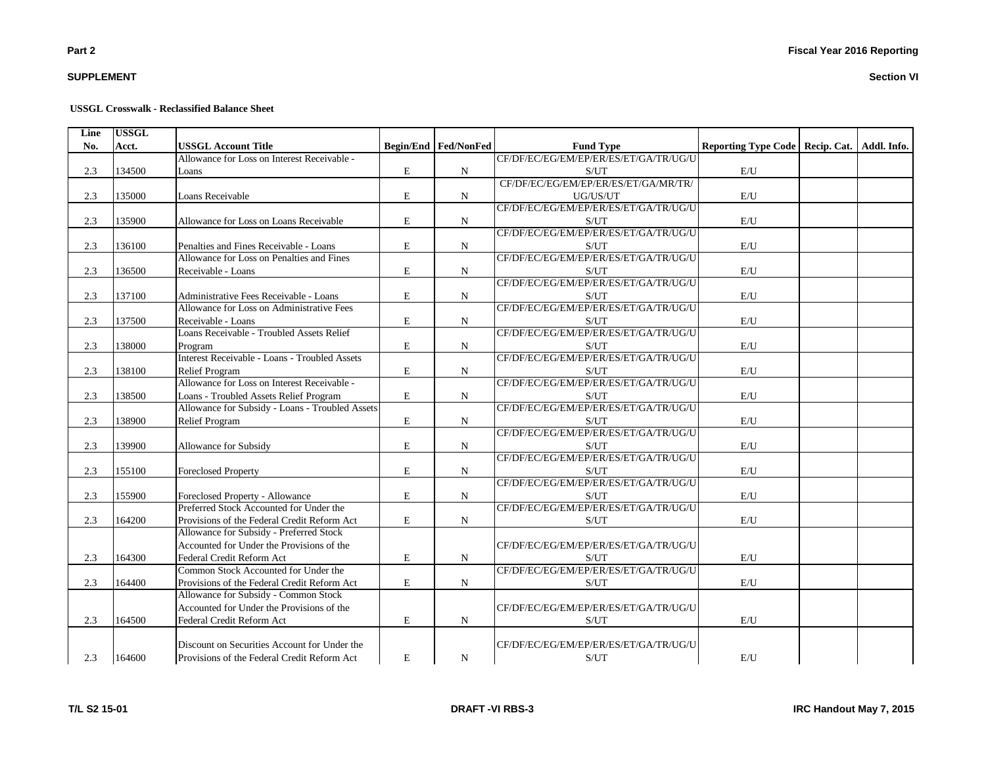# **SUPPLEMENT**

#### **USSGL Crosswalk - Reclassified Balance Sheet**

| Line | <b>USSGL</b> |                                                      |             |                      |                                       |                                                 |  |
|------|--------------|------------------------------------------------------|-------------|----------------------|---------------------------------------|-------------------------------------------------|--|
| No.  | Acct.        | <b>USSGL Account Title</b>                           |             | Begin/End Fed/NonFed | <b>Fund Type</b>                      | Reporting Type Code   Recip. Cat.   Addl. Info. |  |
|      |              | Allowance for Loss on Interest Receivable -          |             |                      | CF/DF/EC/EG/EM/EP/ER/ES/ET/GA/TR/UG/U |                                                 |  |
| 2.3  | 134500       | Loans                                                | $\mathbf E$ | $\mathbf N$          | S/UT                                  | $\mathrm{E}/\mathrm{U}$                         |  |
|      |              |                                                      |             |                      | CF/DF/EC/EG/EM/EP/ER/ES/ET/GA/MR/TR/  |                                                 |  |
| 2.3  | 135000       | Loans Receivable                                     | E           | N                    | UG/US/UT                              | $\mathrm{E}/\mathrm{U}$                         |  |
|      |              |                                                      |             |                      | CF/DF/EC/EG/EM/EP/ER/ES/ET/GA/TR/UG/U |                                                 |  |
| 2.3  | 135900       | Allowance for Loss on Loans Receivable               | $\mathbf E$ | $\mathbf N$          | S/UT                                  | $\mathbf{E}/\mathbf{U}$                         |  |
|      |              |                                                      |             |                      | CF/DF/EC/EG/EM/EP/ER/ES/ET/GA/TR/UG/U |                                                 |  |
| 2.3  | 136100       | Penalties and Fines Receivable - Loans               | $\mathbf E$ | $\mathbf N$          | S/UT                                  | $\mathrm{E}/\mathrm{U}$                         |  |
|      |              | Allowance for Loss on Penalties and Fines            |             |                      | CF/DF/EC/EG/EM/EP/ER/ES/ET/GA/TR/UG/U |                                                 |  |
| 2.3  | 136500       | Receivable - Loans                                   | E           | $\mathbf N$          | S/UT                                  | E/U                                             |  |
|      |              |                                                      |             |                      | CF/DF/EC/EG/EM/EP/ER/ES/ET/GA/TR/UG/U |                                                 |  |
| 2.3  | 137100       | Administrative Fees Receivable - Loans               | $\mathbf E$ | $\mathbf N$          | S/UT                                  | E/U                                             |  |
|      |              | Allowance for Loss on Administrative Fees            |             |                      | CF/DF/EC/EG/EM/EP/ER/ES/ET/GA/TR/UG/U |                                                 |  |
| 2.3  | 137500       | Receivable - Loans                                   | $\mathbf E$ | $\mathbf N$          | S/UT                                  | E/U                                             |  |
|      |              | Loans Receivable - Troubled Assets Relief            |             |                      | CF/DF/EC/EG/EM/EP/ER/ES/ET/GA/TR/UG/U |                                                 |  |
| 2.3  | 138000       | Program                                              | $\mathbf E$ | ${\bf N}$            | S/UT                                  | $\mathbf{E}/\mathbf{U}$                         |  |
|      |              | <b>Interest Receivable - Loans - Troubled Assets</b> |             |                      | CF/DF/EC/EG/EM/EP/ER/ES/ET/GA/TR/UG/U |                                                 |  |
| 2.3  | 138100       | <b>Relief Program</b>                                | ${\bf E}$   | $\mathbf N$          | S/UT                                  | $\mathbf{E}/\mathbf{U}$                         |  |
|      |              | Allowance for Loss on Interest Receivable -          |             |                      | CF/DF/EC/EG/EM/EP/ER/ES/ET/GA/TR/UG/U |                                                 |  |
| 2.3  | 138500       | Loans - Troubled Assets Relief Program               | ${\bf E}$   | ${\bf N}$            | S/UT                                  | $\mathbf{E}/\mathbf{U}$                         |  |
|      |              | Allowance for Subsidy - Loans - Troubled Assets      |             |                      | CF/DF/EC/EG/EM/EP/ER/ES/ET/GA/TR/UG/U |                                                 |  |
| 2.3  | 138900       | <b>Relief Program</b>                                | $\mathbf E$ | $\mathbf N$          | S/UT                                  | E/U                                             |  |
|      |              |                                                      |             |                      | CF/DF/EC/EG/EM/EP/ER/ES/ET/GA/TR/UG/U |                                                 |  |
| 2.3  | 139900       | Allowance for Subsidy                                | ${\rm E}$   | ${\bf N}$            | S/UT                                  | $\mathrm{E}/\mathrm{U}$                         |  |
|      |              |                                                      |             |                      | CF/DF/EC/EG/EM/EP/ER/ES/ET/GA/TR/UG/U |                                                 |  |
| 2.3  | 155100       | <b>Foreclosed Property</b>                           | $\mathbf E$ | $\mathbf N$          | S/UT                                  | $\mathbf{E}/\mathbf{U}$                         |  |
|      |              |                                                      |             |                      | CF/DF/EC/EG/EM/EP/ER/ES/ET/GA/TR/UG/U |                                                 |  |
| 2.3  | 155900       | Foreclosed Property - Allowance                      | $\mathbf E$ | N                    | S/UT                                  | $\mathbf{E}/\mathbf{U}$                         |  |
|      |              | Preferred Stock Accounted for Under the              |             |                      | CF/DF/EC/EG/EM/EP/ER/ES/ET/GA/TR/UG/U |                                                 |  |
| 2.3  | 164200       | Provisions of the Federal Credit Reform Act          | $\mathbf E$ | $\mathbf N$          | S/UT                                  | E/U                                             |  |
|      |              | Allowance for Subsidy - Preferred Stock              |             |                      |                                       |                                                 |  |
|      |              | Accounted for Under the Provisions of the            |             |                      | CF/DF/EC/EG/EM/EP/ER/ES/ET/GA/TR/UG/U |                                                 |  |
| 2.3  | 164300       | Federal Credit Reform Act                            | ${\bf E}$   | ${\bf N}$            | S/UT                                  | $\mathbf{E}/\mathbf{U}$                         |  |
|      |              | Common Stock Accounted for Under the                 |             |                      | CF/DF/EC/EG/EM/EP/ER/ES/ET/GA/TR/UG/U |                                                 |  |
| 2.3  | 164400       | Provisions of the Federal Credit Reform Act          | ${\rm E}$   | ${\bf N}$            | S/UT                                  | $\mathbf{E}/\mathbf{U}$                         |  |
|      |              | Allowance for Subsidy - Common Stock                 |             |                      |                                       |                                                 |  |
|      |              | Accounted for Under the Provisions of the            |             |                      | CF/DF/EC/EG/EM/EP/ER/ES/ET/GA/TR/UG/U |                                                 |  |
| 2.3  | 164500       | Federal Credit Reform Act                            | $\mathbf E$ | $\mathbf N$          | S/UT                                  | E/U                                             |  |
|      |              |                                                      |             |                      |                                       |                                                 |  |
|      |              | Discount on Securities Account for Under the         |             |                      | CF/DF/EC/EG/EM/EP/ER/ES/ET/GA/TR/UG/U |                                                 |  |
| 2.3  | 164600       | Provisions of the Federal Credit Reform Act          | E           | N                    | S/UT                                  | $\mathrm{E}/\mathrm{U}$                         |  |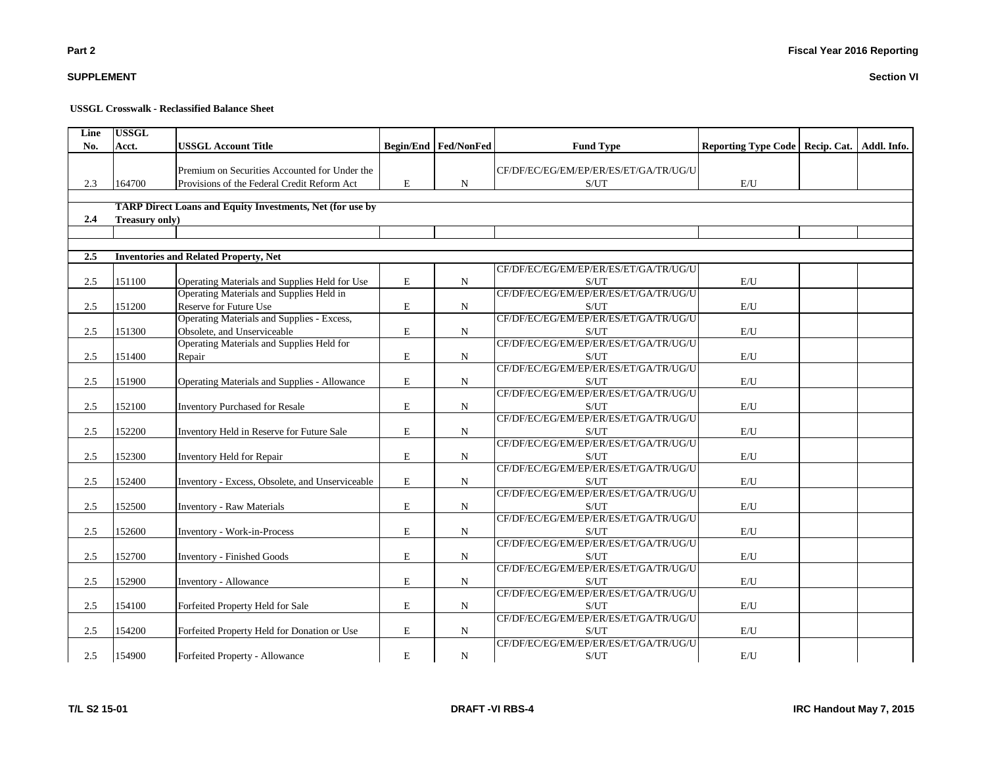|  | L S2 15-01 |  |
|--|------------|--|

# **USSGL Crosswalk - Reclassified Balance Sheet**

| Line    | <b>USSGL</b>   |                                                                  |             |                               |                                               |                                                 |  |
|---------|----------------|------------------------------------------------------------------|-------------|-------------------------------|-----------------------------------------------|-------------------------------------------------|--|
| No.     | Acct.          | <b>USSGL Account Title</b>                                       |             | <b>Begin/End   Fed/NonFed</b> | <b>Fund Type</b>                              | Reporting Type Code   Recip. Cat.   Addl. Info. |  |
|         |                |                                                                  |             |                               |                                               |                                                 |  |
|         |                | Premium on Securities Accounted for Under the                    |             |                               | CF/DF/EC/EG/EM/EP/ER/ES/ET/GA/TR/UG/U         |                                                 |  |
| 2.3     | 164700         | Provisions of the Federal Credit Reform Act                      | $\mathbf E$ | $\mathbf N$                   | S/UT                                          | E/U                                             |  |
|         |                | <b>TARP Direct Loans and Equity Investments, Net (for use by</b> |             |                               |                                               |                                                 |  |
| 2.4     | Treasury only) |                                                                  |             |                               |                                               |                                                 |  |
|         |                |                                                                  |             |                               |                                               |                                                 |  |
|         |                |                                                                  |             |                               |                                               |                                                 |  |
| 2.5     |                | <b>Inventories and Related Property, Net</b>                     |             |                               |                                               |                                                 |  |
|         |                |                                                                  |             |                               | CF/DF/EC/EG/EM/EP/ER/ES/ET/GA/TR/UG/U         |                                                 |  |
| 2.5     | 151100         | Operating Materials and Supplies Held for Use                    | E           | N                             | S/UT                                          | E/U                                             |  |
|         |                | Operating Materials and Supplies Held in                         |             |                               | CF/DF/EC/EG/EM/EP/ER/ES/ET/GA/TR/UG/U         |                                                 |  |
| 2.5     | 151200         | Reserve for Future Use                                           | E           | $\mathbf N$                   | S/UT                                          | E/U                                             |  |
|         |                | Operating Materials and Supplies - Excess,                       |             |                               | CF/DF/EC/EG/EM/EP/ER/ES/ET/GA/TR/UG/U         |                                                 |  |
| 2.5     | 151300         | Obsolete, and Unserviceable                                      | E           | N                             | S/UT                                          | E/U                                             |  |
|         |                | Operating Materials and Supplies Held for                        |             |                               | CF/DF/EC/EG/EM/EP/ER/ES/ET/GA/TR/UG/U         |                                                 |  |
| 2.5     | 151400         | Repair                                                           | E           | $\mathbf N$                   | S/UT                                          | E/U                                             |  |
|         |                |                                                                  |             |                               | CF/DF/EC/EG/EM/EP/ER/ES/ET/GA/TR/UG/U         |                                                 |  |
| 2.5     | 151900         | <b>Operating Materials and Supplies - Allowance</b>              | E           | N                             | S/UT                                          | E/U                                             |  |
|         |                |                                                                  |             |                               | CF/DF/EC/EG/EM/EP/ER/ES/ET/GA/TR/UG/U         |                                                 |  |
| 2.5     | 152100         | <b>Inventory Purchased for Resale</b>                            | $\mathbf E$ | N                             | S/UT                                          | E/U                                             |  |
|         |                |                                                                  |             |                               | CF/DF/EC/EG/EM/EP/ER/ES/ET/GA/TR/UG/U         |                                                 |  |
| 2.5     | 152200         | Inventory Held in Reserve for Future Sale                        | E           | N                             | S/UT                                          | E/U                                             |  |
|         |                |                                                                  |             |                               | CF/DF/EC/EG/EM/EP/ER/ES/ET/GA/TR/UG/U         |                                                 |  |
| 2.5     | 152300         | Inventory Held for Repair                                        | E           | N                             | S/UT                                          | E/U                                             |  |
|         |                |                                                                  |             |                               | CF/DF/EC/EG/EM/EP/ER/ES/ET/GA/TR/UG/U         |                                                 |  |
| 2.5     | 152400         | Inventory - Excess, Obsolete, and Unserviceable                  | ${\bf E}$   | $\mathbf N$                   | S/UT                                          | $\mathbf{E}/\mathbf{U}$                         |  |
|         |                |                                                                  |             |                               | CF/DF/EC/EG/EM/EP/ER/ES/ET/GA/TR/UG/U         |                                                 |  |
| 2.5     | 152500         | <b>Inventory - Raw Materials</b>                                 | E           | $\mathbf N$                   | S/UT                                          | E/U                                             |  |
|         |                |                                                                  |             |                               | CF/DF/EC/EG/EM/EP/ER/ES/ET/GA/TR/UG/U         |                                                 |  |
| 2.5     | 152600         | <b>Inventory - Work-in-Process</b>                               | E           | N                             | S/UT<br>CF/DF/EC/EG/EM/EP/ER/ES/ET/GA/TR/UG/U | E/U                                             |  |
| 2.5     | 152700         |                                                                  | E           | $\mathbf N$                   | S/UT                                          | E/U                                             |  |
|         |                | <b>Inventory - Finished Goods</b>                                |             |                               | CF/DF/EC/EG/EM/EP/ER/ES/ET/GA/TR/UG/U         |                                                 |  |
| $2.5\,$ | 152900         | Inventory - Allowance                                            | ${\bf E}$   | ${\bf N}$                     | S/UT                                          | $\mathbf{E}/\mathbf{U}$                         |  |
|         |                |                                                                  |             |                               | CF/DF/EC/EG/EM/EP/ER/ES/ET/GA/TR/UG/U         |                                                 |  |
| 2.5     | 154100         | Forfeited Property Held for Sale                                 | E           | $\mathbf N$                   | S/UT                                          | E/U                                             |  |
|         |                |                                                                  |             |                               | CF/DF/EC/EG/EM/EP/ER/ES/ET/GA/TR/UG/U         |                                                 |  |
| 2.5     | 154200         | Forfeited Property Held for Donation or Use                      | E           | N                             | S/UT                                          | $\mathbf{E}/\mathbf{U}$                         |  |
|         |                |                                                                  |             |                               | CF/DF/EC/EG/EM/EP/ER/ES/ET/GA/TR/UG/U         |                                                 |  |
| 2.5     | 154900         | Forfeited Property - Allowance                                   | ${\bf E}$   | N                             | S/UT                                          | E/U                                             |  |
|         |                |                                                                  |             |                               |                                               |                                                 |  |

**SUPPLEMENT**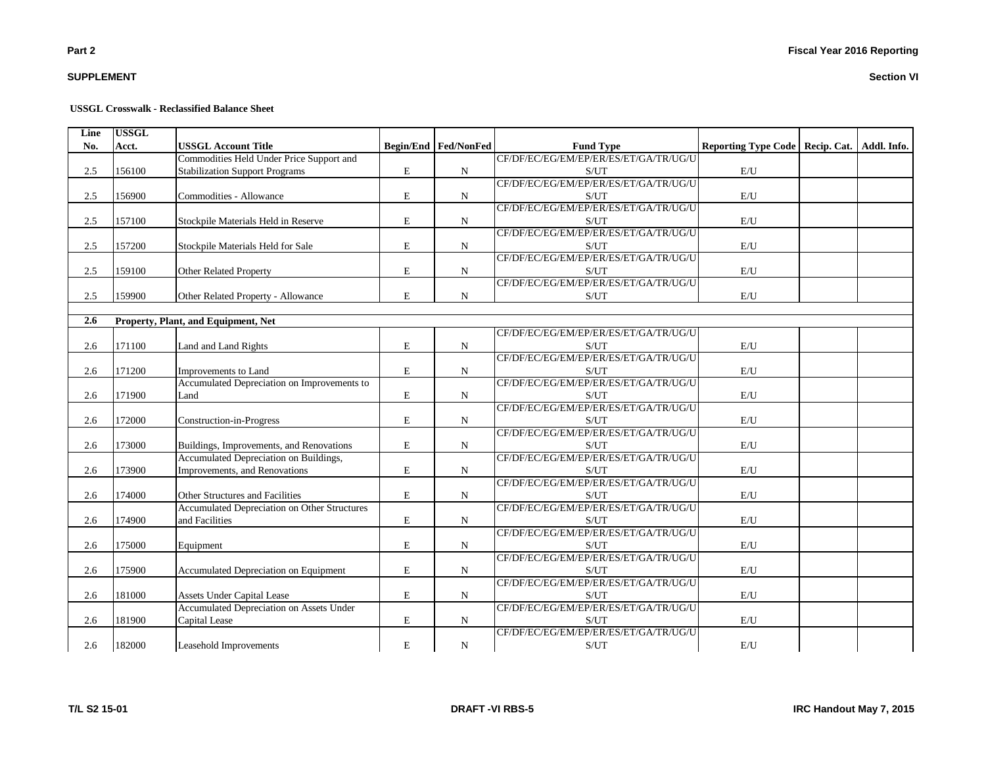# **SUPPLEMENT**

#### **USSGL Crosswalk - Reclassified Balance Sheet**

| Line | <b>USSGL</b> |                                                     |             |                      |                                       |                                                 |  |
|------|--------------|-----------------------------------------------------|-------------|----------------------|---------------------------------------|-------------------------------------------------|--|
| No.  | Acct.        | <b>USSGL Account Title</b>                          |             | Begin/End Fed/NonFed | <b>Fund Type</b>                      | Reporting Type Code   Recip. Cat.   Addl. Info. |  |
|      |              | Commodities Held Under Price Support and            |             |                      | CF/DF/EC/EG/EM/EP/ER/ES/ET/GA/TR/UG/U |                                                 |  |
| 2.5  | 156100       | <b>Stabilization Support Programs</b>               | E           | ${\bf N}$            | S/UT                                  | $\mathrm{E}/\mathrm{U}$                         |  |
|      |              |                                                     |             |                      | CF/DF/EC/EG/EM/EP/ER/ES/ET/GA/TR/UG/U |                                                 |  |
| 2.5  | 156900       | Commodities - Allowance                             | E           | $\mathbf N$          | S/UT                                  | $\mathrm{E}/\mathrm{U}$                         |  |
|      |              |                                                     |             |                      | CF/DF/EC/EG/EM/EP/ER/ES/ET/GA/TR/UG/U |                                                 |  |
| 2.5  | 157100       | Stockpile Materials Held in Reserve                 | $\mathbf E$ | $\mathbf N$          | S/UT                                  | E/U                                             |  |
|      |              |                                                     |             |                      | CF/DF/EC/EG/EM/EP/ER/ES/ET/GA/TR/UG/U |                                                 |  |
| 2.5  | 157200       | Stockpile Materials Held for Sale                   | $\mathbf E$ | $\mathbf N$          | S/UT                                  | E/U                                             |  |
|      |              |                                                     |             |                      | CF/DF/EC/EG/EM/EP/ER/ES/ET/GA/TR/UG/U |                                                 |  |
| 2.5  | 159100       | Other Related Property                              | ${\bf E}$   | $_{\rm N}$           | S/UT                                  | E/U                                             |  |
|      |              |                                                     |             |                      | CF/DF/EC/EG/EM/EP/ER/ES/ET/GA/TR/UG/U |                                                 |  |
| 2.5  | 159900       | Other Related Property - Allowance                  | $\mathbf E$ | $\mathbf N$          | S/UT                                  | $\mathbf{E}/\mathbf{U}$                         |  |
|      |              |                                                     |             |                      |                                       |                                                 |  |
| 2.6  |              | Property, Plant, and Equipment, Net                 |             |                      |                                       |                                                 |  |
|      |              |                                                     |             |                      | CF/DF/EC/EG/EM/EP/ER/ES/ET/GA/TR/UG/U |                                                 |  |
| 2.6  | 171100       | Land and Land Rights                                | $\mathbf E$ | $\mathbf N$          | S/UT                                  | E/U                                             |  |
|      |              |                                                     |             |                      | CF/DF/EC/EG/EM/EP/ER/ES/ET/GA/TR/UG/U |                                                 |  |
| 2.6  | 171200       | Improvements to Land                                | $\mathbf E$ | $\mathbf N$          | S/UT                                  | E/U                                             |  |
|      |              | Accumulated Depreciation on Improvements to         |             |                      | CF/DF/EC/EG/EM/EP/ER/ES/ET/GA/TR/UG/U |                                                 |  |
| 2.6  | 171900       | Land                                                | E           | $\mathbf N$          | S/UT                                  | E/U                                             |  |
|      |              |                                                     |             |                      | CF/DF/EC/EG/EM/EP/ER/ES/ET/GA/TR/UG/U |                                                 |  |
| 2.6  | 172000       | Construction-in-Progress                            | $\mathbf E$ | $\mathbf N$          | S/UT                                  | $\mathbf{E}/\mathbf{U}$                         |  |
|      |              |                                                     |             |                      | CF/DF/EC/EG/EM/EP/ER/ES/ET/GA/TR/UG/U |                                                 |  |
| 2.6  | 173000       | Buildings, Improvements, and Renovations            | $\mathbf E$ | $\mathbf N$          | S/UT                                  | $\mathbf{E}/\mathbf{U}$                         |  |
|      |              | Accumulated Depreciation on Buildings,              |             |                      | CF/DF/EC/EG/EM/EP/ER/ES/ET/GA/TR/UG/U |                                                 |  |
| 2.6  | 173900       | Improvements, and Renovations                       | ${\bf E}$   | $\mathbf N$          | S/UT                                  | E/U                                             |  |
|      |              |                                                     |             |                      | CF/DF/EC/EG/EM/EP/ER/ES/ET/GA/TR/UG/U |                                                 |  |
| 2.6  | 174000       | Other Structures and Facilities                     | E           | $\mathbf N$          | S/UT                                  | E/U                                             |  |
|      |              | <b>Accumulated Depreciation on Other Structures</b> |             |                      | CF/DF/EC/EG/EM/EP/ER/ES/ET/GA/TR/UG/U |                                                 |  |
| 2.6  | 174900       | and Facilities                                      | ${\bf E}$   | ${\bf N}$            | S/UT                                  | $\mathbf{E}/\mathbf{U}$                         |  |
|      |              |                                                     |             |                      | CF/DF/EC/EG/EM/EP/ER/ES/ET/GA/TR/UG/U |                                                 |  |
| 2.6  | 175000       | Equipment                                           | E           | ${\bf N}$            | S/UT                                  | $\mathbf{E}/\mathbf{U}$                         |  |
|      |              |                                                     |             |                      | CF/DF/EC/EG/EM/EP/ER/ES/ET/GA/TR/UG/U |                                                 |  |
| 2.6  | 175900       | Accumulated Depreciation on Equipment               | $\mathbf E$ | $\mathbf N$          | S/UT                                  | E/U                                             |  |
|      |              |                                                     |             |                      | CF/DF/EC/EG/EM/EP/ER/ES/ET/GA/TR/UG/U |                                                 |  |
| 2.6  | 181000       | <b>Assets Under Capital Lease</b>                   | $\mathbf E$ | $\mathbf N$          | S/UT                                  | E/U                                             |  |
|      |              | <b>Accumulated Depreciation on Assets Under</b>     |             |                      | CF/DF/EC/EG/EM/EP/ER/ES/ET/GA/TR/UG/U |                                                 |  |
| 2.6  | 181900       | Capital Lease                                       | $\mathbf E$ | $\mathbf N$          | S/UT                                  | $\mathbf{E}/\mathbf{U}$                         |  |
|      |              |                                                     |             |                      | CF/DF/EC/EG/EM/EP/ER/ES/ET/GA/TR/UG/U |                                                 |  |
| 2.6  | 182000       | Leasehold Improvements                              | $\mathbf E$ | ${\bf N}$            | S/UT                                  | $\mathrm{E}/\mathrm{U}$                         |  |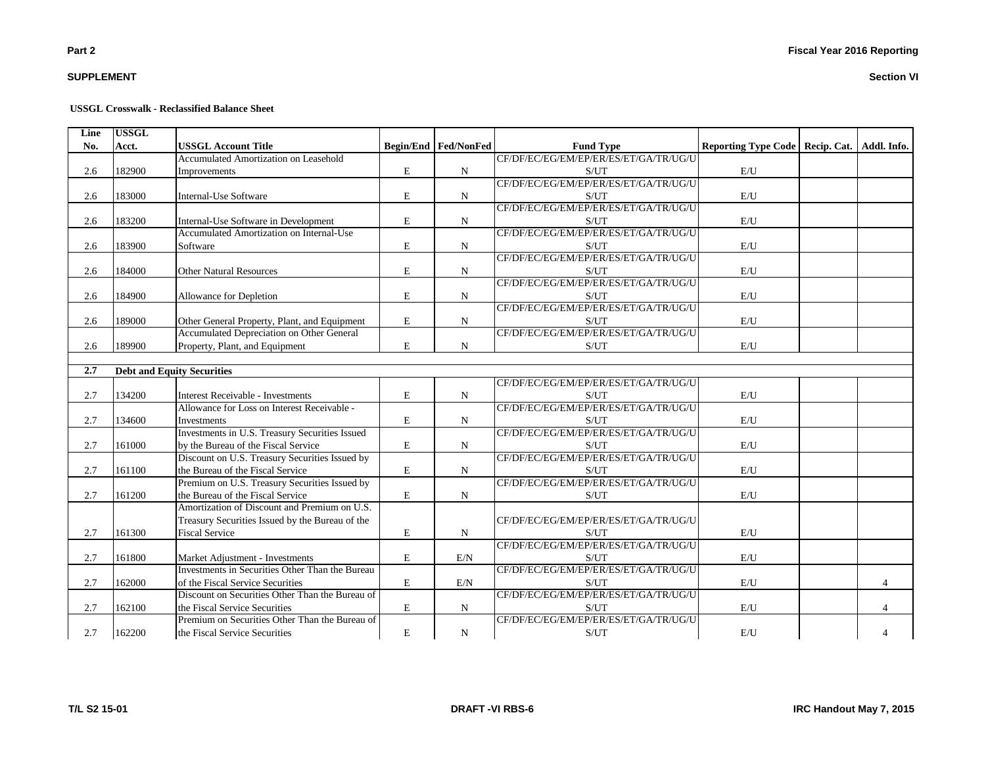# **SUPPLEMENT**

#### **USSGL Crosswalk - Reclassified Balance Sheet**

| Line | <b>USSGL</b> |                                                 |             |                             |                                       |                                                 |                |
|------|--------------|-------------------------------------------------|-------------|-----------------------------|---------------------------------------|-------------------------------------------------|----------------|
| No.  | Acct.        | <b>USSGL Account Title</b>                      |             | <b>Begin/End Fed/NonFed</b> | <b>Fund Type</b>                      | Reporting Type Code   Recip. Cat.   Addl. Info. |                |
|      |              | Accumulated Amortization on Leasehold           |             |                             | CF/DF/EC/EG/EM/EP/ER/ES/ET/GA/TR/UG/U |                                                 |                |
| 2.6  | 182900       | Improvements                                    | E           | $\mathbf N$                 | S/UT                                  | E/U                                             |                |
|      |              |                                                 |             |                             | CF/DF/EC/EG/EM/EP/ER/ES/ET/GA/TR/UG/U |                                                 |                |
| 2.6  | 183000       | <b>Internal-Use Software</b>                    | $\mathbf E$ | N                           | S/UT                                  | $\mathbf{E}/\mathbf{U}$                         |                |
|      |              |                                                 |             |                             | CF/DF/EC/EG/EM/EP/ER/ES/ET/GA/TR/UG/U |                                                 |                |
| 2.6  | 183200       | Internal-Use Software in Development            | E           | N                           | S/UT                                  | E/U                                             |                |
|      |              | Accumulated Amortization on Internal-Use        |             |                             | CF/DF/EC/EG/EM/EP/ER/ES/ET/GA/TR/UG/U |                                                 |                |
| 2.6  | 183900       | Software                                        | $\mathbf E$ | N                           | S/UT                                  | E/U                                             |                |
|      |              |                                                 |             |                             | CF/DF/EC/EG/EM/EP/ER/ES/ET/GA/TR/UG/U |                                                 |                |
| 2.6  | 184000       | <b>Other Natural Resources</b>                  | $\mathbf E$ | N                           | S/UT                                  | E/U                                             |                |
|      |              |                                                 |             |                             | CF/DF/EC/EG/EM/EP/ER/ES/ET/GA/TR/UG/U |                                                 |                |
| 2.6  | 184900       | Allowance for Depletion                         | ${\bf E}$   | N                           | S/UT                                  | $\mathrm{E}/\mathrm{U}$                         |                |
|      |              |                                                 |             |                             | CF/DF/EC/EG/EM/EP/ER/ES/ET/GA/TR/UG/U |                                                 |                |
| 2.6  | 189000       | Other General Property, Plant, and Equipment    | $\mathbf E$ | N                           | S/UT                                  | E/U                                             |                |
|      |              | Accumulated Depreciation on Other General       |             |                             | CF/DF/EC/EG/EM/EP/ER/ES/ET/GA/TR/UG/U |                                                 |                |
| 2.6  | 189900       | Property, Plant, and Equipment                  | E           | N                           | S/UT                                  | E/U                                             |                |
|      |              |                                                 |             |                             |                                       |                                                 |                |
| 2.7  |              | <b>Debt and Equity Securities</b>               |             |                             |                                       |                                                 |                |
|      |              |                                                 |             |                             | CF/DF/EC/EG/EM/EP/ER/ES/ET/GA/TR/UG/U |                                                 |                |
| 2.7  | 134200       | Interest Receivable - Investments               | $\mathbf E$ | N                           | S/UT                                  | E/U                                             |                |
|      |              | Allowance for Loss on Interest Receivable -     |             |                             | CF/DF/EC/EG/EM/EP/ER/ES/ET/GA/TR/UG/U |                                                 |                |
| 2.7  | 134600       | Investments                                     | $\mathbf E$ | N                           | S/UT                                  | E/U                                             |                |
|      |              | Investments in U.S. Treasury Securities Issued  |             |                             | CF/DF/EC/EG/EM/EP/ER/ES/ET/GA/TR/UG/U |                                                 |                |
| 2.7  | 161000       | by the Bureau of the Fiscal Service             | ${\bf E}$   | N                           | S/UT                                  | $\mathrm{E}/\mathrm{U}$                         |                |
|      |              | Discount on U.S. Treasury Securities Issued by  |             |                             | CF/DF/EC/EG/EM/EP/ER/ES/ET/GA/TR/UG/U |                                                 |                |
| 2.7  | 161100       | the Bureau of the Fiscal Service                | $\mathbf E$ | N                           | S/UT                                  | $\mathrm{E}/\mathrm{U}$                         |                |
|      |              | Premium on U.S. Treasury Securities Issued by   |             |                             | CF/DF/EC/EG/EM/EP/ER/ES/ET/GA/TR/UG/U |                                                 |                |
| 2.7  | 161200       | the Bureau of the Fiscal Service                | $\mathbf E$ | $\mathbf N$                 | S/UT                                  | E/U                                             |                |
|      |              | Amortization of Discount and Premium on U.S.    |             |                             |                                       |                                                 |                |
|      |              | Treasury Securities Issued by the Bureau of the |             |                             | CF/DF/EC/EG/EM/EP/ER/ES/ET/GA/TR/UG/U |                                                 |                |
| 2.7  | 161300       | <b>Fiscal Service</b>                           | E           | N                           | S/UT                                  | E/U                                             |                |
|      |              |                                                 |             |                             | CF/DF/EC/EG/EM/EP/ER/ES/ET/GA/TR/UG/U |                                                 |                |
| 2.7  | 161800       | Market Adjustment - Investments                 | $\mathbf E$ | E/N                         | S/UT                                  | $\mathbf{E}/\mathbf{U}$                         |                |
|      |              | Investments in Securities Other Than the Bureau |             |                             | CF/DF/EC/EG/EM/EP/ER/ES/ET/GA/TR/UG/U |                                                 |                |
| 2.7  | 162000       | of the Fiscal Service Securities                | E           | E/N                         | S/UT                                  | E/U                                             | $\overline{4}$ |
|      |              | Discount on Securities Other Than the Bureau of |             |                             | CF/DF/EC/EG/EM/EP/ER/ES/ET/GA/TR/UG/U |                                                 |                |
| 2.7  | 162100       | the Fiscal Service Securities                   | E           | N                           | S/UT                                  | E/U                                             |                |
|      |              | Premium on Securities Other Than the Bureau of  |             |                             | CF/DF/EC/EG/EM/EP/ER/ES/ET/GA/TR/UG/U |                                                 |                |
| 2.7  | 162200       | the Fiscal Service Securities                   | E           | N                           | S/UT                                  | E/U                                             |                |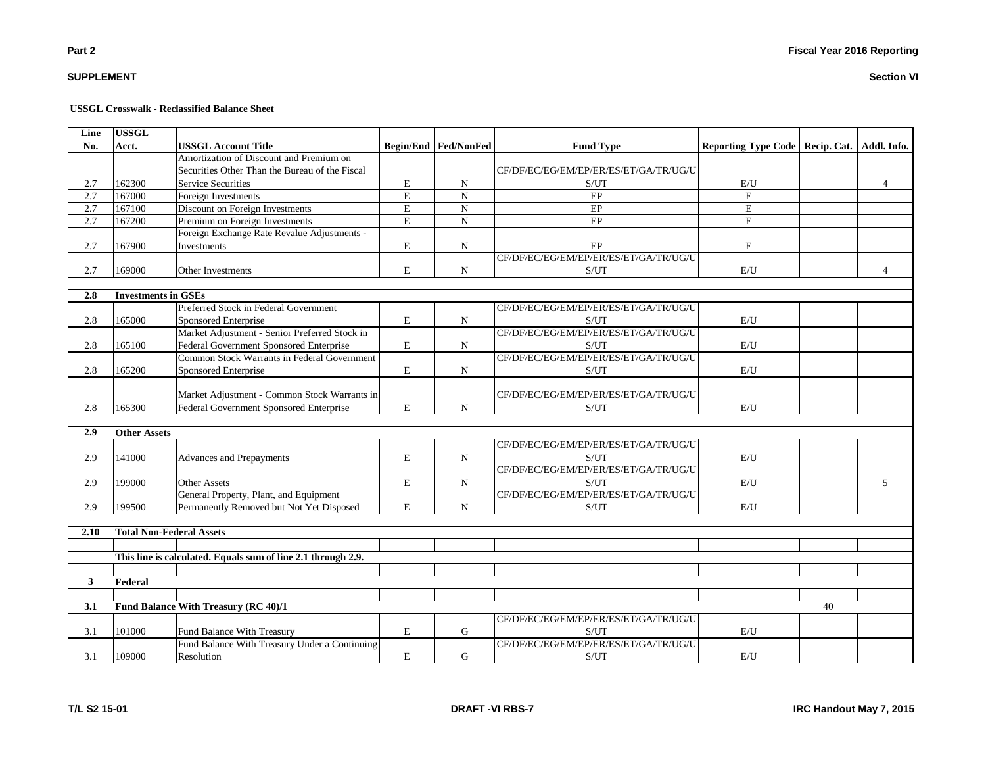# **SUPPLEMENT**

#### **USSGL Crosswalk - Reclassified Balance Sheet**

| Line             | <b>USSGL</b>                    |                                                              |                |                        |                                       |                                   |    |                |
|------------------|---------------------------------|--------------------------------------------------------------|----------------|------------------------|---------------------------------------|-----------------------------------|----|----------------|
| No.              | Acct.                           | <b>USSGL Account Title</b>                                   |                | Begin/End   Fed/NonFed | <b>Fund Type</b>                      | Reporting Type Code   Recip. Cat. |    | Addl. Info.    |
|                  |                                 | Amortization of Discount and Premium on                      |                |                        |                                       |                                   |    |                |
|                  |                                 | Securities Other Than the Bureau of the Fiscal               |                |                        | CF/DF/EC/EG/EM/EP/ER/ES/ET/GA/TR/UG/U |                                   |    |                |
| 2.7              | 162300                          | <b>Service Securities</b>                                    | Е              | N                      | S/UT                                  | E/U                               |    |                |
| $\overline{2.7}$ | 167000                          | Foreign Investments                                          | $\overline{E}$ | $\overline{N}$         | EP                                    | E                                 |    |                |
| 2.7              | 167100                          | Discount on Foreign Investments                              | ${\bf E}$      | ${\bf N}$              | $\rm EP$                              | E                                 |    |                |
| 2.7              | 167200                          | Premium on Foreign Investments                               | E              | $\mathbf N$            | $E$ P                                 | E                                 |    |                |
|                  |                                 | Foreign Exchange Rate Revalue Adjustments -                  |                |                        |                                       |                                   |    |                |
| 2.7              | 167900                          | Investments                                                  | $\mathbf E$    | ${\bf N}$              | EP                                    | $\mathbf E$                       |    |                |
|                  |                                 |                                                              |                |                        | CF/DF/EC/EG/EM/EP/ER/ES/ET/GA/TR/UG/U |                                   |    |                |
| 2.7              | 169000                          | Other Investments                                            | E              | N                      | S/UT                                  | E/U                               |    | $\overline{4}$ |
|                  |                                 |                                                              |                |                        |                                       |                                   |    |                |
| 2.8              | <b>Investments in GSEs</b>      |                                                              |                |                        |                                       |                                   |    |                |
|                  |                                 | Preferred Stock in Federal Government                        |                |                        | CF/DF/EC/EG/EM/EP/ER/ES/ET/GA/TR/UG/U |                                   |    |                |
| 2.8              | 165000                          | Sponsored Enterprise                                         | E              | $\mathbf N$            | S/UT                                  | E/U                               |    |                |
|                  |                                 | Market Adjustment - Senior Preferred Stock in                |                |                        | CF/DF/EC/EG/EM/EP/ER/ES/ET/GA/TR/UG/U |                                   |    |                |
| 2.8              | 165100                          | Federal Government Sponsored Enterprise                      | E              | $\mathbf N$            | S/UT                                  | E/U                               |    |                |
|                  |                                 | Common Stock Warrants in Federal Government                  |                |                        | CF/DF/EC/EG/EM/EP/ER/ES/ET/GA/TR/UG/U |                                   |    |                |
| 2.8              | 165200                          | Sponsored Enterprise                                         | $\mathbf E$    | $\mathbf N$            | S/UT                                  | E/U                               |    |                |
|                  |                                 |                                                              |                |                        |                                       |                                   |    |                |
|                  |                                 | Market Adjustment - Common Stock Warrants in                 |                |                        | CF/DF/EC/EG/EM/EP/ER/ES/ET/GA/TR/UG/U |                                   |    |                |
| 2.8              | 165300                          | Federal Government Sponsored Enterprise                      | E              | N                      | S/UT                                  | E/U                               |    |                |
|                  |                                 |                                                              |                |                        |                                       |                                   |    |                |
| 2.9              | <b>Other Assets</b>             |                                                              |                |                        |                                       |                                   |    |                |
|                  |                                 |                                                              |                |                        | CF/DF/EC/EG/EM/EP/ER/ES/ET/GA/TR/UG/U |                                   |    |                |
| 2.9              | 141000                          | <b>Advances and Prepayments</b>                              | $\mathbf E$    | $\mathbf N$            | S/UT                                  | E/U                               |    |                |
|                  |                                 |                                                              |                |                        | CF/DF/EC/EG/EM/EP/ER/ES/ET/GA/TR/UG/U |                                   |    |                |
| 2.9              | 199000                          | <b>Other Assets</b>                                          | $\mathbf E$    | $\mathbf N$            | S/UT                                  | E/U                               |    | 5              |
|                  |                                 | General Property, Plant, and Equipment                       |                |                        | CF/DF/EC/EG/EM/EP/ER/ES/ET/GA/TR/UG/U |                                   |    |                |
| 2.9              | 199500                          | Permanently Removed but Not Yet Disposed                     | $\mathbf E$    | $\mathbf N$            | S/UT                                  | E/U                               |    |                |
|                  |                                 |                                                              |                |                        |                                       |                                   |    |                |
| 2.10             | <b>Total Non-Federal Assets</b> |                                                              |                |                        |                                       |                                   |    |                |
|                  |                                 |                                                              |                |                        |                                       |                                   |    |                |
|                  |                                 | This line is calculated. Equals sum of line 2.1 through 2.9. |                |                        |                                       |                                   |    |                |
|                  |                                 |                                                              |                |                        |                                       |                                   |    |                |
| 3 <sup>1</sup>   | Federal                         |                                                              |                |                        |                                       |                                   |    |                |
|                  |                                 |                                                              |                |                        |                                       |                                   |    |                |
| 3.1              |                                 | Fund Balance With Treasury (RC 40)/1                         |                |                        |                                       |                                   | 40 |                |
|                  |                                 |                                                              |                |                        | CF/DF/EC/EG/EM/EP/ER/ES/ET/GA/TR/UG/U |                                   |    |                |
| 3.1              | 101000                          | Fund Balance With Treasury                                   | E              | G                      | S/UT                                  | E/U                               |    |                |
|                  |                                 | Fund Balance With Treasury Under a Continuing                |                |                        | CF/DF/EC/EG/EM/EP/ER/ES/ET/GA/TR/UG/U |                                   |    |                |
| 3.1              | 109000                          | Resolution                                                   | ${\bf E}$      | G                      | S/UT                                  | E/U                               |    |                |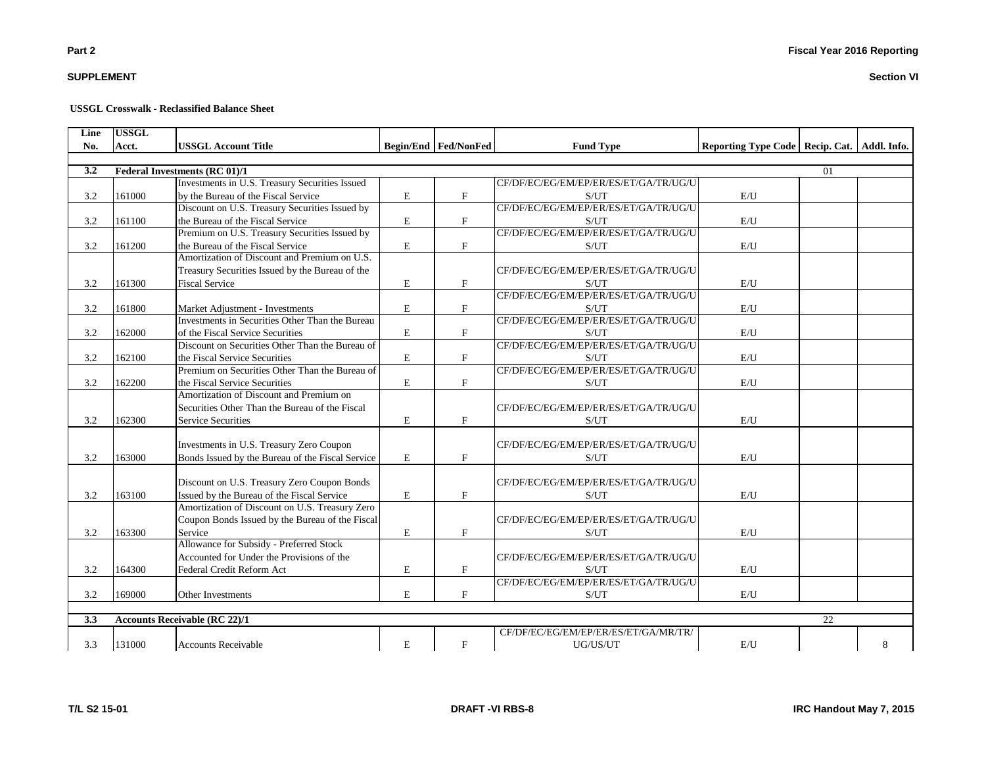**SUPPLEMENT**

#### **USSGL Crosswalk - Reclassified Balance Sheet**

| Line | <b>USSGL</b> |                                                  |             |                      |                                       |                                                 |    |   |
|------|--------------|--------------------------------------------------|-------------|----------------------|---------------------------------------|-------------------------------------------------|----|---|
| No.  | Acct.        | <b>USSGL Account Title</b>                       |             | Begin/End Fed/NonFed | <b>Fund Type</b>                      | Reporting Type Code   Recip. Cat.   Addl. Info. |    |   |
|      |              |                                                  |             |                      |                                       |                                                 |    |   |
| 3.2  |              | Federal Investments (RC 01)/1                    |             |                      |                                       |                                                 | 01 |   |
|      |              | Investments in U.S. Treasury Securities Issued   |             |                      | CF/DF/EC/EG/EM/EP/ER/ES/ET/GA/TR/UG/U |                                                 |    |   |
| 3.2  | 161000       | by the Bureau of the Fiscal Service              | E           | F                    | S/UT                                  | E/U                                             |    |   |
|      |              | Discount on U.S. Treasury Securities Issued by   |             |                      | CF/DF/EC/EG/EM/EP/ER/ES/ET/GA/TR/UG/U |                                                 |    |   |
| 3.2  | 161100       | the Bureau of the Fiscal Service                 | $\mathbf E$ | $\mathbf{F}$         | S/UT                                  | E/U                                             |    |   |
|      |              | Premium on U.S. Treasury Securities Issued by    |             |                      | CF/DF/EC/EG/EM/EP/ER/ES/ET/GA/TR/UG/U |                                                 |    |   |
| 3.2  | 161200       | the Bureau of the Fiscal Service                 | E           | $\mathbf{F}$         | S/UT                                  | E/U                                             |    |   |
|      |              | Amortization of Discount and Premium on U.S.     |             |                      |                                       |                                                 |    |   |
|      |              | Treasury Securities Issued by the Bureau of the  |             |                      | CF/DF/EC/EG/EM/EP/ER/ES/ET/GA/TR/UG/U |                                                 |    |   |
| 3.2  | 161300       | <b>Fiscal Service</b>                            | $\mathbf E$ | $\mathbf F$          | S/UT                                  | E/U                                             |    |   |
|      |              |                                                  |             |                      | CF/DF/EC/EG/EM/EP/ER/ES/ET/GA/TR/UG/U |                                                 |    |   |
| 3.2  | 161800       | Market Adjustment - Investments                  | E           | $\mathbf F$          | S/UT                                  | $\mathrm{E}/\mathrm{U}$                         |    |   |
|      |              | Investments in Securities Other Than the Bureau  |             |                      | CF/DF/EC/EG/EM/EP/ER/ES/ET/GA/TR/UG/U |                                                 |    |   |
| 3.2  | 162000       | of the Fiscal Service Securities                 | E           | $_{\rm F}$           | S/UT                                  | E/U                                             |    |   |
|      |              | Discount on Securities Other Than the Bureau of  |             |                      | CF/DF/EC/EG/EM/EP/ER/ES/ET/GA/TR/UG/U |                                                 |    |   |
| 3.2  | 162100       | the Fiscal Service Securities                    | E           | $\mathbf F$          | S/UT                                  | $\mathbf{E}/\mathbf{U}$                         |    |   |
|      |              | Premium on Securities Other Than the Bureau of   |             |                      | CF/DF/EC/EG/EM/EP/ER/ES/ET/GA/TR/UG/U |                                                 |    |   |
| 3.2  | 162200       | the Fiscal Service Securities                    | $\mathbf E$ | $\mathbf{F}$         | S/UT                                  | E/U                                             |    |   |
|      |              | Amortization of Discount and Premium on          |             |                      |                                       |                                                 |    |   |
|      |              | Securities Other Than the Bureau of the Fiscal   |             |                      | CF/DF/EC/EG/EM/EP/ER/ES/ET/GA/TR/UG/U |                                                 |    |   |
| 3.2  | 162300       | <b>Service Securities</b>                        | $\mathbf E$ | $\mathbf F$          | S/UT                                  | E/U                                             |    |   |
|      |              |                                                  |             |                      |                                       |                                                 |    |   |
|      |              | Investments in U.S. Treasury Zero Coupon         |             |                      | CF/DF/EC/EG/EM/EP/ER/ES/ET/GA/TR/UG/U |                                                 |    |   |
| 3.2  | 163000       | Bonds Issued by the Bureau of the Fiscal Service | E           | $\mathbf F$          | S/UT                                  | E/U                                             |    |   |
|      |              |                                                  |             |                      |                                       |                                                 |    |   |
|      |              | Discount on U.S. Treasury Zero Coupon Bonds      |             |                      | CF/DF/EC/EG/EM/EP/ER/ES/ET/GA/TR/UG/U |                                                 |    |   |
| 3.2  | 163100       | Issued by the Bureau of the Fiscal Service       | $\mathbf E$ | $\mathbf F$          | S/UT                                  | E/U                                             |    |   |
|      |              | Amortization of Discount on U.S. Treasury Zero   |             |                      |                                       |                                                 |    |   |
|      |              | Coupon Bonds Issued by the Bureau of the Fiscal  |             |                      | CF/DF/EC/EG/EM/EP/ER/ES/ET/GA/TR/UG/U |                                                 |    |   |
| 3.2  | 163300       | Service                                          | E           | $\mathbf{F}$         | S/UT                                  | E/U                                             |    |   |
|      |              | Allowance for Subsidy - Preferred Stock          |             |                      |                                       |                                                 |    |   |
|      |              | Accounted for Under the Provisions of the        |             |                      | CF/DF/EC/EG/EM/EP/ER/ES/ET/GA/TR/UG/U |                                                 |    |   |
| 3.2  | 164300       | Federal Credit Reform Act                        | E           | F                    | S/UT                                  | E/U                                             |    |   |
|      |              |                                                  |             |                      | CF/DF/EC/EG/EM/EP/ER/ES/ET/GA/TR/UG/U |                                                 |    |   |
| 3.2  | 169000       | Other Investments                                | E           | F                    | S/UT                                  | E/U                                             |    |   |
|      |              |                                                  |             |                      |                                       |                                                 |    |   |
| 3.3  |              | <b>Accounts Receivable (RC 22)/1</b>             |             |                      |                                       |                                                 | 22 |   |
|      |              |                                                  |             |                      | CF/DF/EC/EG/EM/EP/ER/ES/ET/GA/MR/TR/  |                                                 |    |   |
| 3.3  | 131000       | <b>Accounts Receivable</b>                       | $\mathbf E$ | $\mathbf F$          | UG/US/UT                              | $\mathrm{E}/\mathrm{U}$                         |    | 8 |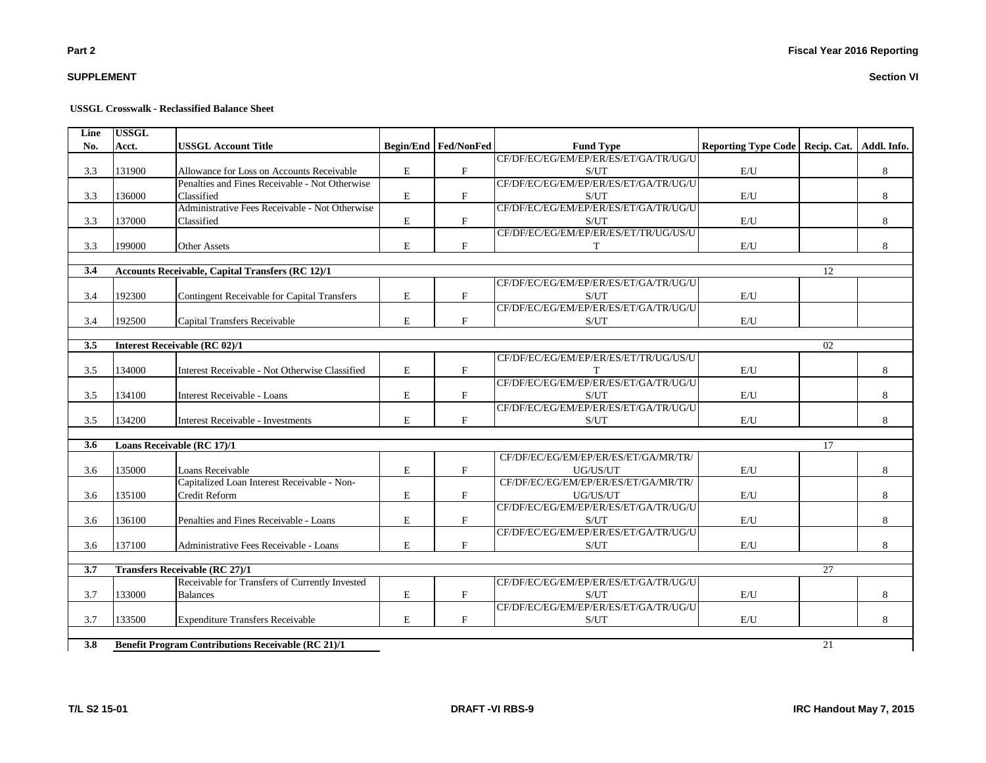# **SUPPLEMENT**

#### **USSGL Crosswalk - Reclassified Balance Sheet**

| Line | <b>USSGL</b> |                                                           |             |                           |                                       |                                   |    |             |
|------|--------------|-----------------------------------------------------------|-------------|---------------------------|---------------------------------------|-----------------------------------|----|-------------|
| No.  | Acct.        | <b>USSGL Account Title</b>                                |             | Begin/End   Fed/NonFed    | <b>Fund Type</b>                      | Reporting Type Code   Recip. Cat. |    | Addl. Info. |
|      |              |                                                           |             |                           | CF/DF/EC/EG/EM/EP/ER/ES/ET/GA/TR/UG/U |                                   |    |             |
| 3.3  | 131900       | Allowance for Loss on Accounts Receivable                 | E           | $\boldsymbol{\mathrm{F}}$ | S/UT                                  | E/U                               |    | 8           |
|      |              | Penalties and Fines Receivable - Not Otherwise            |             |                           | CF/DF/EC/EG/EM/EP/ER/ES/ET/GA/TR/UG/U |                                   |    |             |
| 3.3  | 136000       | Classified                                                | E           | $\mathbf F$               | S/UT                                  | E/U                               |    | 8           |
|      |              | Administrative Fees Receivable - Not Otherwise            |             |                           | CF/DF/EC/EG/EM/EP/ER/ES/ET/GA/TR/UG/U |                                   |    |             |
| 3.3  | 137000       | Classified                                                | $\mathbf E$ | F                         | S/UT                                  | E/U                               |    | 8           |
|      |              |                                                           |             |                           | CF/DF/EC/EG/EM/EP/ER/ES/ET/TR/UG/US/U |                                   |    |             |
| 3.3  | 199000       | <b>Other Assets</b>                                       | E           | F                         | T                                     | E/U                               |    | 8           |
|      |              |                                                           |             |                           |                                       |                                   |    |             |
| 3.4  |              | <b>Accounts Receivable, Capital Transfers (RC 12)/1</b>   |             |                           |                                       |                                   | 12 |             |
|      |              |                                                           |             |                           | CF/DF/EC/EG/EM/EP/ER/ES/ET/GA/TR/UG/U |                                   |    |             |
| 3.4  | 192300       | Contingent Receivable for Capital Transfers               | E           | $_{\rm F}$                | S/UT                                  | E/U                               |    |             |
|      |              |                                                           |             |                           | CF/DF/EC/EG/EM/EP/ER/ES/ET/GA/TR/UG/U |                                   |    |             |
| 3.4  | 192500       | Capital Transfers Receivable                              | E           | $_{\rm F}$                | S/UT                                  | E/U                               |    |             |
|      |              |                                                           |             |                           |                                       |                                   |    |             |
| 3.5  |              | <b>Interest Receivable (RC 02)/1</b>                      |             |                           |                                       |                                   | 02 |             |
|      |              |                                                           |             |                           | CF/DF/EC/EG/EM/EP/ER/ES/ET/TR/UG/US/U |                                   |    |             |
| 3.5  | 134000       | Interest Receivable - Not Otherwise Classified            | E           | $\mathbf F$               |                                       | E/U                               |    | 8           |
|      |              |                                                           |             |                           | CF/DF/EC/EG/EM/EP/ER/ES/ET/GA/TR/UG/U |                                   |    |             |
| 3.5  | 134100       | <b>Interest Receivable - Loans</b>                        | E           | $\mathbf{F}$              | S/UT                                  | E/U                               |    | 8           |
|      |              |                                                           |             |                           | CF/DF/EC/EG/EM/EP/ER/ES/ET/GA/TR/UG/U |                                   |    |             |
| 3.5  | 134200       | <b>Interest Receivable - Investments</b>                  | E           | $_{\rm F}$                | S/UT                                  | E/U                               |    | 8           |
| 3.6  |              | Loans Receivable (RC 17)/1                                |             |                           |                                       |                                   | 17 |             |
|      |              |                                                           |             |                           | CF/DF/EC/EG/EM/EP/ER/ES/ET/GA/MR/TR/  |                                   |    |             |
| 3.6  | 135000       | Loans Receivable                                          | $\mathbf E$ | $\mathbf F$               | UG/US/UT                              | E/U                               |    | 8           |
|      |              | Capitalized Loan Interest Receivable - Non-               |             |                           | CF/DF/EC/EG/EM/EP/ER/ES/ET/GA/MR/TR/  |                                   |    |             |
| 3.6  | 135100       | Credit Reform                                             | E           | $\boldsymbol{\mathrm{F}}$ | UG/US/UT                              | E/U                               |    | 8           |
|      |              |                                                           |             |                           | CF/DF/EC/EG/EM/EP/ER/ES/ET/GA/TR/UG/U |                                   |    |             |
| 3.6  | 136100       | Penalties and Fines Receivable - Loans                    | E           | $\mathbf F$               | S/UT                                  | E/U                               |    | 8           |
|      |              |                                                           |             |                           | CF/DF/EC/EG/EM/EP/ER/ES/ET/GA/TR/UG/U |                                   |    |             |
| 3.6  | 137100       | Administrative Fees Receivable - Loans                    | E           | F                         | S/UT                                  | E/U                               |    | 8           |
|      |              |                                                           |             |                           |                                       |                                   |    |             |
| 3.7  |              | <b>Transfers Receivable (RC 27)/1</b>                     |             |                           |                                       |                                   | 27 |             |
|      |              | Receivable for Transfers of Currently Invested            |             |                           | CF/DF/EC/EG/EM/EP/ER/ES/ET/GA/TR/UG/U |                                   |    |             |
| 3.7  | 133000       | <b>Balances</b>                                           | E           | $\mathbf{F}$              | S/UT                                  | E/U                               |    | 8           |
|      |              |                                                           |             |                           | CF/DF/EC/EG/EM/EP/ER/ES/ET/GA/TR/UG/U |                                   |    |             |
| 3.7  | 133500       | <b>Expenditure Transfers Receivable</b>                   | E           | $_{\rm F}$                | S/UT                                  | E/U                               |    | 8           |
|      |              |                                                           |             |                           |                                       |                                   |    |             |
| 3.8  |              | <b>Benefit Program Contributions Receivable (RC 21)/1</b> |             |                           |                                       |                                   | 21 |             |

**T/L S2 15-01 DRAFT -VI RBS-9 IRC Handout May 7, 2015**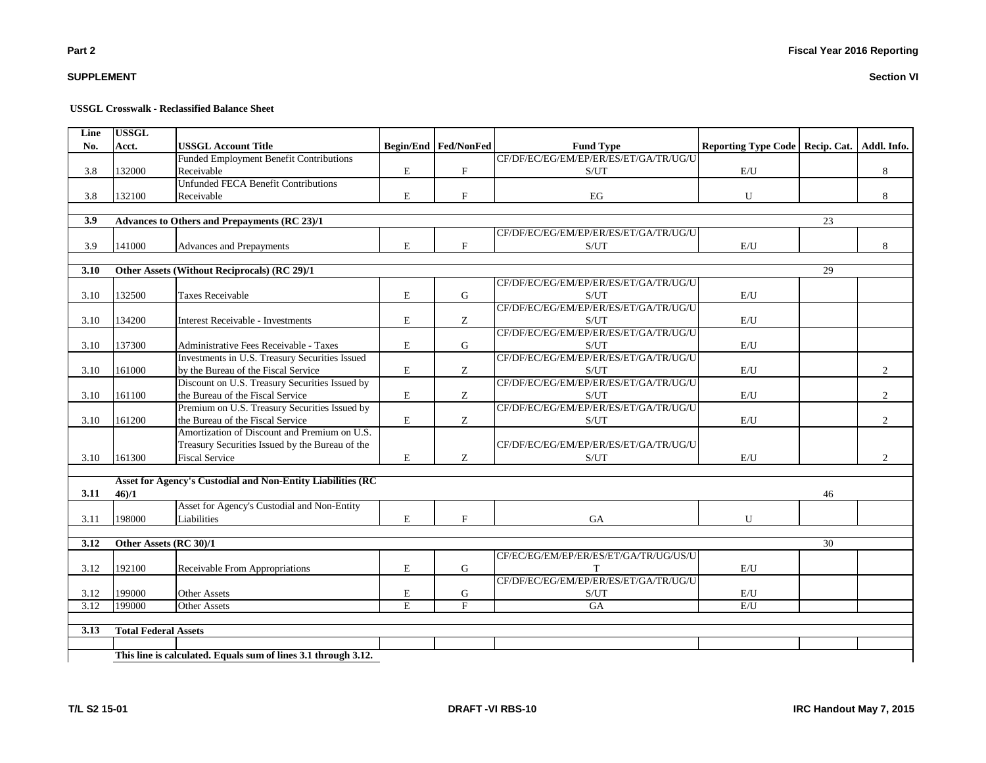| <b>USSGL Crosswalk - Reclassified Balance Sheet</b> |
|-----------------------------------------------------|
|-----------------------------------------------------|

| Line | <b>USSGL</b>                |                                                                |             |                           |                                                    |                                   |    |                |
|------|-----------------------------|----------------------------------------------------------------|-------------|---------------------------|----------------------------------------------------|-----------------------------------|----|----------------|
| No.  | Acct.                       | <b>USSGL Account Title</b>                                     |             | Begin/End Fed/NonFed      | <b>Fund Type</b>                                   | Reporting Type Code   Recip. Cat. |    | Addl. Info.    |
|      |                             | <b>Funded Employment Benefit Contributions</b>                 |             |                           | CF/DF/EC/EG/EM/EP/ER/ES/ET/GA/TR/UG/U              |                                   |    |                |
| 3.8  | 132000                      | Receivable                                                     | $\mathbf E$ | $\mathbf{F}$              | S/UT                                               | E/U                               |    | 8              |
|      |                             | <b>Unfunded FECA Benefit Contributions</b>                     |             |                           |                                                    |                                   |    |                |
| 3.8  | 132100                      | Receivable                                                     | $\mathbf E$ | $\boldsymbol{\mathrm{F}}$ | EG                                                 | ${\bf U}$                         |    | 8              |
| 3.9  |                             | Advances to Others and Prepayments (RC 23)/1                   |             |                           |                                                    |                                   | 23 |                |
|      |                             |                                                                |             |                           | CF/DF/EC/EG/EM/EP/ER/ES/ET/GA/TR/UG/U              |                                   |    |                |
| 3.9  | 141000                      | Advances and Prepayments                                       | $\mathbf E$ | $\mathbf{F}$              | S/UT                                               | E/U                               |    | 8              |
|      |                             |                                                                |             |                           |                                                    |                                   |    |                |
| 3.10 |                             | Other Assets (Without Reciprocals) (RC 29)/1                   |             |                           |                                                    |                                   | 29 |                |
|      |                             |                                                                |             |                           | CF/DF/EC/EG/EM/EP/ER/ES/ET/GA/TR/UG/U              |                                   |    |                |
| 3.10 | 132500                      | <b>Taxes Receivable</b>                                        | E           | G                         | S/UT                                               | E/U                               |    |                |
|      |                             |                                                                |             |                           | CF/DF/EC/EG/EM/EP/ER/ES/ET/GA/TR/UG/U              |                                   |    |                |
| 3.10 | 134200                      | Interest Receivable - Investments                              | E           | Ζ                         | S/UT                                               | $\mathrm{E}/\mathrm{U}$           |    |                |
|      |                             |                                                                |             |                           | CF/DF/EC/EG/EM/EP/ER/ES/ET/GA/TR/UG/U              |                                   |    |                |
| 3.10 | 137300                      | Administrative Fees Receivable - Taxes                         | ${\bf E}$   | G                         | S/UT                                               | E/U                               |    |                |
|      |                             | Investments in U.S. Treasury Securities Issued                 |             |                           | CF/DF/EC/EG/EM/EP/ER/ES/ET/GA/TR/UG/U              |                                   |    |                |
| 3.10 | 161000                      | by the Bureau of the Fiscal Service                            | $\mathbf E$ | Z                         | S/UT                                               | $\mathrm{E}/\mathrm{U}$           |    | $\overline{2}$ |
|      |                             | Discount on U.S. Treasury Securities Issued by                 |             |                           | CF/DF/EC/EG/EM/EP/ER/ES/ET/GA/TR/UG/U              |                                   |    |                |
| 3.10 | 161100                      | the Bureau of the Fiscal Service                               | $\mathbf E$ | Ζ                         | S/UT                                               | E/U                               |    | 2              |
|      |                             | Premium on U.S. Treasury Securities Issued by                  |             |                           | CF/DF/EC/EG/EM/EP/ER/ES/ET/GA/TR/UG/U              |                                   |    |                |
| 3.10 | 161200                      | the Bureau of the Fiscal Service                               | $\mathbf E$ | Z                         | S/UT                                               | E/U                               |    | $\overline{2}$ |
|      |                             | Amortization of Discount and Premium on U.S.                   |             |                           |                                                    |                                   |    |                |
|      |                             | Treasury Securities Issued by the Bureau of the                |             |                           | CF/DF/EC/EG/EM/EP/ER/ES/ET/GA/TR/UG/U              |                                   |    |                |
| 3.10 | 161300                      | <b>Fiscal Service</b>                                          | ${\bf E}$   | Z                         | S/UT                                               | $\mathrm{E}/\mathrm{U}$           |    | $\mathfrak{2}$ |
|      |                             | Asset for Agency's Custodial and Non-Entity Liabilities (RC    |             |                           |                                                    |                                   |    |                |
| 3.11 | 46/1                        |                                                                |             |                           |                                                    |                                   | 46 |                |
|      |                             | Asset for Agency's Custodial and Non-Entity                    |             |                           |                                                    |                                   |    |                |
| 3.11 | 198000                      | Liabilities                                                    | E           | F                         | GA                                                 | U                                 |    |                |
| 3.12 | Other Assets (RC 30)/1      |                                                                |             |                           |                                                    |                                   | 30 |                |
|      |                             |                                                                |             |                           | CF/EC/EG/EM/EP/ER/ES/ET/GA/TR/UG/US/U              |                                   |    |                |
| 3.12 | 192100                      | Receivable From Appropriations                                 | $\mathbf E$ | ${\bf G}$                 | T                                                  | $\mathrm{E}/\mathrm{U}$           |    |                |
|      |                             |                                                                |             |                           | CF/DF/EC/EG/EM/EP/ER/ES/ET/GA/TR/UG/U              |                                   |    |                |
| 3.12 | 199000                      | <b>Other Assets</b>                                            | $\mathbf E$ | G                         | $\ensuremath{\mathrm{S}}/\ensuremath{\mathrm{UT}}$ | E/U                               |    |                |
| 3.12 | 199000                      | <b>Other Assets</b>                                            | E           | $\overline{F}$            | GA                                                 | E/I                               |    |                |
|      |                             |                                                                |             |                           |                                                    |                                   |    |                |
| 3.13 | <b>Total Federal Assets</b> |                                                                |             |                           |                                                    |                                   |    |                |
|      |                             |                                                                |             |                           |                                                    |                                   |    |                |
|      |                             | This line is calculated. Equals sum of lines 3.1 through 3.12. |             |                           |                                                    |                                   |    |                |

**SUPPLEMENT**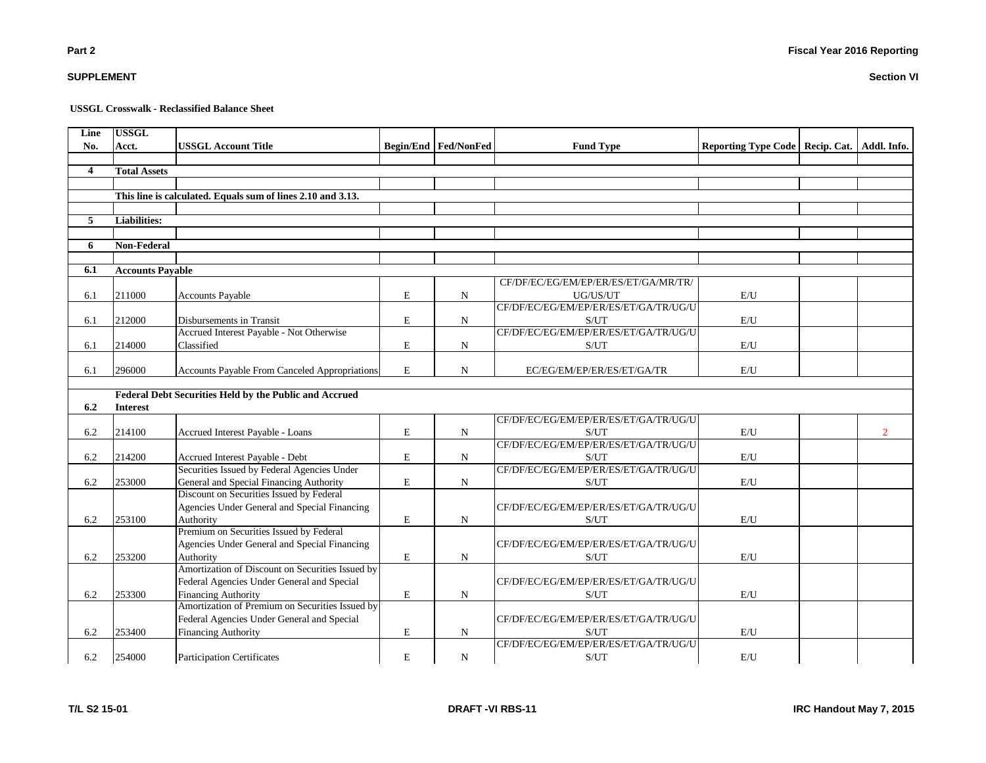# **Section VI**

**Fiscal Year 2016 Reporting**

**USSGL Crosswalk - Reclassified Balance Sheet**

| Line           | <b>USSGL</b>            |                                                                                     |             |                               |                                       |                                                 |                |
|----------------|-------------------------|-------------------------------------------------------------------------------------|-------------|-------------------------------|---------------------------------------|-------------------------------------------------|----------------|
| No.            | Acct.                   | <b>USSGL Account Title</b>                                                          |             | <b>Begin/End   Fed/NonFed</b> | <b>Fund Type</b>                      | Reporting Type Code   Recip. Cat.   Addl. Info. |                |
| $\overline{4}$ |                         |                                                                                     |             |                               |                                       |                                                 |                |
|                | <b>Total Assets</b>     |                                                                                     |             |                               |                                       |                                                 |                |
|                |                         | This line is calculated. Equals sum of lines 2.10 and 3.13.                         |             |                               |                                       |                                                 |                |
|                |                         |                                                                                     |             |                               |                                       |                                                 |                |
| 5              | <b>Liabilities:</b>     |                                                                                     |             |                               |                                       |                                                 |                |
|                |                         |                                                                                     |             |                               |                                       |                                                 |                |
| 6              | <b>Non-Federal</b>      |                                                                                     |             |                               |                                       |                                                 |                |
|                |                         |                                                                                     |             |                               |                                       |                                                 |                |
| 6.1            | <b>Accounts Pavable</b> |                                                                                     |             |                               |                                       |                                                 |                |
|                |                         |                                                                                     |             |                               | CF/DF/EC/EG/EM/EP/ER/ES/ET/GA/MR/TR/  |                                                 |                |
| 6.1            | 211000                  | <b>Accounts Payable</b>                                                             | E           | N                             | UG/US/UT                              | E/U                                             |                |
|                |                         |                                                                                     |             |                               | CF/DF/EC/EG/EM/EP/ER/ES/ET/GA/TR/UG/U |                                                 |                |
| 6.1            | 212000                  | Disbursements in Transit                                                            | $\mathbf E$ | N                             | S/UT                                  | E/U                                             |                |
|                |                         | Accrued Interest Payable - Not Otherwise                                            |             |                               | CF/DF/EC/EG/EM/EP/ER/ES/ET/GA/TR/UG/U |                                                 |                |
| 6.1            | 214000                  | Classified                                                                          | $\mathbf E$ | ${\bf N}$                     | S/UT                                  | E/U                                             |                |
|                |                         |                                                                                     |             |                               |                                       |                                                 |                |
| 6.1            | 296000                  | Accounts Payable From Canceled Appropriations                                       | $\mathbf E$ | N                             | EC/EG/EM/EP/ER/ES/ET/GA/TR            | E/U                                             |                |
|                |                         |                                                                                     |             |                               |                                       |                                                 |                |
|                |                         | Federal Debt Securities Held by the Public and Accrued                              |             |                               |                                       |                                                 |                |
| 6.2            | <b>Interest</b>         |                                                                                     |             |                               |                                       |                                                 |                |
|                |                         |                                                                                     |             |                               | CF/DF/EC/EG/EM/EP/ER/ES/ET/GA/TR/UG/U |                                                 |                |
| 6.2            | 214100                  | Accrued Interest Payable - Loans                                                    | E           | N                             | S/UT                                  | $\mathbf{E}/\mathbf{U}$                         | $\overline{2}$ |
|                |                         |                                                                                     |             |                               | CF/DF/EC/EG/EM/EP/ER/ES/ET/GA/TR/UG/U |                                                 |                |
| 6.2            | 214200                  | Accrued Interest Payable - Debt                                                     | E           | N                             | S/UT                                  | E/U                                             |                |
|                |                         | Securities Issued by Federal Agencies Under                                         |             |                               | CF/DF/EC/EG/EM/EP/ER/ES/ET/GA/TR/UG/U |                                                 |                |
| 6.2            | 253000                  | General and Special Financing Authority<br>Discount on Securities Issued by Federal | E           | N                             | S/UT                                  | E/U                                             |                |
|                |                         | Agencies Under General and Special Financing                                        |             |                               | CF/DF/EC/EG/EM/EP/ER/ES/ET/GA/TR/UG/U |                                                 |                |
| 6.2            | 253100                  | Authority                                                                           | E           | N                             | S/UT                                  | E/U                                             |                |
|                |                         | Premium on Securities Issued by Federal                                             |             |                               |                                       |                                                 |                |
|                |                         | Agencies Under General and Special Financing                                        |             |                               | CF/DF/EC/EG/EM/EP/ER/ES/ET/GA/TR/UG/U |                                                 |                |
| 6.2            | 253200                  | Authority                                                                           | $\mathbf E$ | N                             | S/UT                                  | E/U                                             |                |
|                |                         | Amortization of Discount on Securities Issued by                                    |             |                               |                                       |                                                 |                |
|                |                         | Federal Agencies Under General and Special                                          |             |                               | CF/DF/EC/EG/EM/EP/ER/ES/ET/GA/TR/UG/U |                                                 |                |
| 6.2            | 253300                  | <b>Financing Authority</b>                                                          | E           | N                             | S/UT                                  | E/U                                             |                |
|                |                         | Amortization of Premium on Securities Issued by                                     |             |                               |                                       |                                                 |                |
|                |                         | Federal Agencies Under General and Special                                          |             |                               | CF/DF/EC/EG/EM/EP/ER/ES/ET/GA/TR/UG/U |                                                 |                |
| 6.2            | 253400                  | <b>Financing Authority</b>                                                          | E           | N                             | S/UT                                  | E/U                                             |                |
|                |                         |                                                                                     |             |                               | CF/DF/EC/EG/EM/EP/ER/ES/ET/GA/TR/UG/U |                                                 |                |
| 6.2            | 254000                  | <b>Participation Certificates</b>                                                   | E           | N                             | S/UT                                  | E/U                                             |                |

**Part 2**

**SUPPLEMENT**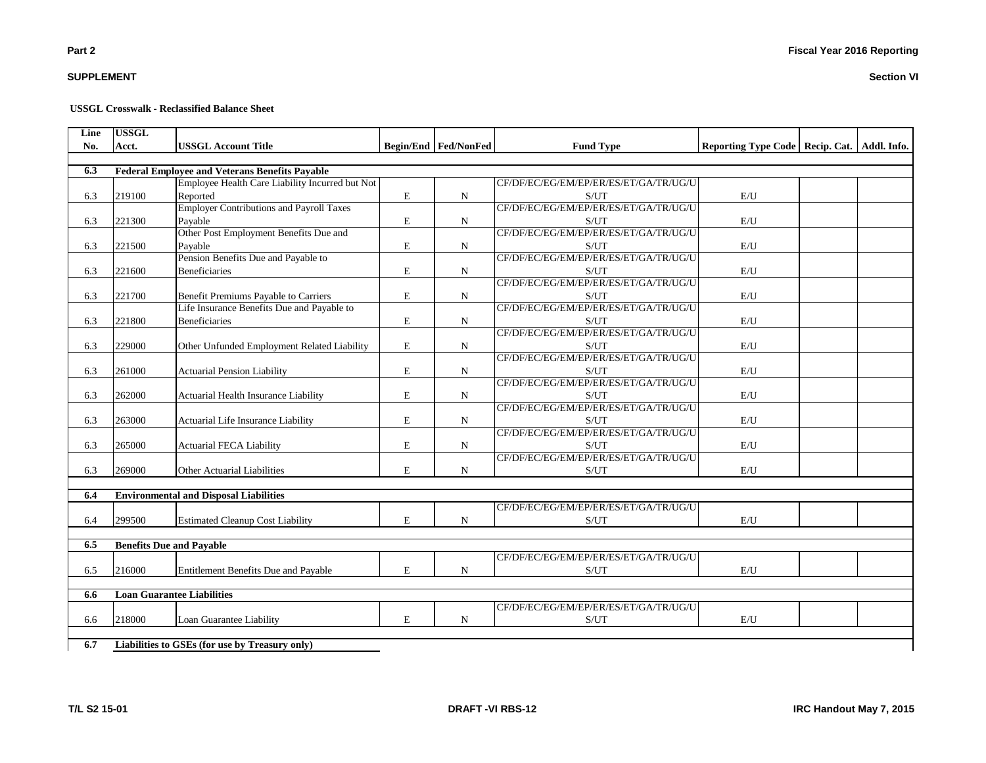# **SUPPLEMENT**

**Part 2**

#### **USSGL Crosswalk - Reclassified Balance Sheet**

| Line | <b>USSGL</b> |                                                       |             |                             |                                                    |                                                 |  |
|------|--------------|-------------------------------------------------------|-------------|-----------------------------|----------------------------------------------------|-------------------------------------------------|--|
| No.  | Acct.        | <b>USSGL Account Title</b>                            |             | <b>Begin/End Fed/NonFed</b> | <b>Fund Type</b>                                   | Reporting Type Code   Recip. Cat.   Addl. Info. |  |
|      |              |                                                       |             |                             |                                                    |                                                 |  |
| 6.3  |              | <b>Federal Employee and Veterans Benefits Payable</b> |             |                             |                                                    |                                                 |  |
|      |              | Employee Health Care Liability Incurred but Not       |             |                             | CF/DF/EC/EG/EM/EP/ER/ES/ET/GA/TR/UG/U              |                                                 |  |
| 6.3  | 219100       | Reported                                              | E           | $\mathbf N$                 | S/UT                                               | E/U                                             |  |
|      |              | <b>Employer Contributions and Payroll Taxes</b>       |             |                             | CF/DF/EC/EG/EM/EP/ER/ES/ET/GA/TR/UG/U              |                                                 |  |
| 6.3  | 221300       | Pavable                                               | E           | $\mathbf N$                 | S/UT                                               | E/U                                             |  |
|      |              | Other Post Employment Benefits Due and                |             |                             | CF/DF/EC/EG/EM/EP/ER/ES/ET/GA/TR/UG/U              |                                                 |  |
| 6.3  | 221500       | Payable                                               | E           | $\mathbf N$                 | S/UT                                               | E/U                                             |  |
|      |              | Pension Benefits Due and Payable to                   |             |                             | CF/DF/EC/EG/EM/EP/ER/ES/ET/GA/TR/UG/U              |                                                 |  |
| 6.3  | 221600       | <b>Beneficiaries</b>                                  | E           | $\mathbf N$                 | S/UT                                               | E/U                                             |  |
|      |              |                                                       |             |                             | CF/DF/EC/EG/EM/EP/ER/ES/ET/GA/TR/UG/U              |                                                 |  |
| 6.3  | 221700       | <b>Benefit Premiums Payable to Carriers</b>           | $\mathbf E$ | $\mathbf N$                 | S/UT                                               | E/U                                             |  |
|      |              | Life Insurance Benefits Due and Payable to            |             |                             | CF/DF/EC/EG/EM/EP/ER/ES/ET/GA/TR/UG/U              |                                                 |  |
| 6.3  | 221800       | <b>Beneficiaries</b>                                  | E           | $\mathbf N$                 | S/UT                                               | E/U                                             |  |
|      |              |                                                       |             |                             | CF/DF/EC/EG/EM/EP/ER/ES/ET/GA/TR/UG/U              |                                                 |  |
| 6.3  | 229000       | Other Unfunded Employment Related Liability           | E           | $\mathbf N$                 | $\ensuremath{\mathrm{S}}/\ensuremath{\mathrm{UT}}$ | $\mathbf{E}/\mathbf{U}$                         |  |
|      |              |                                                       |             |                             | CF/DF/EC/EG/EM/EP/ER/ES/ET/GA/TR/UG/U              |                                                 |  |
| 6.3  | 261000       | <b>Actuarial Pension Liability</b>                    | E           | N                           | S/UT                                               | E/U                                             |  |
|      |              |                                                       |             |                             | CF/DF/EC/EG/EM/EP/ER/ES/ET/GA/TR/UG/U              |                                                 |  |
| 6.3  | 262000       | Actuarial Health Insurance Liability                  | E           | $\mathbf N$                 | S/UT                                               | E/U                                             |  |
|      | 263000       |                                                       | E           |                             | CF/DF/EC/EG/EM/EP/ER/ES/ET/GA/TR/UG/U              |                                                 |  |
| 6.3  |              | Actuarial Life Insurance Liability                    |             | $\mathbf N$                 | S/UT<br>CF/DF/EC/EG/EM/EP/ER/ES/ET/GA/TR/UG/U      | $\mathrm{E}/\mathrm{U}$                         |  |
| 6.3  | 265000       | <b>Actuarial FECA Liability</b>                       | E           |                             |                                                    | E/U                                             |  |
|      |              |                                                       |             | $\mathbf N$                 | S/UT<br>CF/DF/EC/EG/EM/EP/ER/ES/ET/GA/TR/UG/U      |                                                 |  |
| 6.3  | 269000       | Other Actuarial Liabilities                           | E           | N                           | S/UT                                               | E/U                                             |  |
|      |              |                                                       |             |                             |                                                    |                                                 |  |
| 6.4  |              | <b>Environmental and Disposal Liabilities</b>         |             |                             |                                                    |                                                 |  |
|      |              |                                                       |             |                             | CF/DF/EC/EG/EM/EP/ER/ES/ET/GA/TR/UG/U              |                                                 |  |
| 6.4  | 299500       | <b>Estimated Cleanup Cost Liability</b>               | E           | $\mathbf N$                 | S/UT                                               | E/U                                             |  |
|      |              |                                                       |             |                             |                                                    |                                                 |  |
| 6.5  |              | <b>Benefits Due and Payable</b>                       |             |                             |                                                    |                                                 |  |
|      |              |                                                       |             |                             | CF/DF/EC/EG/EM/EP/ER/ES/ET/GA/TR/UG/U              |                                                 |  |
| 6.5  | 216000       | <b>Entitlement Benefits Due and Payable</b>           | E           | N                           | S/UT                                               | E/U                                             |  |
|      |              |                                                       |             |                             |                                                    |                                                 |  |
| 6.6  |              | <b>Loan Guarantee Liabilities</b>                     |             |                             |                                                    |                                                 |  |
|      |              |                                                       |             |                             | CF/DF/EC/EG/EM/EP/ER/ES/ET/GA/TR/UG/U              |                                                 |  |
| 6.6  | 218000       | Loan Guarantee Liability                              | E           | $\mathbf N$                 | S/UT                                               | E/U                                             |  |
|      |              |                                                       |             |                             |                                                    |                                                 |  |
| 6.7  |              | Liabilities to GSEs (for use by Treasury only)        |             |                             |                                                    |                                                 |  |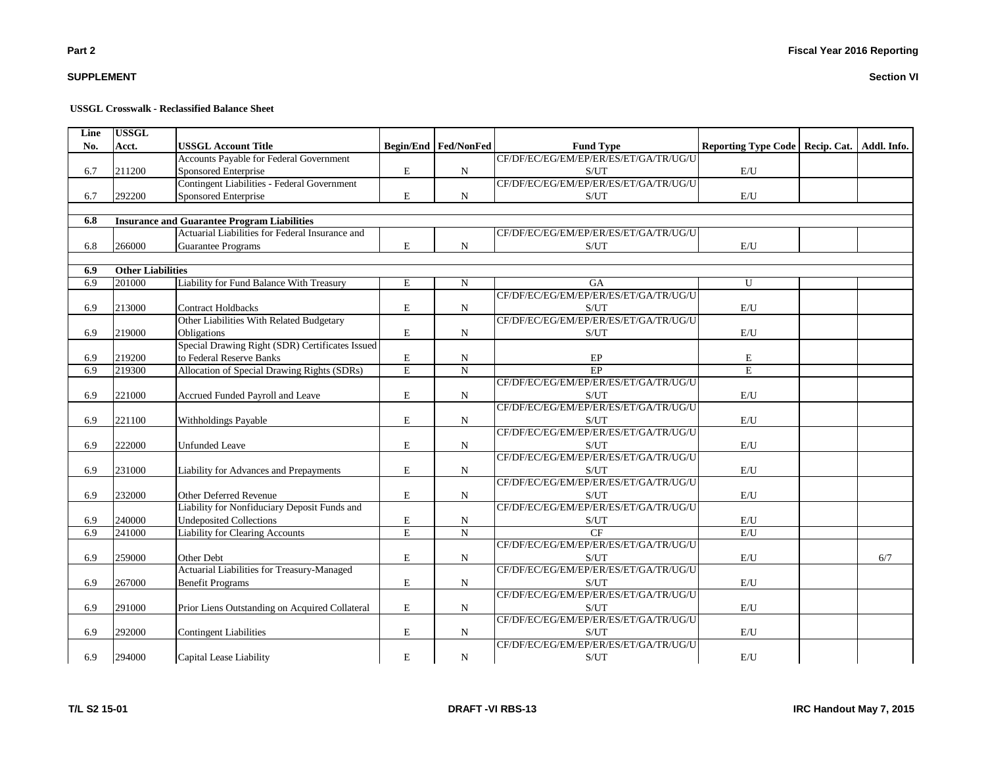# **SUPPLEMENT**

# **USSGL Crosswalk - Reclassified Balance Sheet**

| Line<br>No. | <b>USSGL</b><br>Acct.    | <b>USSGL Account Title</b>                               |             | <b>Begin/End Fed/NonFed</b> | <b>Fund Type</b>                              | Reporting Type Code   Recip. Cat.   Addl. Info. |     |
|-------------|--------------------------|----------------------------------------------------------|-------------|-----------------------------|-----------------------------------------------|-------------------------------------------------|-----|
|             |                          | <b>Accounts Payable for Federal Government</b>           |             |                             | CF/DF/EC/EG/EM/EP/ER/ES/ET/GA/TR/UG/U         |                                                 |     |
| 6.7         | 211200                   | Sponsored Enterprise                                     | E           | N                           | S/UT                                          | E/U                                             |     |
|             |                          | Contingent Liabilities - Federal Government              |             |                             | CF/DF/EC/EG/EM/EP/ER/ES/ET/GA/TR/UG/U         |                                                 |     |
| 6.7         | 292200                   | Sponsored Enterprise                                     | E           | N                           | S/UT                                          | E/U                                             |     |
|             |                          |                                                          |             |                             |                                               |                                                 |     |
| 6.8         |                          | <b>Insurance and Guarantee Program Liabilities</b>       |             |                             |                                               |                                                 |     |
|             |                          | Actuarial Liabilities for Federal Insurance and          |             |                             | CF/DF/EC/EG/EM/EP/ER/ES/ET/GA/TR/UG/U         |                                                 |     |
| 6.8         | 266000                   | <b>Guarantee Programs</b>                                | E           | N                           | S/UT                                          | E/U                                             |     |
|             |                          |                                                          |             |                             |                                               |                                                 |     |
| 6.9         | <b>Other Liabilities</b> |                                                          |             |                             |                                               |                                                 |     |
| 6.9         | 201000                   | Liability for Fund Balance With Treasury                 | $\mathbf E$ | ${\bf N}$                   | <b>GA</b>                                     | U                                               |     |
|             |                          |                                                          |             |                             | CF/DF/EC/EG/EM/EP/ER/ES/ET/GA/TR/UG/U         |                                                 |     |
| 6.9         | 213000                   | <b>Contract Holdbacks</b>                                | $\mathbf E$ | N                           | S/UT                                          | E/U                                             |     |
|             |                          | Other Liabilities With Related Budgetary                 |             |                             | CF/DF/EC/EG/EM/EP/ER/ES/ET/GA/TR/UG/U         |                                                 |     |
| 6.9         | 219000                   | Obligations                                              | $\mathbf E$ | N                           | S/UT                                          | E/U                                             |     |
|             |                          | Special Drawing Right (SDR) Certificates Issued          |             |                             |                                               |                                                 |     |
| 6.9         | 219200                   | to Federal Reserve Banks                                 | $\mathbf E$ | N                           | EP                                            | $\mathbf E$                                     |     |
| 6.9         | 219300                   | Allocation of Special Drawing Rights (SDRs)              | ${\bf E}$   | $\mathbf N$                 | EP                                            | $\mathbf E$                                     |     |
|             |                          |                                                          |             |                             | CF/DF/EC/EG/EM/EP/ER/ES/ET/GA/TR/UG/U         |                                                 |     |
| 6.9         | 221000                   | Accrued Funded Payroll and Leave                         | $\mathbf E$ | N                           | S/UT                                          | E/U                                             |     |
|             |                          |                                                          |             |                             | CF/DF/EC/EG/EM/EP/ER/ES/ET/GA/TR/UG/U         |                                                 |     |
| 6.9         | 221100                   | Withholdings Payable                                     | $\mathbf E$ | N                           | S/UT                                          | E/U                                             |     |
|             |                          |                                                          |             |                             | CF/DF/EC/EG/EM/EP/ER/ES/ET/GA/TR/UG/U         |                                                 |     |
| 6.9         | 222000                   | <b>Unfunded Leave</b>                                    | ${\bf E}$   | N                           | S/UT                                          | E/U                                             |     |
|             |                          |                                                          |             |                             | CF/DF/EC/EG/EM/EP/ER/ES/ET/GA/TR/UG/U         |                                                 |     |
| 6.9         | 231000                   | Liability for Advances and Prepayments                   | ${\bf E}$   | ${\bf N}$                   | S/UT                                          | $\mathbf{E}/\mathbf{U}$                         |     |
|             |                          |                                                          |             |                             | CF/DF/EC/EG/EM/EP/ER/ES/ET/GA/TR/UG/U         |                                                 |     |
| 6.9         | 232000                   | <b>Other Deferred Revenue</b>                            | $\mathbf E$ | N                           | S/UT                                          | E/U                                             |     |
|             |                          | Liability for Nonfiduciary Deposit Funds and             |             |                             | CF/DF/EC/EG/EM/EP/ER/ES/ET/GA/TR/UG/U         |                                                 |     |
| 6.9         | 240000                   | <b>Undeposited Collections</b>                           | E           | N                           | S/UT<br>CF                                    | E/U                                             |     |
| 6.9         | 241000                   | Liability for Clearing Accounts                          | E           | $\overline{N}$              |                                               | E/U                                             |     |
|             |                          |                                                          |             |                             | CF/DF/EC/EG/EM/EP/ER/ES/ET/GA/TR/UG/U         |                                                 |     |
| 6.9         | 259000                   | Other Debt<br>Actuarial Liabilities for Treasury-Managed | $\mathbf E$ | N                           | S/UT<br>CF/DF/EC/EG/EM/EP/ER/ES/ET/GA/TR/UG/U | E/U                                             | 6/7 |
|             |                          |                                                          |             |                             |                                               |                                                 |     |
| 6.9         | 267000                   | <b>Benefit Programs</b>                                  | $\mathbf E$ | N                           | S/UT<br>CF/DF/EC/EG/EM/EP/ER/ES/ET/GA/TR/UG/U | E/U                                             |     |
|             |                          |                                                          |             |                             |                                               |                                                 |     |
| 6.9         | 291000                   | Prior Liens Outstanding on Acquired Collateral           | ${\bf E}$   | ${\bf N}$                   | S/UT<br>CF/DF/EC/EG/EM/EP/ER/ES/ET/GA/TR/UG/U | $\mathrm{E}/\mathrm{U}$                         |     |
|             | 292000                   |                                                          | $\mathbf E$ |                             |                                               | E/U                                             |     |
| 6.9         |                          | <b>Contingent Liabilities</b>                            |             | N                           | S/UT<br>CF/DF/EC/EG/EM/EP/ER/ES/ET/GA/TR/UG/U |                                                 |     |
|             |                          |                                                          |             |                             |                                               |                                                 |     |
| 6.9         | 294000                   | Capital Lease Liability                                  | $\mathbf E$ | N                           | S/UT                                          | E/U                                             |     |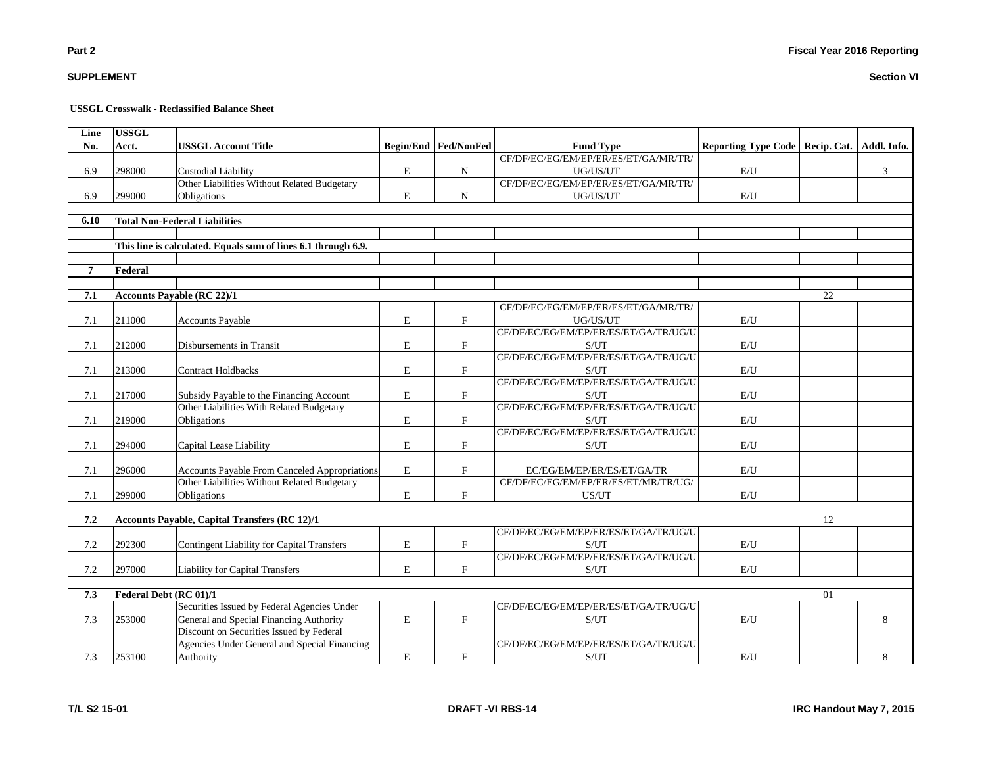# **Section VI**

**USSGL Crosswalk - Reclassified Balance Sheet**

| Line           | <b>USSGL</b>           |                                                               |             |                      |                                       |                                                 |    |   |
|----------------|------------------------|---------------------------------------------------------------|-------------|----------------------|---------------------------------------|-------------------------------------------------|----|---|
| No.            | Acct.                  | <b>USSGL Account Title</b>                                    |             | Begin/End Fed/NonFed | <b>Fund Type</b>                      | Reporting Type Code   Recip. Cat.   Addl. Info. |    |   |
|                |                        |                                                               |             |                      | CF/DF/EC/EG/EM/EP/ER/ES/ET/GA/MR/TR/  |                                                 |    |   |
| 6.9            | 298000                 | <b>Custodial Liability</b>                                    | E           | N                    | UG/US/UT                              | E/U                                             |    | 3 |
|                |                        | Other Liabilities Without Related Budgetary                   |             |                      | CF/DF/EC/EG/EM/EP/ER/ES/ET/GA/MR/TR/  |                                                 |    |   |
| 6.9            | 299000                 | Obligations                                                   | $\mathbf E$ | $\mathbf N$          | UG/US/UT                              | E/U                                             |    |   |
|                |                        |                                                               |             |                      |                                       |                                                 |    |   |
| 6.10           |                        | <b>Total Non-Federal Liabilities</b>                          |             |                      |                                       |                                                 |    |   |
|                |                        |                                                               |             |                      |                                       |                                                 |    |   |
|                |                        | This line is calculated. Equals sum of lines 6.1 through 6.9. |             |                      |                                       |                                                 |    |   |
|                |                        |                                                               |             |                      |                                       |                                                 |    |   |
| $\overline{7}$ | Federal                |                                                               |             |                      |                                       |                                                 |    |   |
|                |                        |                                                               |             |                      |                                       |                                                 |    |   |
| 7.1            |                        | <b>Accounts Payable (RC 22)/1</b>                             |             |                      |                                       |                                                 | 22 |   |
|                |                        |                                                               |             |                      | CF/DF/EC/EG/EM/EP/ER/ES/ET/GA/MR/TR/  |                                                 |    |   |
| 7.1            | 211000                 | <b>Accounts Payable</b>                                       | $\mathbf E$ | $\mathbf{F}$         | UG/US/UT                              | E/U                                             |    |   |
|                |                        |                                                               |             |                      | CF/DF/EC/EG/EM/EP/ER/ES/ET/GA/TR/UG/U |                                                 |    |   |
| 7.1            | 212000                 | Disbursements in Transit                                      | $\mathbf E$ | $\mathbf F$          | S/UT                                  | E/U                                             |    |   |
|                |                        |                                                               |             |                      | CF/DF/EC/EG/EM/EP/ER/ES/ET/GA/TR/UG/U |                                                 |    |   |
| 7.1            | 213000                 | <b>Contract Holdbacks</b>                                     | E           | F                    | S/UT                                  | E/U                                             |    |   |
|                |                        |                                                               |             |                      | CF/DF/EC/EG/EM/EP/ER/ES/ET/GA/TR/UG/U |                                                 |    |   |
| 7.1            | 217000                 | Subsidy Payable to the Financing Account                      | E           | $\mathbf{F}$         | S/UT                                  | E/U                                             |    |   |
|                |                        | Other Liabilities With Related Budgetary                      |             |                      | CF/DF/EC/EG/EM/EP/ER/ES/ET/GA/TR/UG/U |                                                 |    |   |
| 7.1            | 219000                 | Obligations                                                   | E           | $\mathbf F$          | S/UT                                  | E/U                                             |    |   |
|                |                        |                                                               |             |                      | CF/DF/EC/EG/EM/EP/ER/ES/ET/GA/TR/UG/U |                                                 |    |   |
| 7.1            | 294000                 | Capital Lease Liability                                       | $\mathbf E$ | $\mathbf F$          | S/UT                                  | E/U                                             |    |   |
|                |                        |                                                               |             |                      |                                       |                                                 |    |   |
| 7.1            | 296000                 | Accounts Payable From Canceled Appropriations                 | E           | $\mathbf{F}$         | EC/EG/EM/EP/ER/ES/ET/GA/TR            | E/U                                             |    |   |
|                |                        | Other Liabilities Without Related Budgetary                   |             |                      | CF/DF/EC/EG/EM/EP/ER/ES/ET/MR/TR/UG/  |                                                 |    |   |
| 7.1            | 299000                 | Obligations                                                   | E           | $\mathbf{F}$         | US/UT                                 | E/U                                             |    |   |
|                |                        |                                                               |             |                      |                                       |                                                 |    |   |
| 7.2            |                        | <b>Accounts Payable, Capital Transfers (RC 12)/1</b>          |             |                      |                                       |                                                 | 12 |   |
|                |                        |                                                               |             |                      | CF/DF/EC/EG/EM/EP/ER/ES/ET/GA/TR/UG/U |                                                 |    |   |
| 7.2            | 292300                 | <b>Contingent Liability for Capital Transfers</b>             | $\mathbf E$ | $\mathbf F$          | S/UT                                  | $\mathrm{E}/\mathrm{U}$                         |    |   |
|                |                        |                                                               |             |                      | CF/DF/EC/EG/EM/EP/ER/ES/ET/GA/TR/UG/U |                                                 |    |   |
| 7.2            | 297000                 | <b>Liability for Capital Transfers</b>                        | $\mathbf E$ | $\mathbf{F}$         | S/UT                                  | E/U                                             |    |   |
|                |                        |                                                               |             |                      |                                       |                                                 |    |   |
| 7.3            | Federal Debt (RC 01)/1 |                                                               |             |                      |                                       |                                                 | 01 |   |
|                |                        | Securities Issued by Federal Agencies Under                   |             |                      | CF/DF/EC/EG/EM/EP/ER/ES/ET/GA/TR/UG/U |                                                 |    |   |
| 7.3            | 253000                 | General and Special Financing Authority                       | $\mathbf E$ | F                    | S/UT                                  | E/U                                             |    | 8 |
|                |                        | Discount on Securities Issued by Federal                      |             |                      |                                       |                                                 |    |   |
|                |                        | Agencies Under General and Special Financing                  |             |                      | CF/DF/EC/EG/EM/EP/ER/ES/ET/GA/TR/UG/U |                                                 |    |   |
| 7.3            | 253100                 | Authority                                                     | $\mathbf E$ | $\mathbf F$          | S/UT                                  | E/U                                             |    | 8 |

**SUPPLEMENT**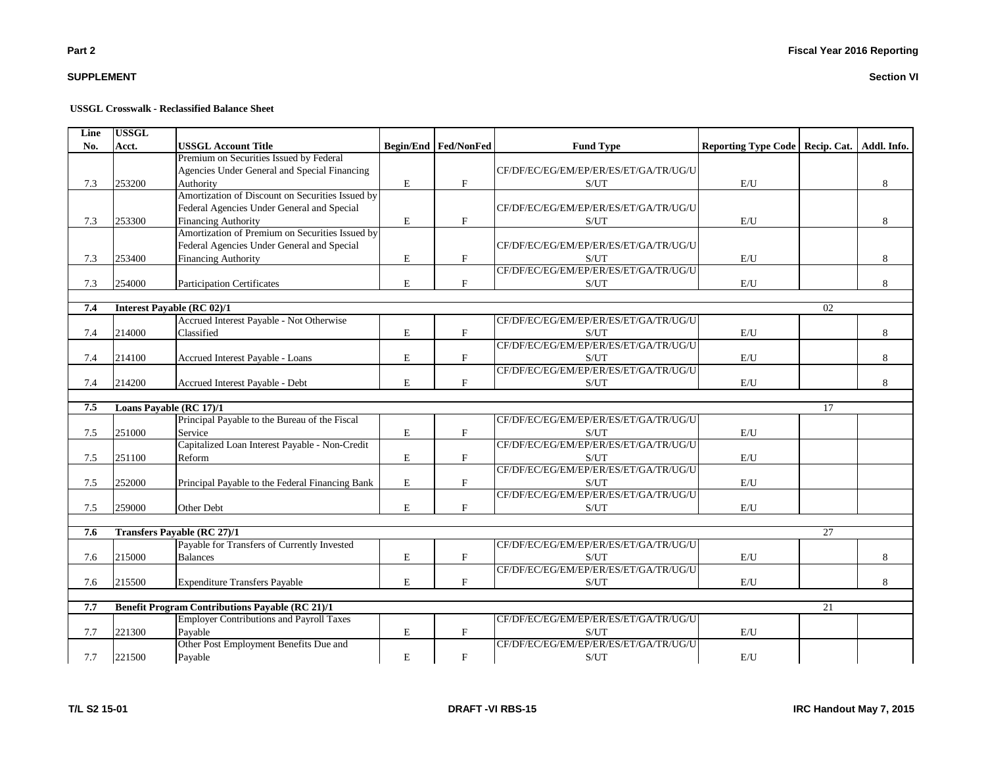# **SUPPLEMENT**

#### **USSGL Crosswalk - Reclassified Balance Sheet**

| Line | <b>USSGL</b> |                                                        |             |                      |                                                    |                                                 |    |   |
|------|--------------|--------------------------------------------------------|-------------|----------------------|----------------------------------------------------|-------------------------------------------------|----|---|
| No.  | Acct.        | <b>USSGL Account Title</b>                             |             | Begin/End Fed/NonFed | <b>Fund Type</b>                                   | Reporting Type Code   Recip. Cat.   Addl. Info. |    |   |
|      |              | Premium on Securities Issued by Federal                |             |                      |                                                    |                                                 |    |   |
|      |              | Agencies Under General and Special Financing           |             |                      | CF/DF/EC/EG/EM/EP/ER/ES/ET/GA/TR/UG/U              |                                                 |    |   |
| 7.3  | 253200       | Authority                                              | $\mathbf E$ | $\mathbf{F}$         | S/UT                                               | $\mathrm{E}/\mathrm{U}$                         |    | 8 |
|      |              | Amortization of Discount on Securities Issued by       |             |                      |                                                    |                                                 |    |   |
|      |              | Federal Agencies Under General and Special             |             |                      | CF/DF/EC/EG/EM/EP/ER/ES/ET/GA/TR/UG/U              |                                                 |    |   |
| 7.3  | 253300       | <b>Financing Authority</b>                             | $\mathbf E$ | $\rm F$              | S/UT                                               | E/U                                             |    | 8 |
|      |              | Amortization of Premium on Securities Issued by        |             |                      |                                                    |                                                 |    |   |
|      |              | Federal Agencies Under General and Special             |             |                      | CF/DF/EC/EG/EM/EP/ER/ES/ET/GA/TR/UG/U              |                                                 |    |   |
| 7.3  | 253400       | <b>Financing Authority</b>                             | $\mathbf E$ | $_{\rm F}$           | S/UT                                               | E/U                                             |    | 8 |
|      |              |                                                        |             |                      | CF/DF/EC/EG/EM/EP/ER/ES/ET/GA/TR/UG/U              |                                                 |    |   |
| 7.3  | 254000       | <b>Participation Certificates</b>                      | E           | F                    | S/UT                                               | E/U                                             |    | 8 |
|      |              |                                                        |             |                      |                                                    |                                                 |    |   |
| 7.4  |              | Interest Payable (RC 02)/1                             |             |                      |                                                    |                                                 | 02 |   |
|      |              | Accrued Interest Payable - Not Otherwise               |             |                      | CF/DF/EC/EG/EM/EP/ER/ES/ET/GA/TR/UG/U              |                                                 |    |   |
| 7.4  | 214000       | Classified                                             | E           | $\mathbf{F}$         | S/UT                                               | E/U                                             |    | 8 |
|      |              |                                                        |             |                      | CF/DF/EC/EG/EM/EP/ER/ES/ET/GA/TR/UG/U              |                                                 |    |   |
| 7.4  | 214100       | Accrued Interest Payable - Loans                       | ${\bf E}$   | $\mathbf{F}$         | S/UT                                               | $\mathbf{E}/\mathbf{U}$                         |    | 8 |
|      |              |                                                        |             |                      | CF/DF/EC/EG/EM/EP/ER/ES/ET/GA/TR/UG/U              |                                                 |    |   |
| 7.4  | 214200       | Accrued Interest Payable - Debt                        | $\mathbf E$ | F                    | S/UT                                               | E/U                                             |    | 8 |
| 7.5  |              | Loans Payable (RC 17)/1                                |             |                      |                                                    |                                                 | 17 |   |
|      |              | Principal Payable to the Bureau of the Fiscal          |             |                      | CF/DF/EC/EG/EM/EP/ER/ES/ET/GA/TR/UG/U              |                                                 |    |   |
| 7.5  | 251000       | Service                                                | $\mathbf E$ | $\mathbf{F}$         | S/UT                                               | E/U                                             |    |   |
|      |              | Capitalized Loan Interest Payable - Non-Credit         |             |                      | CF/DF/EC/EG/EM/EP/ER/ES/ET/GA/TR/UG/U              |                                                 |    |   |
| 7.5  | 251100       | Reform                                                 | E           | $\mathbf{F}$         | S/UT                                               | E/U                                             |    |   |
|      |              |                                                        |             |                      | CF/DF/EC/EG/EM/EP/ER/ES/ET/GA/TR/UG/U              |                                                 |    |   |
| 7.5  | 252000       | Principal Payable to the Federal Financing Bank        | $\mathbf E$ | $_{\rm F}$           | S/UT                                               | E/U                                             |    |   |
|      |              |                                                        |             |                      | CF/DF/EC/EG/EM/EP/ER/ES/ET/GA/TR/UG/U              |                                                 |    |   |
| 7.5  | 259000       | Other Debt                                             | E           | F                    | S/UT                                               | E/U                                             |    |   |
|      |              |                                                        |             |                      |                                                    |                                                 |    |   |
| 7.6  |              | <b>Transfers Payable (RC 27)/1</b>                     |             |                      |                                                    |                                                 | 27 |   |
|      |              | Payable for Transfers of Currently Invested            |             |                      | CF/DF/EC/EG/EM/EP/ER/ES/ET/GA/TR/UG/U              |                                                 |    |   |
| 7.6  | 215000       | <b>Balances</b>                                        | $\mathbf E$ | $\mathbf{F}$         | S/UT                                               | E/U                                             |    | 8 |
|      |              |                                                        |             |                      | CF/DF/EC/EG/EM/EP/ER/ES/ET/GA/TR/UG/U              |                                                 |    |   |
| 7.6  | 215500       | <b>Expenditure Transfers Payable</b>                   | $\mathbf E$ | $\mathbf{F}$         | S/UT                                               | $\mathbf{E}/\mathbf{U}$                         |    | 8 |
|      |              |                                                        |             |                      |                                                    |                                                 |    |   |
| 7.7  |              | <b>Benefit Program Contributions Payable (RC 21)/1</b> |             |                      |                                                    |                                                 | 21 |   |
|      |              | <b>Employer Contributions and Payroll Taxes</b>        |             |                      | CF/DF/EC/EG/EM/EP/ER/ES/ET/GA/TR/UG/U              |                                                 |    |   |
| 7.7  | 221300       | Payable                                                | ${\bf E}$   | $\mathbf{F}$         | $\ensuremath{\mathrm{S}}/\ensuremath{\mathrm{UT}}$ | E/U                                             |    |   |
|      |              | Other Post Employment Benefits Due and                 |             |                      | CF/DF/EC/EG/EM/EP/ER/ES/ET/GA/TR/UG/U              |                                                 |    |   |
| 7.7  | 221500       | Payable                                                | $\mathbf E$ | $\mathbf{F}$         | S/UT                                               | E/U                                             |    |   |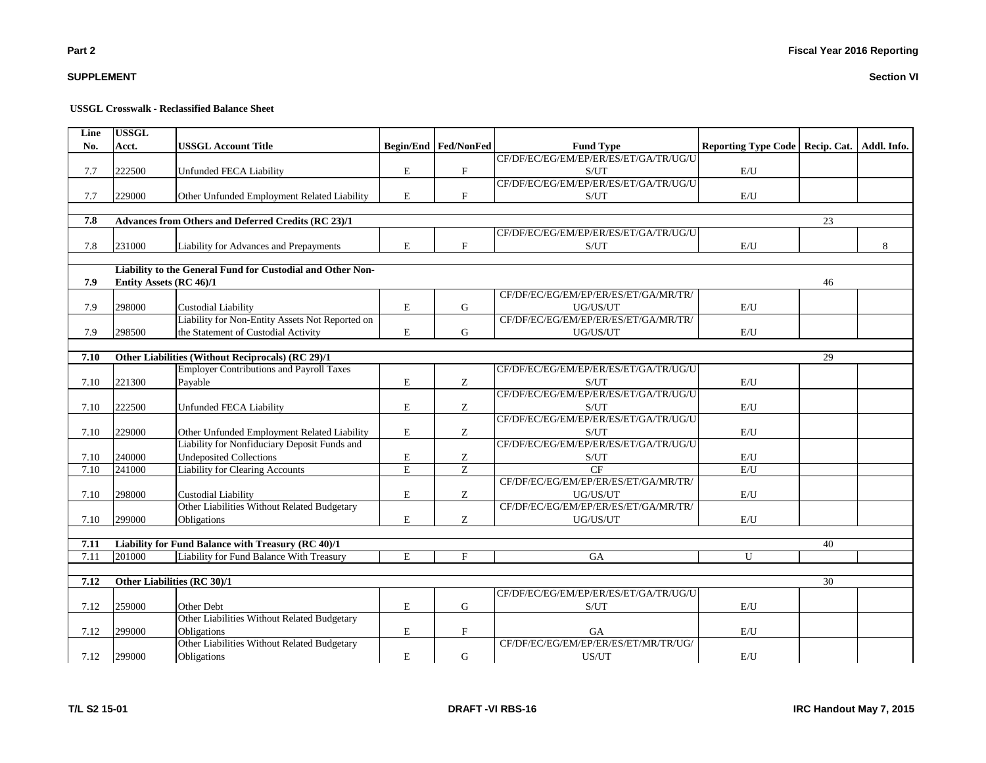# **T/L S2 15-01 DRAFT -VI RBS-16 IRC Handout May 7, 2015**

# **USSGL Crosswalk - Reclassified Balance Sheet**

| Line<br>No. | <b>USSGL</b><br>Acct. | <b>USSGL Account Title</b>                                 |             | Begin/End   Fed/NonFed    | <b>Fund Type</b>                      | Reporting Type Code   Recip. Cat. |    | Addl. Info. |
|-------------|-----------------------|------------------------------------------------------------|-------------|---------------------------|---------------------------------------|-----------------------------------|----|-------------|
|             |                       |                                                            |             |                           | CF/DF/EC/EG/EM/EP/ER/ES/ET/GA/TR/UG/U |                                   |    |             |
| 7.7         | 222500                | Unfunded FECA Liability                                    | E           | $\mathbf F$               | S/UT                                  | E/U                               |    |             |
|             |                       |                                                            |             |                           | CF/DF/EC/EG/EM/EP/ER/ES/ET/GA/TR/UG/U |                                   |    |             |
| 7.7         | 229000                | Other Unfunded Employment Related Liability                | $\mathbf E$ | $\boldsymbol{\mathrm{F}}$ | S/UT                                  | $\mathbf{E}/\mathbf{U}$           |    |             |
| 7.8         |                       | Advances from Others and Deferred Credits (RC 23)/1        |             |                           |                                       |                                   | 23 |             |
|             |                       |                                                            |             |                           | CF/DF/EC/EG/EM/EP/ER/ES/ET/GA/TR/UG/U |                                   |    |             |
| 7.8         | 231000                | Liability for Advances and Prepayments                     | $\mathbf E$ | F                         | S/UT                                  | E/U                               |    | 8           |
|             |                       | Liability to the General Fund for Custodial and Other Non- |             |                           |                                       |                                   |    |             |
| 7.9         |                       | Entity Assets (RC 46)/1                                    |             |                           |                                       |                                   | 46 |             |
|             |                       |                                                            |             |                           | CF/DF/EC/EG/EM/EP/ER/ES/ET/GA/MR/TR/  |                                   |    |             |
| 7.9         | 298000                | <b>Custodial Liability</b>                                 | $\mathbf E$ | G                         | UG/US/UT                              | E/U                               |    |             |
|             |                       | Liability for Non-Entity Assets Not Reported on            |             |                           | CF/DF/EC/EG/EM/EP/ER/ES/ET/GA/MR/TR/  |                                   |    |             |
| 7.9         | 298500                | the Statement of Custodial Activity                        | E           | G                         | UG/US/UT                              | E/U                               |    |             |
| 7.10        |                       | Other Liabilities (Without Reciprocals) (RC 29)/1          |             |                           |                                       |                                   | 29 |             |
|             |                       | <b>Employer Contributions and Payroll Taxes</b>            |             |                           | CF/DF/EC/EG/EM/EP/ER/ES/ET/GA/TR/UG/U |                                   |    |             |
| 7.10        | 221300                | Payable                                                    | $\mathbf E$ | Z                         | S/UT                                  | E/U                               |    |             |
|             |                       |                                                            |             |                           | CF/DF/EC/EG/EM/EP/ER/ES/ET/GA/TR/UG/U |                                   |    |             |
| 7.10        | 222500                | Unfunded FECA Liability                                    | E           | Ζ                         | S/UT                                  | E/U                               |    |             |
|             |                       |                                                            |             |                           | CF/DF/EC/EG/EM/EP/ER/ES/ET/GA/TR/UG/U |                                   |    |             |
| 7.10        | 229000                | Other Unfunded Employment Related Liability                | $\mathbf E$ | Z                         | S/UT                                  | E/U                               |    |             |
|             |                       | Liability for Nonfiduciary Deposit Funds and               |             |                           | CF/DF/EC/EG/EM/EP/ER/ES/ET/GA/TR/UG/U |                                   |    |             |
| 7.10        | 240000                | <b>Undeposited Collections</b>                             | E           | Ζ                         | S/UT                                  | E/U                               |    |             |
| 7.10        | 241000                | Liability for Clearing Accounts                            | E           | $\overline{z}$            | CF                                    | E/U                               |    |             |
|             |                       |                                                            |             |                           | CF/DF/EC/EG/EM/EP/ER/ES/ET/GA/MR/TR/  |                                   |    |             |
| 7.10        | 298000                | <b>Custodial Liability</b>                                 | $\mathbf E$ | Ζ                         | UG/US/UT                              | $\mathbf{E}/\mathbf{U}$           |    |             |
|             |                       | Other Liabilities Without Related Budgetary                |             |                           | CF/DF/EC/EG/EM/EP/ER/ES/ET/GA/MR/TR/  |                                   |    |             |
| 7.10        | 299000                | Obligations                                                | E           | Z                         | UG/US/UT                              | E/U                               |    |             |
| 7.11        |                       | Liability for Fund Balance with Treasury (RC 40)/1         |             |                           |                                       |                                   | 40 |             |
| 7.11        | 201000                | Liability for Fund Balance With Treasury                   | E           | F                         | <b>GA</b>                             | $\mathbf{U}$                      |    |             |
| 7.12        |                       | Other Liabilities (RC 30)/1                                |             |                           |                                       |                                   | 30 |             |
|             |                       |                                                            |             |                           | CF/DF/EC/EG/EM/EP/ER/ES/ET/GA/TR/UG/U |                                   |    |             |
| 7.12        | 259000                | Other Debt                                                 | $\mathbf E$ | G                         | S/UT                                  | E/U                               |    |             |
|             |                       | Other Liabilities Without Related Budgetary                |             |                           |                                       |                                   |    |             |
| 7.12        | 299000                | Obligations                                                | E           | $\mathbf F$               | <b>GA</b>                             | E/U                               |    |             |
|             |                       | Other Liabilities Without Related Budgetary                |             |                           | CF/DF/EC/EG/EM/EP/ER/ES/ET/MR/TR/UG/  |                                   |    |             |
| 7.12        | 299000                | Obligations                                                | $\mathbf E$ | $\mathbf G$               | US/UT                                 | E/U                               |    |             |

**SUPPLEMENT**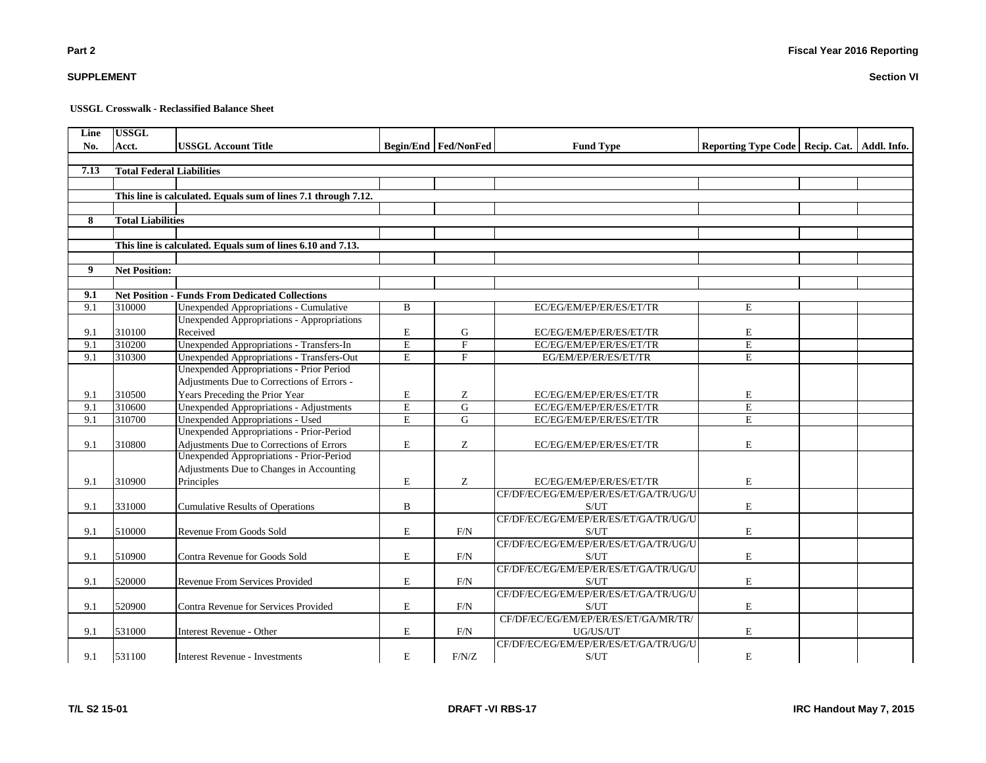**USSGL Crosswalk - Reclassified Balance Sheet**

| Line | <b>USSGL</b>                     |                                                                |                         |                      |                                       |                                                 |  |
|------|----------------------------------|----------------------------------------------------------------|-------------------------|----------------------|---------------------------------------|-------------------------------------------------|--|
| No.  | Acct.                            | <b>USSGL Account Title</b>                                     |                         | Begin/End Fed/NonFed | <b>Fund Type</b>                      | Reporting Type Code   Recip. Cat.   Addl. Info. |  |
|      |                                  |                                                                |                         |                      |                                       |                                                 |  |
| 7.13 | <b>Total Federal Liabilities</b> |                                                                |                         |                      |                                       |                                                 |  |
|      |                                  |                                                                |                         |                      |                                       |                                                 |  |
|      |                                  | This line is calculated. Equals sum of lines 7.1 through 7.12. |                         |                      |                                       |                                                 |  |
|      |                                  |                                                                |                         |                      |                                       |                                                 |  |
| 8    | <b>Total Liabilities</b>         |                                                                |                         |                      |                                       |                                                 |  |
|      |                                  |                                                                |                         |                      |                                       |                                                 |  |
|      |                                  | This line is calculated. Equals sum of lines 6.10 and 7.13.    |                         |                      |                                       |                                                 |  |
|      |                                  |                                                                |                         |                      |                                       |                                                 |  |
| 9    | <b>Net Position:</b>             |                                                                |                         |                      |                                       |                                                 |  |
|      |                                  |                                                                |                         |                      |                                       |                                                 |  |
| 9.1  |                                  | <b>Net Position - Funds From Dedicated Collections</b>         |                         |                      |                                       |                                                 |  |
| 9.1  | 310000                           | Unexpended Appropriations - Cumulative                         | B                       |                      | EC/EG/EM/EP/ER/ES/ET/TR               | E                                               |  |
|      |                                  | <b>Unexpended Appropriations - Appropriations</b>              |                         |                      |                                       |                                                 |  |
| 9.1  | 310100                           | Received                                                       | E                       | G                    | EC/EG/EM/EP/ER/ES/ET/TR               | E                                               |  |
| 9.1  | 310200                           | Unexpended Appropriations - Transfers-In                       | $\overline{\mathrm{E}}$ | $\mathbf{F}$         | EC/EG/EM/EP/ER/ES/ET/TR               | $\mathbf E$                                     |  |
| 9.1  | 310300                           | <b>Unexpended Appropriations - Transfers-Out</b>               | $\overline{E}$          | $\overline{F}$       | EG/EM/EP/ER/ES/ET/TR                  | $\overline{E}$                                  |  |
|      |                                  | Unexpended Appropriations - Prior Period                       |                         |                      |                                       |                                                 |  |
|      |                                  | Adjustments Due to Corrections of Errors -                     |                         |                      |                                       |                                                 |  |
| 9.1  | 310500                           | Years Preceding the Prior Year                                 | ${\bf E}$               | Z                    | EC/EG/EM/EP/ER/ES/ET/TR               | E                                               |  |
| 9.1  | 310600                           | <b>Unexpended Appropriations - Adjustments</b>                 | $\mathbf E$             | G                    | EC/EG/EM/EP/ER/ES/ET/TR               | E                                               |  |
| 9.1  | 310700                           | <b>Unexpended Appropriations - Used</b>                        | E                       | G                    | EC/EG/EM/EP/ER/ES/ET/TR               | E                                               |  |
|      |                                  | Unexpended Appropriations - Prior-Period                       |                         |                      |                                       |                                                 |  |
| 9.1  | 310800                           | Adjustments Due to Corrections of Errors                       | $\mathbf E$             | Ζ                    | EC/EG/EM/EP/ER/ES/ET/TR               | E                                               |  |
|      |                                  | Unexpended Appropriations - Prior-Period                       |                         |                      |                                       |                                                 |  |
|      |                                  | Adjustments Due to Changes in Accounting                       |                         |                      |                                       |                                                 |  |
| 9.1  | 310900                           | Principles                                                     | E                       | Ζ                    | EC/EG/EM/EP/ER/ES/ET/TR               | E                                               |  |
|      |                                  |                                                                |                         |                      | CF/DF/EC/EG/EM/EP/ER/ES/ET/GA/TR/UG/U |                                                 |  |
| 9.1  | 331000                           | <b>Cumulative Results of Operations</b>                        | $\, {\bf B}$            |                      | S/UT                                  | E                                               |  |
|      |                                  |                                                                |                         |                      | CF/DF/EC/EG/EM/EP/ER/ES/ET/GA/TR/UG/U |                                                 |  |
| 9.1  | 510000                           | Revenue From Goods Sold                                        | $\mathbf E$             | F/N                  | S/UT                                  | E                                               |  |
|      |                                  |                                                                |                         |                      | CF/DF/EC/EG/EM/EP/ER/ES/ET/GA/TR/UG/U |                                                 |  |
| 9.1  | 510900                           | Contra Revenue for Goods Sold                                  | $\mathbf E$             | F/N                  | S/UT                                  | E                                               |  |
|      |                                  |                                                                |                         |                      | CF/DF/EC/EG/EM/EP/ER/ES/ET/GA/TR/UG/U |                                                 |  |
| 9.1  | 520000                           | Revenue From Services Provided                                 | ${\bf E}$               | F/N                  | S/UT                                  | E                                               |  |
|      |                                  |                                                                |                         |                      | CF/DF/EC/EG/EM/EP/ER/ES/ET/GA/TR/UG/U |                                                 |  |
| 9.1  | 520900                           | Contra Revenue for Services Provided                           | E                       | F/N                  | S/UT                                  | E                                               |  |
|      |                                  |                                                                |                         |                      | CF/DF/EC/EG/EM/EP/ER/ES/ET/GA/MR/TR/  |                                                 |  |
| 9.1  | 531000                           | Interest Revenue - Other                                       | $\mathbf E$             | F/N                  | UG/US/UT                              | E                                               |  |
|      |                                  |                                                                |                         |                      | CF/DF/EC/EG/EM/EP/ER/ES/ET/GA/TR/UG/U |                                                 |  |
| 9.1  | 531100                           | <b>Interest Revenue - Investments</b>                          | $\mathbf E$             | F/N/Z                | S/UT                                  | E                                               |  |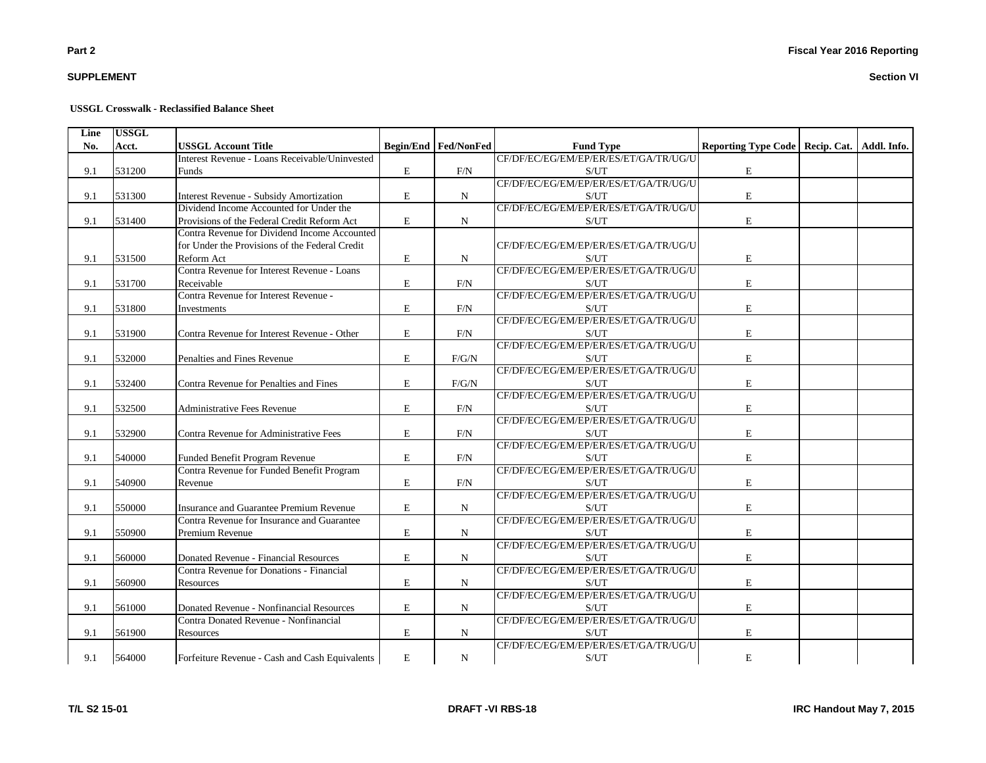# **SUPPLEMENT**

#### **USSGL Crosswalk - Reclassified Balance Sheet**

| Line | <b>USSGL</b> |                                                                             |             |                             |                                                    |                                                 |  |
|------|--------------|-----------------------------------------------------------------------------|-------------|-----------------------------|----------------------------------------------------|-------------------------------------------------|--|
| No.  | Acct.        | <b>USSGL Account Title</b>                                                  |             | <b>Begin/End Fed/NonFed</b> | <b>Fund Type</b>                                   | Reporting Type Code   Recip. Cat.   Addl. Info. |  |
|      |              | Interest Revenue - Loans Receivable/Uninvested                              |             |                             | CF/DF/EC/EG/EM/EP/ER/ES/ET/GA/TR/UG/U              |                                                 |  |
| 9.1  | 531200       | Funds                                                                       | $\mathbf E$ | F/N                         | S/UT                                               | $\mathbf E$                                     |  |
|      |              |                                                                             |             |                             | CF/DF/EC/EG/EM/EP/ER/ES/ET/GA/TR/UG/U              |                                                 |  |
| 9.1  | 531300       | Interest Revenue - Subsidy Amortization                                     | $\mathbf E$ | $\mathbf N$                 | S/UT                                               | $\mathbf E$                                     |  |
|      |              | Dividend Income Accounted for Under the                                     |             |                             | CF/DF/EC/EG/EM/EP/ER/ES/ET/GA/TR/UG/U              |                                                 |  |
| 9.1  | 531400       | Provisions of the Federal Credit Reform Act                                 | $\mathbf E$ | $\mathbf N$                 | S/UT                                               | $\mathbf E$                                     |  |
|      |              | Contra Revenue for Dividend Income Accounted                                |             |                             |                                                    |                                                 |  |
|      |              | for Under the Provisions of the Federal Credit                              |             |                             | CF/DF/EC/EG/EM/EP/ER/ES/ET/GA/TR/UG/U              |                                                 |  |
| 9.1  | 531500       | Reform Act                                                                  | E           | N                           | S/UT                                               | $\mathbf E$                                     |  |
|      |              | Contra Revenue for Interest Revenue - Loans                                 |             |                             | CF/DF/EC/EG/EM/EP/ER/ES/ET/GA/TR/UG/U              |                                                 |  |
| 9.1  | 531700       | Receivable                                                                  | E           | F/N                         | S/UT                                               | $\mathbf E$                                     |  |
|      |              | Contra Revenue for Interest Revenue -                                       |             |                             | CF/DF/EC/EG/EM/EP/ER/ES/ET/GA/TR/UG/U              |                                                 |  |
| 9.1  | 531800       | Investments                                                                 | E           | F/N                         | S/UT                                               | E                                               |  |
|      |              |                                                                             |             |                             | CF/DF/EC/EG/EM/EP/ER/ES/ET/GA/TR/UG/U              |                                                 |  |
| 9.1  | 531900       | Contra Revenue for Interest Revenue - Other                                 | $\mathbf E$ | F/N                         | S/UT                                               | E                                               |  |
|      |              |                                                                             |             |                             | CF/DF/EC/EG/EM/EP/ER/ES/ET/GA/TR/UG/U              |                                                 |  |
| 9.1  | 532000       | Penalties and Fines Revenue                                                 | $\mathbf E$ | F/G/N                       | S/UT                                               | $\mathbf E$                                     |  |
|      |              |                                                                             |             |                             | CF/DF/EC/EG/EM/EP/ER/ES/ET/GA/TR/UG/U              |                                                 |  |
| 9.1  | 532400       | Contra Revenue for Penalties and Fines                                      | $\mathbf E$ | F/G/N                       | S/UT                                               | $\mathbf E$                                     |  |
|      |              |                                                                             |             |                             | CF/DF/EC/EG/EM/EP/ER/ES/ET/GA/TR/UG/U              |                                                 |  |
| 9.1  | 532500       | <b>Administrative Fees Revenue</b>                                          | E           | F/N                         | S/UT                                               | $\mathbf E$                                     |  |
|      |              |                                                                             |             |                             | CF/DF/EC/EG/EM/EP/ER/ES/ET/GA/TR/UG/U              |                                                 |  |
| 9.1  | 532900       | Contra Revenue for Administrative Fees                                      | E           | F/N                         | S/UT                                               | $\mathbf E$                                     |  |
|      |              |                                                                             |             |                             | CF/DF/EC/EG/EM/EP/ER/ES/ET/GA/TR/UG/U              |                                                 |  |
| 9.1  | 540000       |                                                                             | E           | F/N                         | S/UT                                               | $\mathbf E$                                     |  |
|      |              | Funded Benefit Program Revenue<br>Contra Revenue for Funded Benefit Program |             |                             | CF/DF/EC/EG/EM/EP/ER/ES/ET/GA/TR/UG/U              |                                                 |  |
|      |              |                                                                             |             |                             |                                                    |                                                 |  |
| 9.1  | 540900       | Revenue                                                                     | $\mathbf E$ | F/N                         | S/UT                                               | $\mathbf E$                                     |  |
|      |              |                                                                             |             |                             | CF/DF/EC/EG/EM/EP/ER/ES/ET/GA/TR/UG/U              |                                                 |  |
| 9.1  | 550000       | Insurance and Guarantee Premium Revenue                                     | E           | N                           | S/UT                                               | $\mathbf E$                                     |  |
|      |              | Contra Revenue for Insurance and Guarantee                                  |             |                             | CF/DF/EC/EG/EM/EP/ER/ES/ET/GA/TR/UG/U              |                                                 |  |
| 9.1  | 550900       | Premium Revenue                                                             | $\mathbf E$ | N                           | S/UT                                               | $\mathbf E$                                     |  |
|      |              |                                                                             |             |                             | CF/DF/EC/EG/EM/EP/ER/ES/ET/GA/TR/UG/U              |                                                 |  |
| 9.1  | 560000       | Donated Revenue - Financial Resources                                       | $\mathbf E$ | N                           | $\ensuremath{\mathrm{S}}/\ensuremath{\mathrm{UT}}$ | $\mathbf E$                                     |  |
|      |              | Contra Revenue for Donations - Financial                                    |             |                             | CF/DF/EC/EG/EM/EP/ER/ES/ET/GA/TR/UG/U              |                                                 |  |
| 9.1  | 560900       | Resources                                                                   | $\mathbf E$ | N                           | S/UT                                               | $\mathbf E$                                     |  |
|      |              |                                                                             |             |                             | CF/DF/EC/EG/EM/EP/ER/ES/ET/GA/TR/UG/U              |                                                 |  |
| 9.1  | 561000       | Donated Revenue - Nonfinancial Resources                                    | $\mathbf E$ | N                           | S/UT                                               | $\mathbf E$                                     |  |
|      |              | Contra Donated Revenue - Nonfinancial                                       |             |                             | CF/DF/EC/EG/EM/EP/ER/ES/ET/GA/TR/UG/U              |                                                 |  |
| 9.1  | 561900       | Resources                                                                   | $\mathbf E$ | N                           | S/UT                                               | $\mathbf E$                                     |  |
|      |              |                                                                             |             |                             | CF/DF/EC/EG/EM/EP/ER/ES/ET/GA/TR/UG/U              |                                                 |  |
| 9.1  | 564000       | Forfeiture Revenue - Cash and Cash Equivalents                              | E           | ${\bf N}$                   | S/UT                                               | $\mathbf E$                                     |  |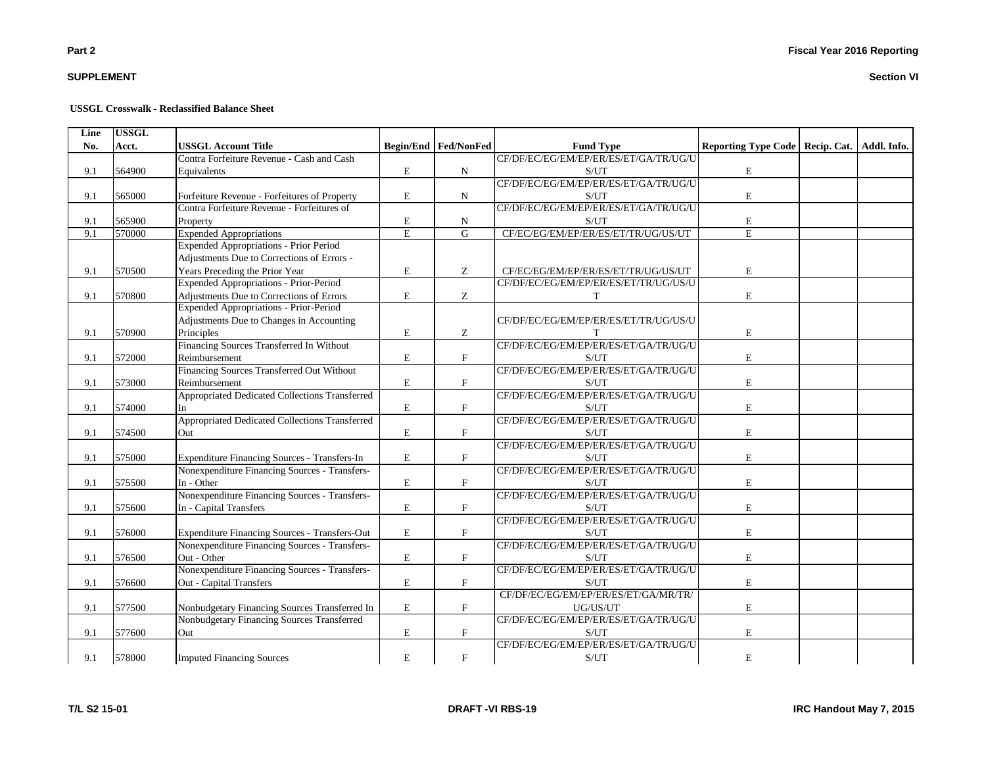# **SUPPLEMENT**

#### **USSGL Crosswalk - Reclassified Balance Sheet**

| Line | <b>USSGL</b> |                                                |             |                             |                                       |                                                 |  |
|------|--------------|------------------------------------------------|-------------|-----------------------------|---------------------------------------|-------------------------------------------------|--|
| No.  | Acct.        | <b>USSGL Account Title</b>                     |             | <b>Begin/End Fed/NonFed</b> | <b>Fund Type</b>                      | Reporting Type Code   Recip. Cat.   Addl. Info. |  |
|      |              | Contra Forfeiture Revenue - Cash and Cash      |             |                             | CF/DF/EC/EG/EM/EP/ER/ES/ET/GA/TR/UG/U |                                                 |  |
| 9.1  | 564900       | Equivalents                                    | E           | N                           | S/UT                                  | $\mathbf E$                                     |  |
|      |              |                                                |             |                             | CF/DF/EC/EG/EM/EP/ER/ES/ET/GA/TR/UG/U |                                                 |  |
| 9.1  | 565000       | Forfeiture Revenue - Forfeitures of Property   | E           | N                           | S/UT                                  | E                                               |  |
|      |              | Contra Forfeiture Revenue - Forfeitures of     |             |                             | CF/DF/EC/EG/EM/EP/ER/ES/ET/GA/TR/UG/U |                                                 |  |
| 9.1  | 565900       | Property                                       | E           | N                           | S/UT                                  | E                                               |  |
| 9.1  | 570000       | <b>Expended Appropriations</b>                 | E           | $\overline{G}$              | CF/EC/EG/EM/EP/ER/ES/ET/TR/UG/US/UT   | $\overline{E}$                                  |  |
|      |              | <b>Expended Appropriations - Prior Period</b>  |             |                             |                                       |                                                 |  |
|      |              | Adjustments Due to Corrections of Errors -     |             |                             |                                       |                                                 |  |
| 9.1  | 570500       | Years Preceding the Prior Year                 | E           | Ζ                           | CF/EC/EG/EM/EP/ER/ES/ET/TR/UG/US/UT   | E                                               |  |
|      |              | Expended Appropriations - Prior-Period         |             |                             | CF/DF/EC/EG/EM/EP/ER/ES/ET/TR/UG/US/U |                                                 |  |
| 9.1  | 570800       | Adjustments Due to Corrections of Errors       | E           | $\mathbf Z$                 | T                                     | E                                               |  |
|      |              | <b>Expended Appropriations - Prior-Period</b>  |             |                             |                                       |                                                 |  |
|      |              | Adjustments Due to Changes in Accounting       |             |                             | CF/DF/EC/EG/EM/EP/ER/ES/ET/TR/UG/US/U |                                                 |  |
| 9.1  | 570900       | Principles                                     | E           | Z                           | T                                     | E                                               |  |
|      |              | Financing Sources Transferred In Without       |             |                             | CF/DF/EC/EG/EM/EP/ER/ES/ET/GA/TR/UG/U |                                                 |  |
| 9.1  | 572000       | Reimbursement                                  | $\mathbf E$ | $\mathbf F$                 | S/UT                                  | $\mathbf E$                                     |  |
|      |              | Financing Sources Transferred Out Without      |             |                             | CF/DF/EC/EG/EM/EP/ER/ES/ET/GA/TR/UG/U |                                                 |  |
| 9.1  | 573000       | Reimbursement                                  | $\mathbf E$ | $\mathbf{F}$                | S/UT                                  | $\mathbf E$                                     |  |
|      |              | Appropriated Dedicated Collections Transferred |             |                             | CF/DF/EC/EG/EM/EP/ER/ES/ET/GA/TR/UG/U |                                                 |  |
| 9.1  | 574000       | In                                             | E           | $\mathbf F$                 | S/UT                                  | E                                               |  |
|      |              | Appropriated Dedicated Collections Transferred |             |                             | CF/DF/EC/EG/EM/EP/ER/ES/ET/GA/TR/UG/U |                                                 |  |
| 9.1  | 574500       | Out                                            | $\mathbf E$ | $\mathbf{F}$                | S/UT                                  | $\mathbf E$                                     |  |
|      |              |                                                |             |                             | CF/DF/EC/EG/EM/EP/ER/ES/ET/GA/TR/UG/U |                                                 |  |
| 9.1  | 575000       | Expenditure Financing Sources - Transfers-In   | E           | $\mathbf F$                 | S/UT                                  | E                                               |  |
|      |              | Nonexpenditure Financing Sources - Transfers-  |             |                             | CF/DF/EC/EG/EM/EP/ER/ES/ET/GA/TR/UG/U |                                                 |  |
| 9.1  | 575500       | In - Other                                     | $\mathbf E$ | $\boldsymbol{\mathrm{F}}$   | S/UT                                  | $\mathbf E$                                     |  |
|      |              | Nonexpenditure Financing Sources - Transfers-  |             |                             | CF/DF/EC/EG/EM/EP/ER/ES/ET/GA/TR/UG/U |                                                 |  |
| 9.1  | 575600       | In - Capital Transfers                         | $\mathbf E$ | $\mathbf F$                 | S/UT                                  | E                                               |  |
|      |              |                                                |             |                             | CF/DF/EC/EG/EM/EP/ER/ES/ET/GA/TR/UG/U |                                                 |  |
| 9.1  | 576000       | Expenditure Financing Sources - Transfers-Out  | E           | $\mathbf F$                 | S/UT                                  | E                                               |  |
|      |              | Nonexpenditure Financing Sources - Transfers-  |             |                             | CF/DF/EC/EG/EM/EP/ER/ES/ET/GA/TR/UG/U |                                                 |  |
| 9.1  | 576500       | Out - Other                                    | $\mathbf E$ | $\mathbf F$                 | S/UT                                  | $\mathbf E$                                     |  |
|      |              | Nonexpenditure Financing Sources - Transfers-  |             |                             | CF/DF/EC/EG/EM/EP/ER/ES/ET/GA/TR/UG/U |                                                 |  |
| 9.1  | 576600       | Out - Capital Transfers                        | $\mathbf E$ | $\mathbf{F}$                | S/UT                                  | E                                               |  |
|      |              |                                                |             |                             | CF/DF/EC/EG/EM/EP/ER/ES/ET/GA/MR/TR/  |                                                 |  |
| 9.1  | 577500       | Nonbudgetary Financing Sources Transferred In  | E           | $\mathbf{F}$                | UG/US/UT                              | E                                               |  |
|      |              | Nonbudgetary Financing Sources Transferred     |             |                             | CF/DF/EC/EG/EM/EP/ER/ES/ET/GA/TR/UG/U |                                                 |  |
| 9.1  | 577600       | Out                                            | E           | $\mathbf F$                 | S/UT                                  | E                                               |  |
|      |              |                                                |             |                             | CF/DF/EC/EG/EM/EP/ER/ES/ET/GA/TR/UG/U |                                                 |  |
| 9.1  | 578000       | <b>Imputed Financing Sources</b>               | $\mathbf E$ | $\mathbf F$                 | S/UT                                  | E                                               |  |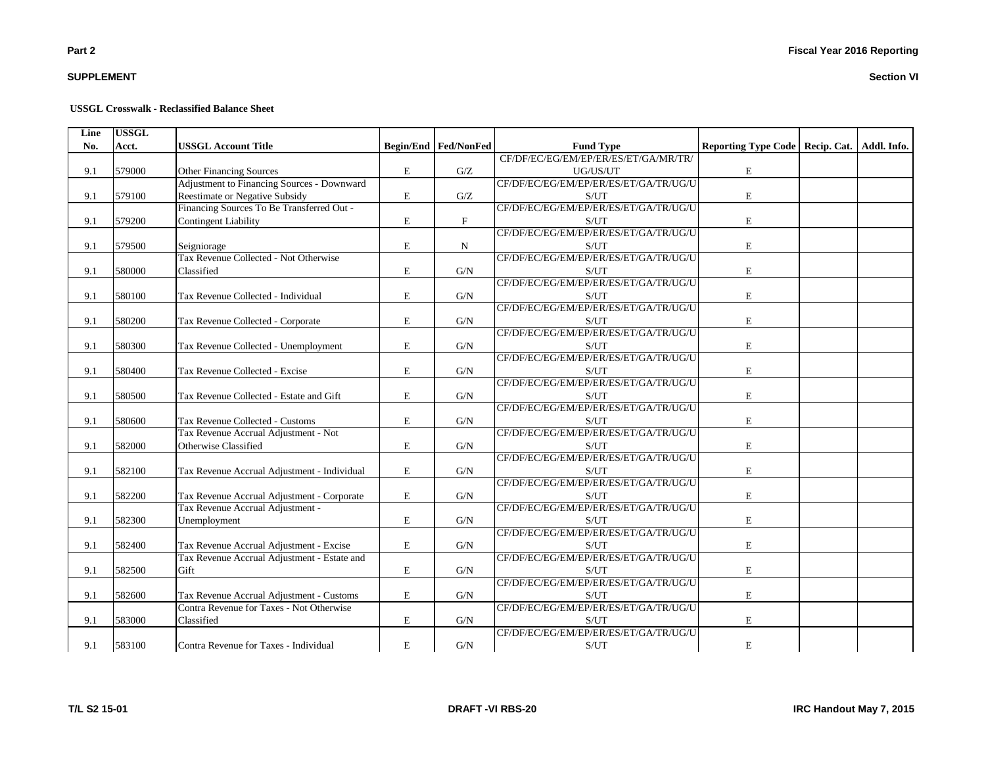# **SUPPLEMENT**

#### **USSGL Crosswalk - Reclassified Balance Sheet**

| Line | <b>USSGL</b> |                                             |   |                             |                                       |                                                 |  |
|------|--------------|---------------------------------------------|---|-----------------------------|---------------------------------------|-------------------------------------------------|--|
| No.  | Acct.        | <b>USSGL Account Title</b>                  |   | <b>Begin/End Fed/NonFed</b> | <b>Fund Type</b>                      | Reporting Type Code   Recip. Cat.   Addl. Info. |  |
|      |              |                                             |   |                             | CF/DF/EC/EG/EM/EP/ER/ES/ET/GA/MR/TR/  |                                                 |  |
| 9.1  | 579000       | Other Financing Sources                     | E | G/Z                         | UG/US/UT                              | $\mathbf E$                                     |  |
|      |              | Adjustment to Financing Sources - Downward  |   |                             | CF/DF/EC/EG/EM/EP/ER/ES/ET/GA/TR/UG/U |                                                 |  |
| 9.1  | 579100       | Reestimate or Negative Subsidy              | E | G/Z                         | S/UT                                  | E                                               |  |
|      |              | Financing Sources To Be Transferred Out -   |   |                             | CF/DF/EC/EG/EM/EP/ER/ES/ET/GA/TR/UG/U |                                                 |  |
| 9.1  | 579200       | <b>Contingent Liability</b>                 | E | $\mathbf{F}$                | S/UT                                  | E                                               |  |
|      |              |                                             |   |                             | CF/DF/EC/EG/EM/EP/ER/ES/ET/GA/TR/UG/U |                                                 |  |
| 9.1  | 579500       | Seigniorage                                 | E | N                           | S/UT                                  | E                                               |  |
|      |              | Tax Revenue Collected - Not Otherwise       |   |                             | CF/DF/EC/EG/EM/EP/ER/ES/ET/GA/TR/UG/U |                                                 |  |
| 9.1  | 580000       | Classified                                  | E | G/N                         | S/UT                                  | $\mathbf E$                                     |  |
|      |              |                                             |   |                             | CF/DF/EC/EG/EM/EP/ER/ES/ET/GA/TR/UG/U |                                                 |  |
| 9.1  | 580100       | Tax Revenue Collected - Individual          | E | G/N                         | S/UT                                  | E                                               |  |
|      |              |                                             |   |                             | CF/DF/EC/EG/EM/EP/ER/ES/ET/GA/TR/UG/U |                                                 |  |
| 9.1  | 580200       | Tax Revenue Collected - Corporate           | E | G/N                         | S/UT                                  | ${\bf E}$                                       |  |
|      |              |                                             |   |                             | CF/DF/EC/EG/EM/EP/ER/ES/ET/GA/TR/UG/U |                                                 |  |
| 9.1  | 580300       | Tax Revenue Collected - Unemployment        | E | G/N                         | S/UT                                  | E                                               |  |
|      |              |                                             |   |                             | CF/DF/EC/EG/EM/EP/ER/ES/ET/GA/TR/UG/U |                                                 |  |
| 9.1  | 580400       | Tax Revenue Collected - Excise              | E | G/N                         | S/UT                                  | E                                               |  |
|      |              |                                             |   |                             | CF/DF/EC/EG/EM/EP/ER/ES/ET/GA/TR/UG/U |                                                 |  |
| 9.1  | 580500       | Tax Revenue Collected - Estate and Gift     | E | G/N                         | S/UT                                  | E                                               |  |
|      |              |                                             |   |                             | CF/DF/EC/EG/EM/EP/ER/ES/ET/GA/TR/UG/U |                                                 |  |
| 9.1  | 580600       | Tax Revenue Collected - Customs             | E | G/N                         | S/UT                                  | E                                               |  |
|      |              | Tax Revenue Accrual Adjustment - Not        |   |                             | CF/DF/EC/EG/EM/EP/ER/ES/ET/GA/TR/UG/U |                                                 |  |
| 9.1  | 582000       | Otherwise Classified                        | E | G/N                         | S/UT                                  | E                                               |  |
|      |              |                                             |   |                             | CF/DF/EC/EG/EM/EP/ER/ES/ET/GA/TR/UG/U |                                                 |  |
| 9.1  | 582100       | Tax Revenue Accrual Adjustment - Individual | E | G/N                         | S/UT                                  | $\mathbf E$                                     |  |
|      |              |                                             |   |                             | CF/DF/EC/EG/EM/EP/ER/ES/ET/GA/TR/UG/U |                                                 |  |
| 9.1  | 582200       | Tax Revenue Accrual Adjustment - Corporate  | E | G/N                         | S/UT                                  | $\mathbf E$                                     |  |
|      |              | Tax Revenue Accrual Adjustment -            |   |                             | CF/DF/EC/EG/EM/EP/ER/ES/ET/GA/TR/UG/U |                                                 |  |
| 9.1  | 582300       | Unemployment                                | E | G/N                         | S/UT                                  | $\mathbf E$                                     |  |
|      |              |                                             |   |                             | CF/DF/EC/EG/EM/EP/ER/ES/ET/GA/TR/UG/U |                                                 |  |
| 9.1  | 582400       | Tax Revenue Accrual Adjustment - Excise     | E | G/N                         | S/UT                                  | E                                               |  |
|      |              | Tax Revenue Accrual Adjustment - Estate and |   |                             | CF/DF/EC/EG/EM/EP/ER/ES/ET/GA/TR/UG/U |                                                 |  |
| 9.1  | 582500       | Gift                                        | E | G/N                         | S/UT                                  | E                                               |  |
|      |              |                                             |   |                             | CF/DF/EC/EG/EM/EP/ER/ES/ET/GA/TR/UG/U |                                                 |  |
| 9.1  | 582600       | Tax Revenue Accrual Adjustment - Customs    | E | G/N                         | S/UT                                  | E                                               |  |
|      |              | Contra Revenue for Taxes - Not Otherwise    |   |                             | CF/DF/EC/EG/EM/EP/ER/ES/ET/GA/TR/UG/U |                                                 |  |
| 9.1  | 583000       | Classified                                  | E | G/N                         | S/UT                                  | $\mathbf E$                                     |  |
|      |              |                                             |   |                             | CF/DF/EC/EG/EM/EP/ER/ES/ET/GA/TR/UG/U |                                                 |  |
| 9.1  | 583100       | Contra Revenue for Taxes - Individual       | E | G/N                         | S/UT                                  | ${\bf E}$                                       |  |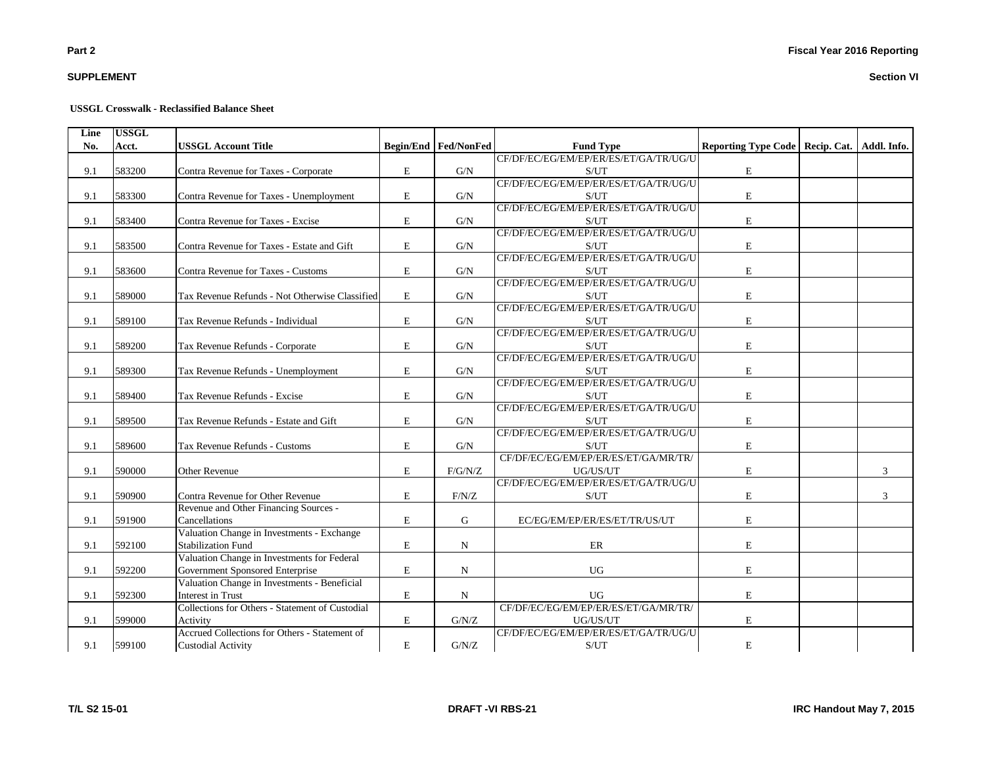# **SUPPLEMENT**

#### **USSGL Crosswalk - Reclassified Balance Sheet**

| Line | <b>USSGL</b> |                                                 |   |                             |                                       |                                                 |   |
|------|--------------|-------------------------------------------------|---|-----------------------------|---------------------------------------|-------------------------------------------------|---|
| No.  | Acct.        | <b>USSGL Account Title</b>                      |   | <b>Begin/End Fed/NonFed</b> | <b>Fund Type</b>                      | Reporting Type Code   Recip. Cat.   Addl. Info. |   |
|      |              |                                                 |   |                             | CF/DF/EC/EG/EM/EP/ER/ES/ET/GA/TR/UG/U |                                                 |   |
| 9.1  | 583200       | Contra Revenue for Taxes - Corporate            | E | G/N                         | S/UT                                  | $\mathbf E$                                     |   |
|      |              |                                                 |   |                             | CF/DF/EC/EG/EM/EP/ER/ES/ET/GA/TR/UG/U |                                                 |   |
| 9.1  | 583300       | Contra Revenue for Taxes - Unemployment         | E | G/N                         | S/UT                                  | E                                               |   |
|      |              |                                                 |   |                             | CF/DF/EC/EG/EM/EP/ER/ES/ET/GA/TR/UG/U |                                                 |   |
| 9.1  | 583400       | Contra Revenue for Taxes - Excise               | E | G/N                         | S/UT                                  | $\mathbf E$                                     |   |
|      |              |                                                 |   |                             | CF/DF/EC/EG/EM/EP/ER/ES/ET/GA/TR/UG/U |                                                 |   |
| 9.1  | 583500       | Contra Revenue for Taxes - Estate and Gift      | E | G/N                         | S/UT                                  | $\mathbf E$                                     |   |
|      |              |                                                 |   |                             | CF/DF/EC/EG/EM/EP/ER/ES/ET/GA/TR/UG/U |                                                 |   |
| 9.1  | 583600       | Contra Revenue for Taxes - Customs              | E | G/N                         | S/UT                                  | $\mathbf E$                                     |   |
|      |              |                                                 |   |                             | CF/DF/EC/EG/EM/EP/ER/ES/ET/GA/TR/UG/U |                                                 |   |
| 9.1  | 589000       | Tax Revenue Refunds - Not Otherwise Classified  | E | G/N                         | S/UT                                  | $\mathbf E$                                     |   |
|      |              |                                                 |   |                             | CF/DF/EC/EG/EM/EP/ER/ES/ET/GA/TR/UG/U |                                                 |   |
| 9.1  | 589100       | Tax Revenue Refunds - Individual                | E | G/N                         | S/UT                                  | $\mathbf E$                                     |   |
|      |              |                                                 |   |                             | CF/DF/EC/EG/EM/EP/ER/ES/ET/GA/TR/UG/U |                                                 |   |
| 9.1  | 589200       | Tax Revenue Refunds - Corporate                 | E | G/N                         | S/UT                                  | E                                               |   |
|      |              |                                                 |   |                             | CF/DF/EC/EG/EM/EP/ER/ES/ET/GA/TR/UG/U |                                                 |   |
| 9.1  | 589300       | Tax Revenue Refunds - Unemployment              | E | G/N                         | S/UT                                  | $\mathbf E$                                     |   |
|      |              |                                                 |   |                             | CF/DF/EC/EG/EM/EP/ER/ES/ET/GA/TR/UG/U |                                                 |   |
| 9.1  | 589400       | Tax Revenue Refunds - Excise                    | E | G/N                         | S/UT                                  | $\mathbf E$                                     |   |
|      |              |                                                 |   |                             | CF/DF/EC/EG/EM/EP/ER/ES/ET/GA/TR/UG/U |                                                 |   |
| 9.1  | 589500       | Tax Revenue Refunds - Estate and Gift           | E | G/N                         | S/UT                                  | $\mathbf E$                                     |   |
|      |              |                                                 |   |                             | CF/DF/EC/EG/EM/EP/ER/ES/ET/GA/TR/UG/U |                                                 |   |
| 9.1  | 589600       | Tax Revenue Refunds - Customs                   | E | G/N                         | S/UT                                  | $\mathbf E$                                     |   |
|      |              |                                                 |   |                             | CF/DF/EC/EG/EM/EP/ER/ES/ET/GA/MR/TR/  |                                                 |   |
| 9.1  | 590000       | <b>Other Revenue</b>                            | E | F/G/N/Z                     | UG/US/UT                              | $\mathbf E$                                     | 3 |
|      |              |                                                 |   |                             | CF/DF/EC/EG/EM/EP/ER/ES/ET/GA/TR/UG/U |                                                 |   |
| 9.1  | 590900       | Contra Revenue for Other Revenue                | E | F/N/Z                       | S/UT                                  | $\mathbf E$                                     | 3 |
|      |              | Revenue and Other Financing Sources -           |   |                             |                                       |                                                 |   |
| 9.1  | 591900       | Cancellations                                   | E | G                           | EC/EG/EM/EP/ER/ES/ET/TR/US/UT         | $\mathbf E$                                     |   |
|      |              | Valuation Change in Investments - Exchange      |   |                             |                                       |                                                 |   |
| 9.1  | 592100       | <b>Stabilization Fund</b>                       | E | ${\bf N}$                   | ER                                    | $\mathbf E$                                     |   |
|      |              | Valuation Change in Investments for Federal     |   |                             |                                       |                                                 |   |
| 9.1  | 592200       | Government Sponsored Enterprise                 | E | $\mathbf N$                 | <b>UG</b>                             | E                                               |   |
|      |              | Valuation Change in Investments - Beneficial    |   |                             |                                       |                                                 |   |
| 9.1  | 592300       | <b>Interest in Trust</b>                        | E | ${\bf N}$                   | <b>UG</b>                             | $\mathbf E$                                     |   |
|      |              | Collections for Others - Statement of Custodial |   |                             | CF/DF/EC/EG/EM/EP/ER/ES/ET/GA/MR/TR/  |                                                 |   |
| 9.1  | 599000       | Activity                                        | E | G/N/Z                       | UG/US/UT                              | E                                               |   |
|      |              | Accrued Collections for Others - Statement of   |   |                             | CF/DF/EC/EG/EM/EP/ER/ES/ET/GA/TR/UG/U |                                                 |   |
| 9.1  | 599100       | <b>Custodial Activity</b>                       | E | G/N/Z                       | S/UT                                  | $\mathbf E$                                     |   |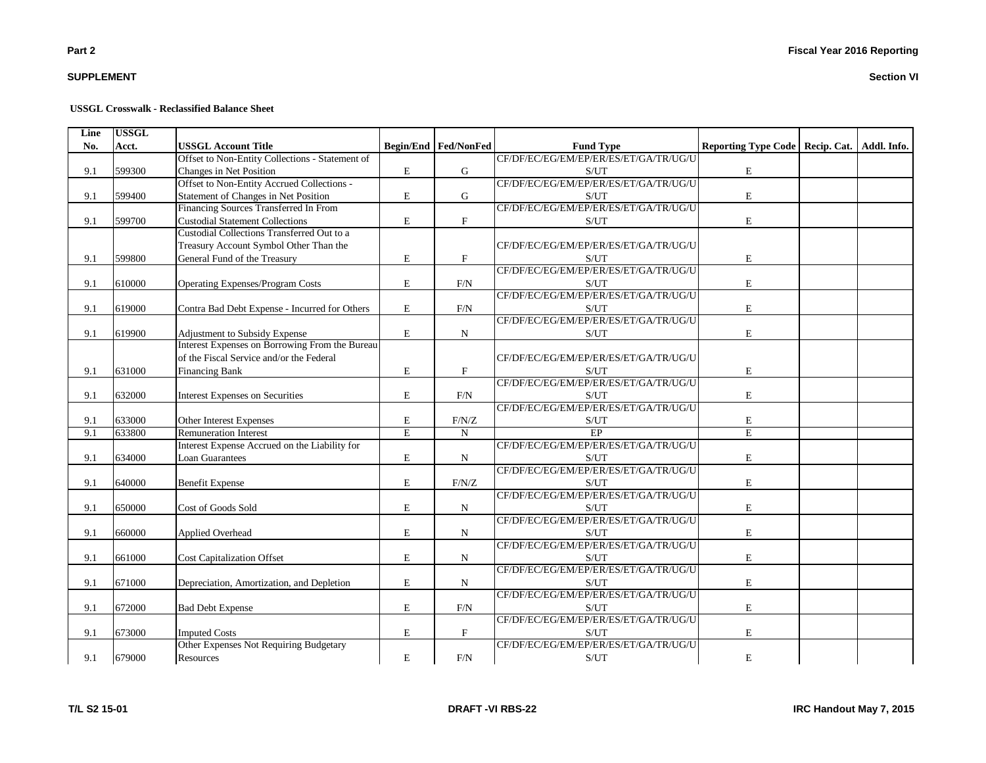# **SUPPLEMENT**

#### **USSGL Crosswalk - Reclassified Balance Sheet**

| Line | <b>USSGL</b> |                                                 |                       |                               |                                                    |                                                 |  |
|------|--------------|-------------------------------------------------|-----------------------|-------------------------------|----------------------------------------------------|-------------------------------------------------|--|
| No.  | Acct.        | <b>USSGL Account Title</b>                      |                       | <b>Begin/End   Fed/NonFed</b> | <b>Fund Type</b>                                   | Reporting Type Code   Recip. Cat.   Addl. Info. |  |
|      |              | Offset to Non-Entity Collections - Statement of |                       |                               | CF/DF/EC/EG/EM/EP/ER/ES/ET/GA/TR/UG/U              |                                                 |  |
| 9.1  | 599300       | Changes in Net Position                         | E                     | G                             | S/UT                                               | ${\bf E}$                                       |  |
|      |              | Offset to Non-Entity Accrued Collections -      |                       |                               | CF/DF/EC/EG/EM/EP/ER/ES/ET/GA/TR/UG/U              |                                                 |  |
| 9.1  | 599400       | Statement of Changes in Net Position            | $\bf E$               | ${\bf G}$                     | S/UT                                               | $\mathbf E$                                     |  |
|      |              | Financing Sources Transferred In From           |                       |                               | CF/DF/EC/EG/EM/EP/ER/ES/ET/GA/TR/UG/U              |                                                 |  |
| 9.1  | 599700       | <b>Custodial Statement Collections</b>          | $\mathbf E$           | $\boldsymbol{\mathrm{F}}$     | S/UT                                               | E                                               |  |
|      |              | Custodial Collections Transferred Out to a      |                       |                               |                                                    |                                                 |  |
|      |              | Treasury Account Symbol Other Than the          |                       |                               | CF/DF/EC/EG/EM/EP/ER/ES/ET/GA/TR/UG/U              |                                                 |  |
| 9.1  | 599800       | General Fund of the Treasury                    | $\mathbf E$           | $\mathbf F$                   | S/UT                                               | $\mathbf E$                                     |  |
|      |              |                                                 |                       |                               | CF/DF/EC/EG/EM/EP/ER/ES/ET/GA/TR/UG/U              |                                                 |  |
| 9.1  | 610000       | <b>Operating Expenses/Program Costs</b>         | E                     | F/N                           | S/UT                                               | $\mathbf E$                                     |  |
|      |              |                                                 |                       |                               | CF/DF/EC/EG/EM/EP/ER/ES/ET/GA/TR/UG/U              |                                                 |  |
| 9.1  | 619000       | Contra Bad Debt Expense - Incurred for Others   | E                     | $\rm{F/N}$                    | S/UT                                               | E                                               |  |
|      |              |                                                 |                       |                               | CF/DF/EC/EG/EM/EP/ER/ES/ET/GA/TR/UG/U              |                                                 |  |
| 9.1  | 619900       | Adjustment to Subsidy Expense                   | ${\bf E}$             | N                             | S/UT                                               | ${\bf E}$                                       |  |
|      |              | Interest Expenses on Borrowing From the Bureau  |                       |                               |                                                    |                                                 |  |
|      |              | of the Fiscal Service and/or the Federal        |                       |                               | CF/DF/EC/EG/EM/EP/ER/ES/ET/GA/TR/UG/U              |                                                 |  |
| 9.1  | 631000       | <b>Financing Bank</b>                           | ${\bf E}$             | $\mathbf F$                   | S/UT                                               | E                                               |  |
|      |              |                                                 |                       |                               | CF/DF/EC/EG/EM/EP/ER/ES/ET/GA/TR/UG/U              |                                                 |  |
| 9.1  | 632000       | <b>Interest Expenses on Securities</b>          | E                     | F/N                           | S/UT                                               | E                                               |  |
|      |              |                                                 |                       |                               | CF/DF/EC/EG/EM/EP/ER/ES/ET/GA/TR/UG/U              |                                                 |  |
| 9.1  | 633000       | Other Interest Expenses                         | ${\bf E}$             | F/N/Z                         | S/UT                                               | $\mathbf E$                                     |  |
| 9.1  | 633800       | <b>Remuneration Interest</b>                    | $\overline{\text{E}}$ | ${\bf N}$                     | EP                                                 | $\overline{\mathrm{E}}$                         |  |
|      |              | Interest Expense Accrued on the Liability for   |                       |                               | CF/DF/EC/EG/EM/EP/ER/ES/ET/GA/TR/UG/U              |                                                 |  |
| 9.1  | 634000       | Loan Guarantees                                 | ${\bf E}$             | ${\bf N}$                     | S/UT                                               | ${\bf E}$                                       |  |
|      |              |                                                 |                       |                               | CF/DF/EC/EG/EM/EP/ER/ES/ET/GA/TR/UG/U              |                                                 |  |
| 9.1  | 640000       | <b>Benefit Expense</b>                          | ${\bf E}$             | F/N/Z                         | S/UT                                               | ${\bf E}$                                       |  |
|      |              |                                                 |                       |                               | CF/DF/EC/EG/EM/EP/ER/ES/ET/GA/TR/UG/U              |                                                 |  |
| 9.1  | 650000       | Cost of Goods Sold                              | ${\bf E}$             | N                             | S/UT                                               | ${\bf E}$                                       |  |
|      |              |                                                 |                       |                               | CF/DF/EC/EG/EM/EP/ER/ES/ET/GA/TR/UG/U              |                                                 |  |
| 9.1  | 660000       | Applied Overhead                                | ${\bf E}$             | N                             | S/UT                                               | $\mathbf E$                                     |  |
|      |              |                                                 |                       |                               | CF/DF/EC/EG/EM/EP/ER/ES/ET/GA/TR/UG/U              |                                                 |  |
| 9.1  | 661000       | <b>Cost Capitalization Offset</b>               | ${\bf E}$             | N                             | S/UT                                               | $\mathbf E$                                     |  |
|      |              |                                                 |                       |                               | CF/DF/EC/EG/EM/EP/ER/ES/ET/GA/TR/UG/U              |                                                 |  |
| 9.1  | 671000       | Depreciation, Amortization, and Depletion       | E                     | $\mathbf N$                   | S/UT                                               | E                                               |  |
|      |              |                                                 |                       |                               | CF/DF/EC/EG/EM/EP/ER/ES/ET/GA/TR/UG/U              |                                                 |  |
| 9.1  | 672000       | <b>Bad Debt Expense</b>                         | ${\bf E}$             | $\rm{F/N}$                    | S/UT                                               | $\mathbf E$                                     |  |
|      |              |                                                 |                       |                               | CF/DF/EC/EG/EM/EP/ER/ES/ET/GA/TR/UG/U              |                                                 |  |
| 9.1  | 673000       | <b>Imputed Costs</b>                            | $\mathbf E$           | $\mathbf F$                   | S/UT                                               | $\mathbf E$                                     |  |
|      |              | Other Expenses Not Requiring Budgetary          |                       |                               | CF/DF/EC/EG/EM/EP/ER/ES/ET/GA/TR/UG/U              |                                                 |  |
| 9.1  | 679000       | Resources                                       | $\mathbf E$           | F/N                           | $\ensuremath{\mathrm{S}}/\ensuremath{\mathrm{UT}}$ | $\mathbf E$                                     |  |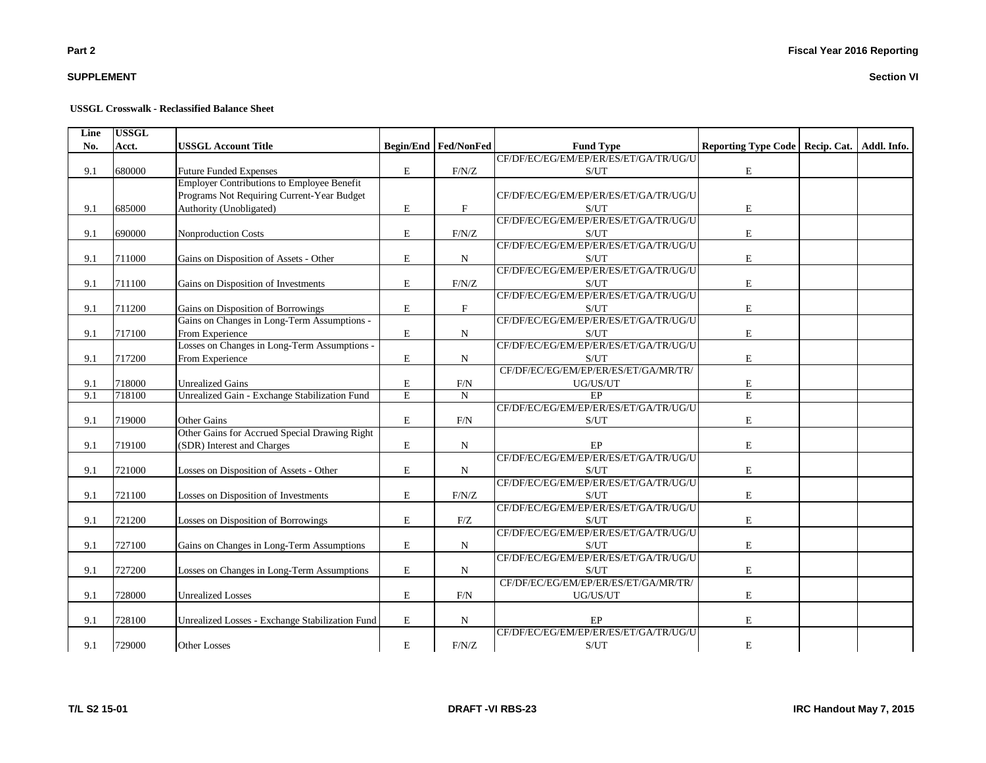# **SUPPLEMENT**

#### **USSGL Crosswalk - Reclassified Balance Sheet**

| Line | <b>USSGL</b> |                                                   |             |                             |                                       |                                   |             |
|------|--------------|---------------------------------------------------|-------------|-----------------------------|---------------------------------------|-----------------------------------|-------------|
| No.  | Acct.        | <b>USSGL Account Title</b>                        |             | <b>Begin/End Fed/NonFed</b> | <b>Fund Type</b>                      | Reporting Type Code   Recip. Cat. | Addl. Info. |
|      |              |                                                   |             |                             | CF/DF/EC/EG/EM/EP/ER/ES/ET/GA/TR/UG/U |                                   |             |
| 9.1  | 680000       | <b>Future Funded Expenses</b>                     | E           | F/N/Z                       | S/UT                                  | ${\bf E}$                         |             |
|      |              | <b>Employer Contributions to Employee Benefit</b> |             |                             |                                       |                                   |             |
|      |              | Programs Not Requiring Current-Year Budget        |             |                             | CF/DF/EC/EG/EM/EP/ER/ES/ET/GA/TR/UG/U |                                   |             |
| 9.1  | 685000       | Authority (Unobligated)                           | E           | $\mathbf{F}$                | S/UT                                  | E                                 |             |
|      |              |                                                   |             |                             | CF/DF/EC/EG/EM/EP/ER/ES/ET/GA/TR/UG/U |                                   |             |
| 9.1  | 690000       | Nonproduction Costs                               | E           | F/N/Z                       | S/UT                                  | E                                 |             |
|      |              |                                                   |             |                             | CF/DF/EC/EG/EM/EP/ER/ES/ET/GA/TR/UG/U |                                   |             |
| 9.1  | 711000       | Gains on Disposition of Assets - Other            | $\mathbf E$ | N                           | S/UT                                  | E                                 |             |
|      |              |                                                   |             |                             | CF/DF/EC/EG/EM/EP/ER/ES/ET/GA/TR/UG/U |                                   |             |
| 9.1  | 711100       | Gains on Disposition of Investments               | $\mathbf E$ | F/N/Z                       | S/UT                                  | E                                 |             |
|      |              |                                                   |             |                             | CF/DF/EC/EG/EM/EP/ER/ES/ET/GA/TR/UG/U |                                   |             |
| 9.1  | 711200       | Gains on Disposition of Borrowings                | E           | $\mathbf F$                 | S/UT                                  | $\mathbf E$                       |             |
|      |              | Gains on Changes in Long-Term Assumptions -       |             |                             | CF/DF/EC/EG/EM/EP/ER/ES/ET/GA/TR/UG/U |                                   |             |
| 9.1  | 717100       | From Experience                                   | E           | N                           | S/UT                                  | E                                 |             |
|      |              | Losses on Changes in Long-Term Assumptions -      |             |                             | CF/DF/EC/EG/EM/EP/ER/ES/ET/GA/TR/UG/U |                                   |             |
| 9.1  | 717200       | From Experience                                   | $\mathbf E$ | $\mathbf N$                 | S/UT                                  | E                                 |             |
|      |              |                                                   |             |                             | CF/DF/EC/EG/EM/EP/ER/ES/ET/GA/MR/TR/  |                                   |             |
| 9.1  | 718000       | <b>Unrealized Gains</b>                           | E           | F/N                         | UG/US/UT                              | E                                 |             |
| 9.1  | 718100       | Unrealized Gain - Exchange Stabilization Fund     | E           | $\mathbf N$                 | $\overline{EP}$                       | E                                 |             |
|      |              |                                                   |             |                             | CF/DF/EC/EG/EM/EP/ER/ES/ET/GA/TR/UG/U |                                   |             |
| 9.1  | 719000       | Other Gains                                       | $\mathbf E$ | F/N                         | S/UT                                  | E                                 |             |
|      |              | Other Gains for Accrued Special Drawing Right     |             |                             |                                       |                                   |             |
| 9.1  | 719100       | (SDR) Interest and Charges                        | E           | N                           | EP                                    | E                                 |             |
|      |              |                                                   |             |                             | CF/DF/EC/EG/EM/EP/ER/ES/ET/GA/TR/UG/U |                                   |             |
| 9.1  | 721000       | Losses on Disposition of Assets - Other           | E           | $\mathbf N$                 | S/UT                                  | E                                 |             |
|      |              |                                                   |             |                             | CF/DF/EC/EG/EM/EP/ER/ES/ET/GA/TR/UG/U |                                   |             |
| 9.1  | 721100       | Losses on Disposition of Investments              | $\mathbf E$ | F/N/Z                       | S/UT                                  | $\mathbf E$                       |             |
|      |              |                                                   |             |                             | CF/DF/EC/EG/EM/EP/ER/ES/ET/GA/TR/UG/U |                                   |             |
| 9.1  | 721200       | Losses on Disposition of Borrowings               | E           | F/Z                         | S/UT                                  | E                                 |             |
|      |              |                                                   |             |                             | CF/DF/EC/EG/EM/EP/ER/ES/ET/GA/TR/UG/U |                                   |             |
| 9.1  | 727100       | Gains on Changes in Long-Term Assumptions         | E           | N                           | S/UT                                  | E                                 |             |
|      |              |                                                   |             |                             | CF/DF/EC/EG/EM/EP/ER/ES/ET/GA/TR/UG/U |                                   |             |
| 9.1  | 727200       | Losses on Changes in Long-Term Assumptions        | E           | N                           | S/UT                                  | E                                 |             |
|      |              |                                                   |             |                             | CF/DF/EC/EG/EM/EP/ER/ES/ET/GA/MR/TR/  |                                   |             |
| 9.1  | 728000       | <b>Unrealized Losses</b>                          | $\mathbf E$ | F/N                         | UG/US/UT                              | E                                 |             |
|      |              |                                                   |             |                             |                                       |                                   |             |
| 9.1  | 728100       | Unrealized Losses - Exchange Stabilization Fund   | $\mathbf E$ | ${\bf N}$                   | EP                                    | E                                 |             |
|      |              |                                                   |             |                             | CF/DF/EC/EG/EM/EP/ER/ES/ET/GA/TR/UG/U |                                   |             |
| 9.1  | 729000       | <b>Other Losses</b>                               | E           | F/N/Z                       | S/UT                                  | E                                 |             |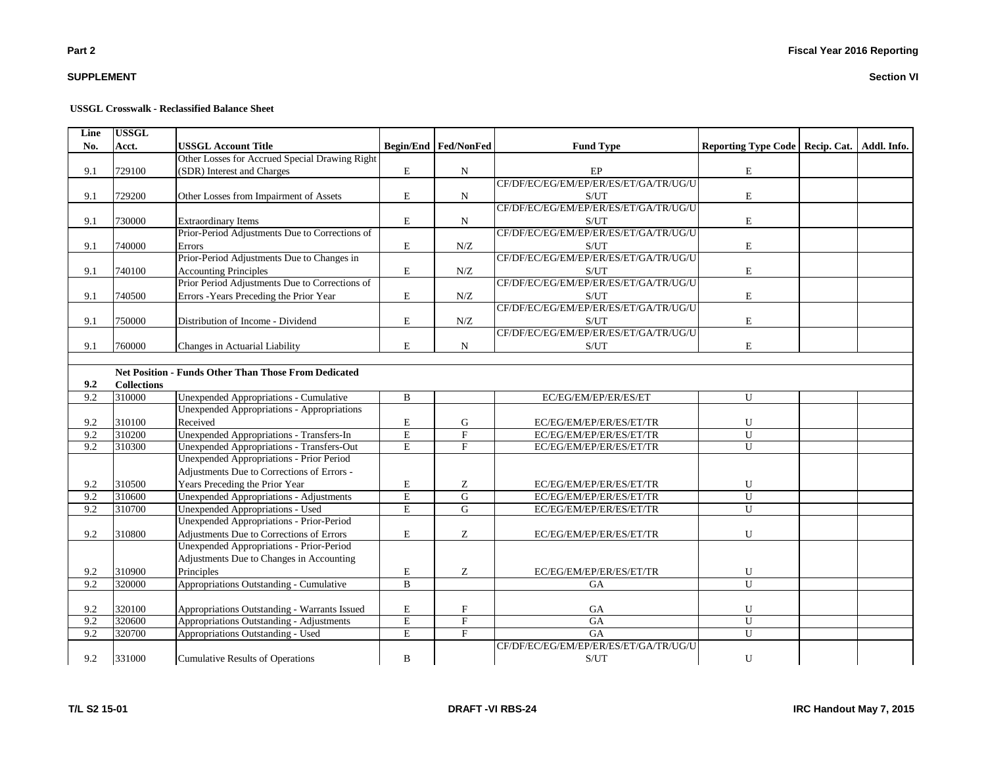# **SUPPLEMENT**

#### **USSGL Crosswalk - Reclassified Balance Sheet**

| Line | <b>USSGL</b>       |                                                             |                         |                             |                                                    |                                                 |  |
|------|--------------------|-------------------------------------------------------------|-------------------------|-----------------------------|----------------------------------------------------|-------------------------------------------------|--|
| No.  | Acct.              | <b>USSGL Account Title</b>                                  |                         | <b>Begin/End Fed/NonFed</b> | <b>Fund Type</b>                                   | Reporting Type Code   Recip. Cat.   Addl. Info. |  |
|      |                    | Other Losses for Accrued Special Drawing Right              |                         |                             |                                                    |                                                 |  |
| 9.1  | 729100             | (SDR) Interest and Charges                                  | E                       | ${\bf N}$                   | $\rm EP$                                           | $\mathbf E$                                     |  |
|      |                    |                                                             |                         |                             | CF/DF/EC/EG/EM/EP/ER/ES/ET/GA/TR/UG/U              |                                                 |  |
| 9.1  | 729200             | Other Losses from Impairment of Assets                      | E                       | N                           | S/UT                                               | $\mathbf E$                                     |  |
|      |                    |                                                             |                         |                             | CF/DF/EC/EG/EM/EP/ER/ES/ET/GA/TR/UG/U              |                                                 |  |
| 9.1  | 730000             | <b>Extraordinary Items</b>                                  | ${\bf E}$               | N                           | S/UT                                               | $\mathbf E$                                     |  |
|      |                    | Prior-Period Adjustments Due to Corrections of              |                         |                             | CF/DF/EC/EG/EM/EP/ER/ES/ET/GA/TR/UG/U              |                                                 |  |
| 9.1  | 740000             | Errors                                                      | E                       | N/Z                         | S/UT                                               | $\mathbf E$                                     |  |
|      |                    | Prior-Period Adjustments Due to Changes in                  |                         |                             | CF/DF/EC/EG/EM/EP/ER/ES/ET/GA/TR/UG/U              |                                                 |  |
| 9.1  | 740100             | <b>Accounting Principles</b>                                | $\mathbf E$             | N/Z                         | S/UT                                               | $\mathbf E$                                     |  |
|      |                    | Prior Period Adjustments Due to Corrections of              |                         |                             | CF/DF/EC/EG/EM/EP/ER/ES/ET/GA/TR/UG/U              |                                                 |  |
| 9.1  | 740500             | Errors - Years Preceding the Prior Year                     | E                       | N/Z                         | S/UT                                               | $\mathbf E$                                     |  |
|      |                    |                                                             |                         |                             | CF/DF/EC/EG/EM/EP/ER/ES/ET/GA/TR/UG/U              |                                                 |  |
| 9.1  | 750000             | Distribution of Income - Dividend                           | ${\bf E}$               | N/Z                         | $\ensuremath{\mathrm{S}}/\ensuremath{\mathrm{UT}}$ | $\mathbf E$                                     |  |
|      |                    |                                                             |                         |                             | CF/DF/EC/EG/EM/EP/ER/ES/ET/GA/TR/UG/U              |                                                 |  |
| 9.1  | 760000             | Changes in Actuarial Liability                              | $\mathbf E$             | $\mathbf N$                 | S/UT                                               | $\mathbf E$                                     |  |
|      |                    |                                                             |                         |                             |                                                    |                                                 |  |
|      |                    | <b>Net Position - Funds Other Than Those From Dedicated</b> |                         |                             |                                                    |                                                 |  |
| 9.2  | <b>Collections</b> |                                                             |                         |                             |                                                    |                                                 |  |
| 9.2  | 310000             | Unexpended Appropriations - Cumulative                      | $\, {\bf B}$            |                             | EC/EG/EM/EP/ER/ES/ET                               | ${\bf U}$                                       |  |
|      |                    | <b>Unexpended Appropriations - Appropriations</b>           |                         |                             |                                                    |                                                 |  |
| 9.2  | 310100             | Received                                                    | E                       | ${\bf G}$                   | EC/EG/EM/EP/ER/ES/ET/TR                            | ${\bf U}$                                       |  |
| 9.2  | 310200             | Unexpended Appropriations - Transfers-In                    | $\overline{\text{E}}$   | $\overline{\mathrm{F}}$     | EC/EG/EM/EP/ER/ES/ET/TR                            | $\overline{U}$                                  |  |
| 9.2  | 310300             | Unexpended Appropriations - Transfers-Out                   | $\overline{E}$          | $\overline{F}$              | EC/EG/EM/EP/ER/ES/ET/TR                            | $\overline{U}$                                  |  |
|      |                    | Unexpended Appropriations - Prior Period                    |                         |                             |                                                    |                                                 |  |
|      |                    | Adjustments Due to Corrections of Errors -                  |                         |                             |                                                    |                                                 |  |
| 9.2  | 310500             | Years Preceding the Prior Year                              | E                       | Z                           | EC/EG/EM/EP/ER/ES/ET/TR                            | ${\bf U}$                                       |  |
| 9.2  | 310600             | <b>Unexpended Appropriations - Adjustments</b>              | $\overline{\mathrm{E}}$ | ${\bf G}$                   | EC/EG/EM/EP/ER/ES/ET/TR                            | ${\bf U}$                                       |  |
| 9.2  | 310700             | <b>Unexpended Appropriations - Used</b>                     | $\overline{E}$          | $\overline{G}$              | EC/EG/EM/EP/ER/ES/ET/TR                            | $\overline{U}$                                  |  |
|      |                    | <b>Unexpended Appropriations - Prior-Period</b>             |                         |                             |                                                    |                                                 |  |
| 9.2  | 310800             | Adjustments Due to Corrections of Errors                    | $\mathbf E$             | Z                           | EC/EG/EM/EP/ER/ES/ET/TR                            | ${\bf U}$                                       |  |
|      |                    | Unexpended Appropriations - Prior-Period                    |                         |                             |                                                    |                                                 |  |
|      |                    | Adjustments Due to Changes in Accounting                    |                         |                             |                                                    |                                                 |  |
| 9.2  | 310900             | Principles                                                  | $\mathbf E$             | Z                           | EC/EG/EM/EP/ER/ES/ET/TR                            | ${\bf U}$                                       |  |
| 9.2  | 320000             | Appropriations Outstanding - Cumulative                     | $\mathbf{B}$            |                             | <b>GA</b>                                          | $\overline{U}$                                  |  |
|      |                    |                                                             |                         |                             |                                                    |                                                 |  |
| 9.2  | 320100             | Appropriations Outstanding - Warrants Issued                | ${\bf E}$               | $\mathbf F$                 | $_{\mathrm{GA}}$                                   | ${\bf U}$                                       |  |
| 9.2  | 320600             | Appropriations Outstanding - Adjustments                    | $\overline{E}$          | $\overline{F}$              | G A                                                | $\overline{U}$                                  |  |
| 9.2  | 320700             | Appropriations Outstanding - Used                           | $\mathbf E$             | $\mathbf F$                 | GA                                                 | $\mathbf U$                                     |  |
|      |                    |                                                             |                         |                             | CF/DF/EC/EG/EM/EP/ER/ES/ET/GA/TR/UG/U              |                                                 |  |
| 9.2  | 331000             | <b>Cumulative Results of Operations</b>                     | $\bf{B}$                |                             | S/UT                                               | ${\bf U}$                                       |  |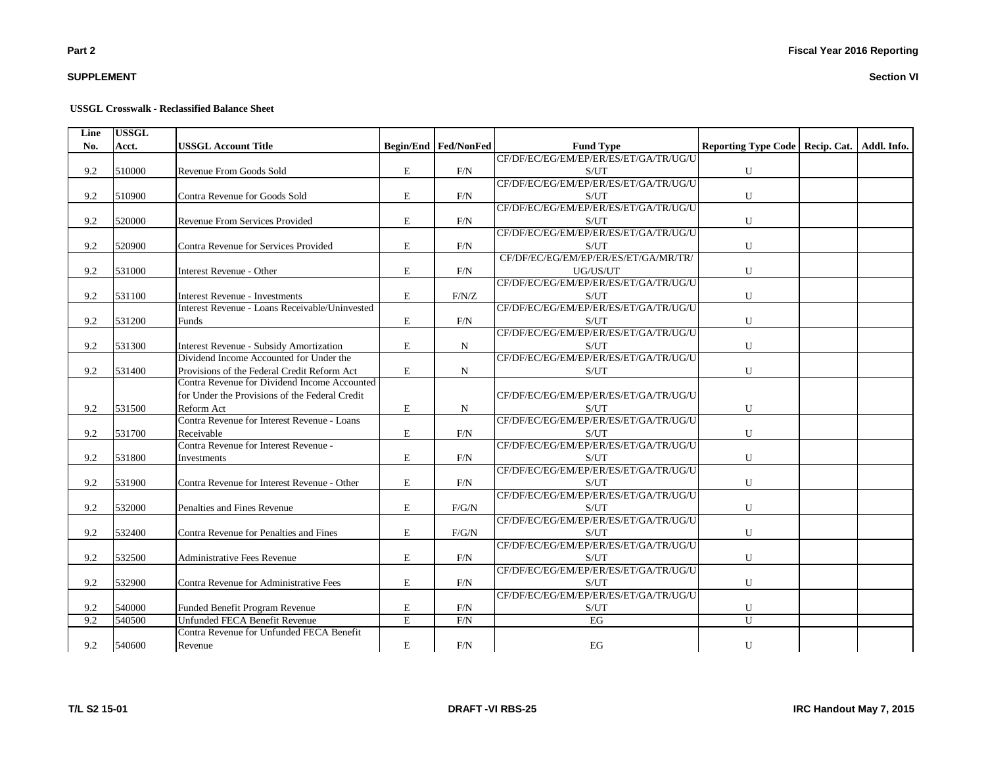# **SUPPLEMENT**

#### **USSGL Crosswalk - Reclassified Balance Sheet**

| Line | <b>USSGL</b> |                                                |             |                             |                                       |                                                 |  |
|------|--------------|------------------------------------------------|-------------|-----------------------------|---------------------------------------|-------------------------------------------------|--|
| No.  | Acct.        | <b>USSGL Account Title</b>                     |             | <b>Begin/End Fed/NonFed</b> | <b>Fund Type</b>                      | Reporting Type Code   Recip. Cat.   Addl. Info. |  |
|      |              |                                                |             |                             | CF/DF/EC/EG/EM/EP/ER/ES/ET/GA/TR/UG/U |                                                 |  |
| 9.2  | 510000       | Revenue From Goods Sold                        | E           | F/N                         | S/UT                                  | ${\bf U}$                                       |  |
|      |              |                                                |             |                             | CF/DF/EC/EG/EM/EP/ER/ES/ET/GA/TR/UG/U |                                                 |  |
| 9.2  | 510900       | Contra Revenue for Goods Sold                  | E           | F/N                         | S/UT                                  | U                                               |  |
|      |              |                                                |             |                             | CF/DF/EC/EG/EM/EP/ER/ES/ET/GA/TR/UG/U |                                                 |  |
| 9.2  | 520000       | Revenue From Services Provided                 | E           | F/N                         | S/UT                                  | $\mathbf U$                                     |  |
|      |              |                                                |             |                             | CF/DF/EC/EG/EM/EP/ER/ES/ET/GA/TR/UG/U |                                                 |  |
| 9.2  | 520900       | Contra Revenue for Services Provided           | E           | F/N                         | S/UT                                  | U                                               |  |
|      |              |                                                |             |                             | CF/DF/EC/EG/EM/EP/ER/ES/ET/GA/MR/TR/  |                                                 |  |
| 9.2  | 531000       | Interest Revenue - Other                       | E           | F/N                         | UG/US/UT                              | ${\bf U}$                                       |  |
|      |              |                                                |             |                             | CF/DF/EC/EG/EM/EP/ER/ES/ET/GA/TR/UG/U |                                                 |  |
| 9.2  | 531100       | <b>Interest Revenue - Investments</b>          | E           | F/N/Z                       | S/UT                                  | U                                               |  |
|      |              | Interest Revenue - Loans Receivable/Uninvested |             |                             | CF/DF/EC/EG/EM/EP/ER/ES/ET/GA/TR/UG/U |                                                 |  |
| 9.2  | 531200       | <b>Funds</b>                                   | E           | F/N                         | S/UT                                  | U                                               |  |
|      |              |                                                |             |                             | CF/DF/EC/EG/EM/EP/ER/ES/ET/GA/TR/UG/U |                                                 |  |
| 9.2  | 531300       | <b>Interest Revenue - Subsidy Amortization</b> | E           | N                           | S/UT                                  | U                                               |  |
|      |              | Dividend Income Accounted for Under the        |             |                             | CF/DF/EC/EG/EM/EP/ER/ES/ET/GA/TR/UG/U |                                                 |  |
| 9.2  | 531400       | Provisions of the Federal Credit Reform Act    | $\mathbf E$ | $\mathbf N$                 | S/UT                                  | $\mathbf U$                                     |  |
|      |              | Contra Revenue for Dividend Income Accounted   |             |                             |                                       |                                                 |  |
|      |              | for Under the Provisions of the Federal Credit |             |                             | CF/DF/EC/EG/EM/EP/ER/ES/ET/GA/TR/UG/U |                                                 |  |
| 9.2  | 531500       | Reform Act                                     | E           | N                           | S/UT                                  | U                                               |  |
|      |              | Contra Revenue for Interest Revenue - Loans    |             |                             | CF/DF/EC/EG/EM/EP/ER/ES/ET/GA/TR/UG/U |                                                 |  |
| 9.2  | 531700       | Receivable                                     | E           | F/N                         | S/UT                                  | ${\bf U}$                                       |  |
|      |              | Contra Revenue for Interest Revenue -          |             |                             | CF/DF/EC/EG/EM/EP/ER/ES/ET/GA/TR/UG/U |                                                 |  |
| 9.2  | 531800       | Investments                                    | E           | F/N                         | S/UT                                  | U                                               |  |
|      |              |                                                |             |                             | CF/DF/EC/EG/EM/EP/ER/ES/ET/GA/TR/UG/U |                                                 |  |
| 9.2  | 531900       | Contra Revenue for Interest Revenue - Other    | $\mathbf E$ | F/N                         | S/UT                                  | ${\bf U}$                                       |  |
|      |              |                                                |             |                             | CF/DF/EC/EG/EM/EP/ER/ES/ET/GA/TR/UG/U |                                                 |  |
| 9.2  | 532000       | Penalties and Fines Revenue                    | E           | F/G/N                       | S/UT                                  | U                                               |  |
|      |              |                                                |             |                             | CF/DF/EC/EG/EM/EP/ER/ES/ET/GA/TR/UG/U |                                                 |  |
| 9.2  | 532400       | Contra Revenue for Penalties and Fines         | E           | $F/G/N$                     | S/UT                                  | $\mathbf U$                                     |  |
|      |              |                                                |             |                             | CF/DF/EC/EG/EM/EP/ER/ES/ET/GA/TR/UG/U |                                                 |  |
| 9.2  | 532500       | Administrative Fees Revenue                    | E           | F/N                         | S/UT                                  | U                                               |  |
|      |              |                                                |             |                             | CF/DF/EC/EG/EM/EP/ER/ES/ET/GA/TR/UG/U |                                                 |  |
| 9.2  | 532900       | Contra Revenue for Administrative Fees         | E           | F/N                         | S/UT                                  | U                                               |  |
|      |              |                                                |             |                             | CF/DF/EC/EG/EM/EP/ER/ES/ET/GA/TR/UG/U |                                                 |  |
| 9.2  | 540000       | Funded Benefit Program Revenue                 | Е           | F/N                         | S/UT                                  | U                                               |  |
| 9.2  | 540500       | Unfunded FECA Benefit Revenue                  | E           | F/N                         | EG                                    | $\mathbf{U}$                                    |  |
|      |              | Contra Revenue for Unfunded FECA Benefit       |             |                             |                                       |                                                 |  |
| 9.2  | 540600       | Revenue                                        | E           | F/N                         | EG                                    | U                                               |  |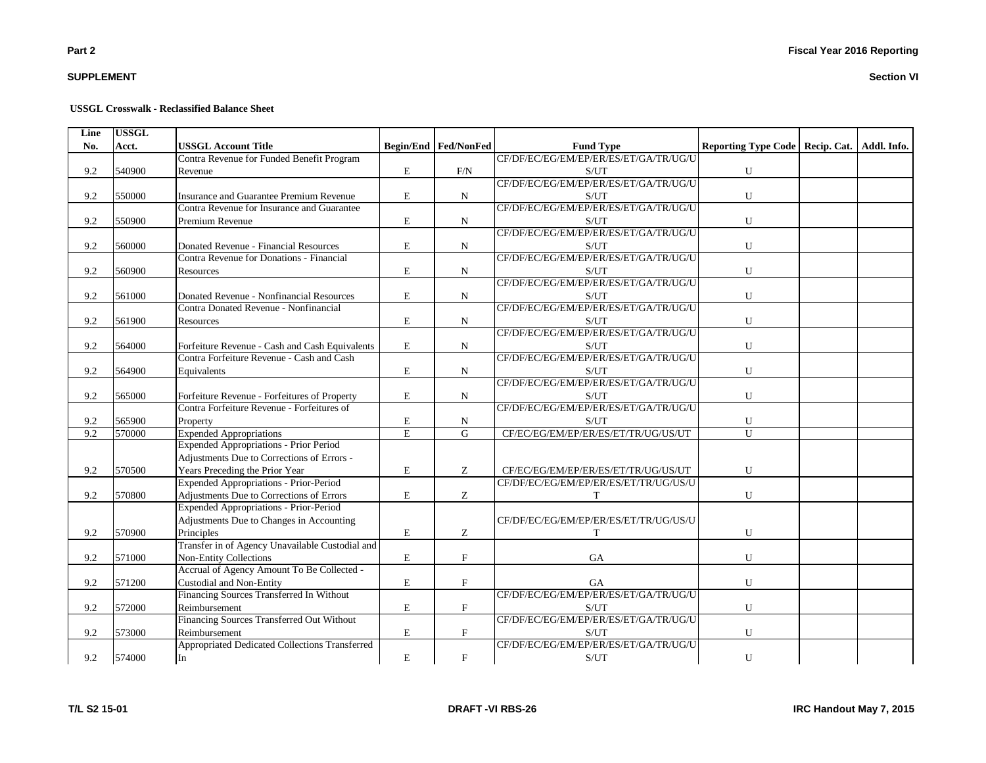# **SUPPLEMENT**

#### **USSGL Crosswalk - Reclassified Balance Sheet**

| Line | <b>USSGL</b> |                                                 |             |                             |                                       |                                                 |  |
|------|--------------|-------------------------------------------------|-------------|-----------------------------|---------------------------------------|-------------------------------------------------|--|
| No.  | Acct.        | <b>USSGL Account Title</b>                      |             | <b>Begin/End Fed/NonFed</b> | <b>Fund Type</b>                      | Reporting Type Code   Recip. Cat.   Addl. Info. |  |
|      |              | Contra Revenue for Funded Benefit Program       |             |                             | CF/DF/EC/EG/EM/EP/ER/ES/ET/GA/TR/UG/U |                                                 |  |
| 9.2  | 540900       | Revenue                                         | E           | F/N                         | S/UT                                  | ${\bf U}$                                       |  |
|      |              |                                                 |             |                             | CF/DF/EC/EG/EM/EP/ER/ES/ET/GA/TR/UG/U |                                                 |  |
| 9.2  | 550000       | Insurance and Guarantee Premium Revenue         | E           | $\mathbf N$                 | S/UT                                  | ${\bf U}$                                       |  |
|      |              | Contra Revenue for Insurance and Guarantee      |             |                             | CF/DF/EC/EG/EM/EP/ER/ES/ET/GA/TR/UG/U |                                                 |  |
| 9.2  | 550900       | Premium Revenue                                 | $\mathbf E$ | $\mathbf N$                 | S/UT                                  | ${\bf U}$                                       |  |
|      |              |                                                 |             |                             | CF/DF/EC/EG/EM/EP/ER/ES/ET/GA/TR/UG/U |                                                 |  |
| 9.2  | 560000       | Donated Revenue - Financial Resources           | E           | $\mathbf N$                 | S/UT                                  | ${\bf U}$                                       |  |
|      |              | Contra Revenue for Donations - Financial        |             |                             | CF/DF/EC/EG/EM/EP/ER/ES/ET/GA/TR/UG/U |                                                 |  |
| 9.2  | 560900       | Resources                                       | $\mathbf E$ | ${\bf N}$                   | S/UT                                  | ${\bf U}$                                       |  |
|      |              |                                                 |             |                             | CF/DF/EC/EG/EM/EP/ER/ES/ET/GA/TR/UG/U |                                                 |  |
| 9.2  | 561000       | Donated Revenue - Nonfinancial Resources        | E           | ${\bf N}$                   | S/UT                                  | ${\bf U}$                                       |  |
|      |              | Contra Donated Revenue - Nonfinancial           |             |                             | CF/DF/EC/EG/EM/EP/ER/ES/ET/GA/TR/UG/U |                                                 |  |
| 9.2  | 561900       | Resources                                       | $\mathbf E$ | N                           | S/UT                                  | ${\bf U}$                                       |  |
|      |              |                                                 |             |                             | CF/DF/EC/EG/EM/EP/ER/ES/ET/GA/TR/UG/U |                                                 |  |
| 9.2  | 564000       | Forfeiture Revenue - Cash and Cash Equivalents  | E           | N                           | S/UT                                  | ${\bf U}$                                       |  |
|      |              | Contra Forfeiture Revenue - Cash and Cash       |             |                             | CF/DF/EC/EG/EM/EP/ER/ES/ET/GA/TR/UG/U |                                                 |  |
| 9.2  | 564900       | Equivalents                                     | E           | N                           | S/UT                                  | ${\bf U}$                                       |  |
|      |              |                                                 |             |                             | CF/DF/EC/EG/EM/EP/ER/ES/ET/GA/TR/UG/U |                                                 |  |
| 9.2  | 565000       | Forfeiture Revenue - Forfeitures of Property    | E           | $\mathbf N$                 | S/UT                                  | ${\bf U}$                                       |  |
|      |              | Contra Forfeiture Revenue - Forfeitures of      |             |                             | CF/DF/EC/EG/EM/EP/ER/ES/ET/GA/TR/UG/U |                                                 |  |
| 9.2  | 565900       | Property                                        | E           | N                           | S/UT                                  | ${\bf U}$                                       |  |
| 9.2  | 570000       | <b>Expended Appropriations</b>                  | E           | $\overline{G}$              | CF/EC/EG/EM/EP/ER/ES/ET/TR/UG/US/UT   | U                                               |  |
|      |              | <b>Expended Appropriations - Prior Period</b>   |             |                             |                                       |                                                 |  |
|      |              | Adjustments Due to Corrections of Errors -      |             |                             |                                       |                                                 |  |
| 9.2  | 570500       | Years Preceding the Prior Year                  | $\mathbf E$ | Z                           | CF/EC/EG/EM/EP/ER/ES/ET/TR/UG/US/UT   | ${\bf U}$                                       |  |
|      |              | Expended Appropriations - Prior-Period          |             |                             | CF/DF/EC/EG/EM/EP/ER/ES/ET/TR/UG/US/U |                                                 |  |
| 9.2  | 570800       | Adjustments Due to Corrections of Errors        | $\mathbf E$ | Z                           | T                                     | ${\bf U}$                                       |  |
|      |              | <b>Expended Appropriations - Prior-Period</b>   |             |                             |                                       |                                                 |  |
|      |              | Adjustments Due to Changes in Accounting        |             |                             | CF/DF/EC/EG/EM/EP/ER/ES/ET/TR/UG/US/U |                                                 |  |
| 9.2  | 570900       | Principles                                      | $\mathbf E$ | Z                           | T                                     | ${\bf U}$                                       |  |
|      |              | Transfer in of Agency Unavailable Custodial and |             |                             |                                       |                                                 |  |
| 9.2  | 571000       | Non-Entity Collections                          | $\mathbf E$ | $\mathbf F$                 | GA                                    | ${\bf U}$                                       |  |
|      |              | Accrual of Agency Amount To Be Collected -      |             |                             |                                       |                                                 |  |
| 9.2  | 571200       | <b>Custodial and Non-Entity</b>                 | E           | $\mathbf{F}$                | <b>GA</b>                             | U                                               |  |
|      |              | Financing Sources Transferred In Without        |             |                             | CF/DF/EC/EG/EM/EP/ER/ES/ET/GA/TR/UG/U |                                                 |  |
| 9.2  | 572000       | Reimbursement                                   | E           | $\mathbf F$                 | S/UT                                  | ${\bf U}$                                       |  |
|      |              | Financing Sources Transferred Out Without       |             |                             | CF/DF/EC/EG/EM/EP/ER/ES/ET/GA/TR/UG/U |                                                 |  |
| 9.2  | 573000       | Reimbursement                                   | $\mathbf E$ | $\mathbf F$                 | S/UT                                  | U                                               |  |
|      |              | Appropriated Dedicated Collections Transferred  |             |                             | CF/DF/EC/EG/EM/EP/ER/ES/ET/GA/TR/UG/U |                                                 |  |
| 9.2  | 574000       | In                                              | E           | $\mathbf F$                 | S/UT                                  | ${\bf U}$                                       |  |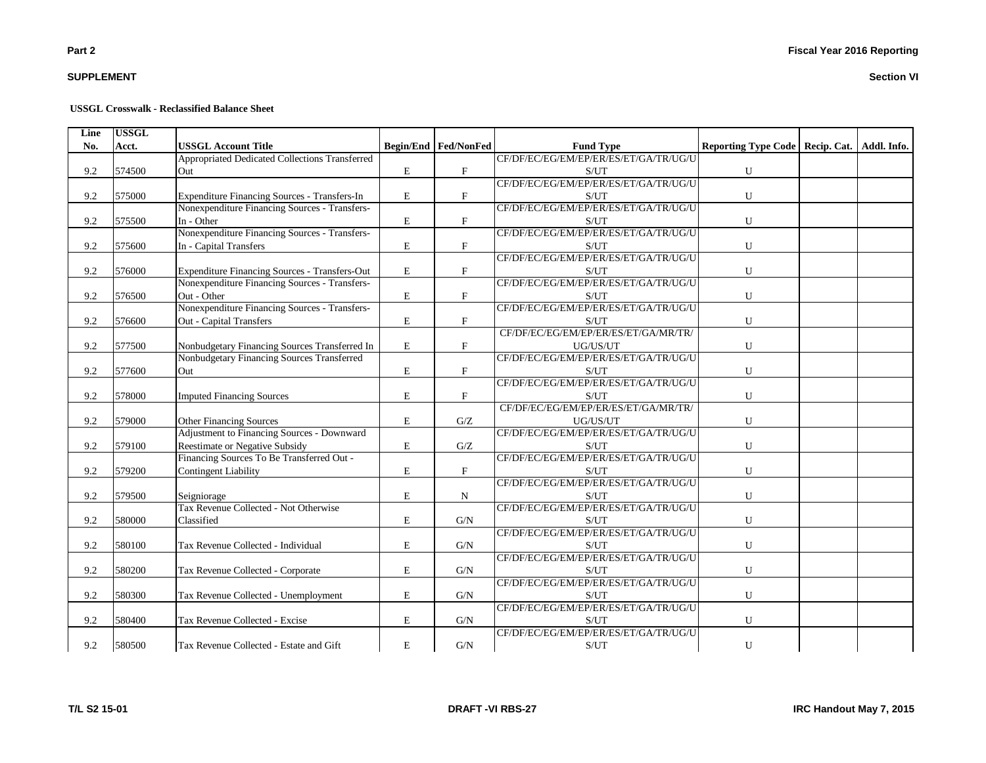# **SUPPLEMENT**

#### **USSGL Crosswalk - Reclassified Balance Sheet**

| Line | <b>USSGL</b> |                                                |             |                           |                                       |                                                 |  |
|------|--------------|------------------------------------------------|-------------|---------------------------|---------------------------------------|-------------------------------------------------|--|
| No.  | Acct.        | <b>USSGL Account Title</b>                     |             | Begin/End Fed/NonFed      | <b>Fund Type</b>                      | Reporting Type Code   Recip. Cat.   Addl. Info. |  |
|      |              | Appropriated Dedicated Collections Transferred |             |                           | CF/DF/EC/EG/EM/EP/ER/ES/ET/GA/TR/UG/U |                                                 |  |
| 9.2  | 574500       | Out                                            | $\mathbf E$ | $\boldsymbol{\mathrm{F}}$ | S/UT                                  | ${\bf U}$                                       |  |
|      |              |                                                |             |                           | CF/DF/EC/EG/EM/EP/ER/ES/ET/GA/TR/UG/U |                                                 |  |
| 9.2  | 575000       | Expenditure Financing Sources - Transfers-In   | $\mathbf E$ | $\mathbf{F}$              | S/UT                                  | ${\bf U}$                                       |  |
|      |              | Nonexpenditure Financing Sources - Transfers-  |             |                           | CF/DF/EC/EG/EM/EP/ER/ES/ET/GA/TR/UG/U |                                                 |  |
| 9.2  | 575500       | In - Other                                     | E           | $\mathbf F$               | S/UT                                  | U                                               |  |
|      |              | Nonexpenditure Financing Sources - Transfers-  |             |                           | CF/DF/EC/EG/EM/EP/ER/ES/ET/GA/TR/UG/U |                                                 |  |
| 9.2  | 575600       | In - Capital Transfers                         | ${\bf E}$   | $\mathbf{F}$              | S/UT                                  | ${\bf U}$                                       |  |
|      |              |                                                |             |                           | CF/DF/EC/EG/EM/EP/ER/ES/ET/GA/TR/UG/U |                                                 |  |
| 9.2  | 576000       | Expenditure Financing Sources - Transfers-Out  | $\mathbf E$ | $\mathbf F$               | S/UT                                  | ${\bf U}$                                       |  |
|      |              | Nonexpenditure Financing Sources - Transfers-  |             |                           | CF/DF/EC/EG/EM/EP/ER/ES/ET/GA/TR/UG/U |                                                 |  |
| 9.2  | 576500       | Out - Other                                    | $\mathbf E$ | $\mathbf F$               | S/UT                                  | ${\bf U}$                                       |  |
|      |              | Nonexpenditure Financing Sources - Transfers-  |             |                           | CF/DF/EC/EG/EM/EP/ER/ES/ET/GA/TR/UG/U |                                                 |  |
| 9.2  | 576600       | <b>Out - Capital Transfers</b>                 | $\mathbf E$ | $\mathbf{F}$              | S/UT                                  | $\mathbf U$                                     |  |
|      |              |                                                |             |                           | CF/DF/EC/EG/EM/EP/ER/ES/ET/GA/MR/TR/  |                                                 |  |
| 9.2  | 577500       | Nonbudgetary Financing Sources Transferred In  | $\mathbf E$ | $\boldsymbol{\mathrm{F}}$ | $UG/US/UT$                            | ${\bf U}$                                       |  |
|      |              | Nonbudgetary Financing Sources Transferred     |             |                           | CF/DF/EC/EG/EM/EP/ER/ES/ET/GA/TR/UG/U |                                                 |  |
| 9.2  | 577600       | Out                                            | ${\rm E}$   | $\boldsymbol{\mathrm{F}}$ | S/UT                                  | ${\bf U}$                                       |  |
|      |              |                                                |             |                           | CF/DF/EC/EG/EM/EP/ER/ES/ET/GA/TR/UG/U |                                                 |  |
| 9.2  | 578000       | <b>Imputed Financing Sources</b>               | ${\bf E}$   | $\boldsymbol{\mathrm{F}}$ | S/UT                                  | ${\bf U}$                                       |  |
|      |              |                                                |             |                           | CF/DF/EC/EG/EM/EP/ER/ES/ET/GA/MR/TR/  |                                                 |  |
| 9.2  | 579000       | <b>Other Financing Sources</b>                 | $\mathbf E$ | G/Z                       | UG/US/UT                              | ${\bf U}$                                       |  |
|      |              | Adjustment to Financing Sources - Downward     |             |                           | CF/DF/EC/EG/EM/EP/ER/ES/ET/GA/TR/UG/U |                                                 |  |
| 9.2  | 579100       | Reestimate or Negative Subsidy                 | E           | G/Z                       | S/UT                                  | ${\bf U}$                                       |  |
|      |              | Financing Sources To Be Transferred Out -      |             |                           | CF/DF/EC/EG/EM/EP/ER/ES/ET/GA/TR/UG/U |                                                 |  |
| 9.2  | 579200       | <b>Contingent Liability</b>                    | $\mathbf E$ | $\boldsymbol{\mathrm{F}}$ | S/UT                                  | ${\bf U}$                                       |  |
|      |              |                                                |             |                           | CF/DF/EC/EG/EM/EP/ER/ES/ET/GA/TR/UG/U |                                                 |  |
| 9.2  | 579500       | Seigniorage                                    | E           | $\mathbf N$               | S/UT                                  | ${\bf U}$                                       |  |
|      |              | Tax Revenue Collected - Not Otherwise          |             |                           | CF/DF/EC/EG/EM/EP/ER/ES/ET/GA/TR/UG/U |                                                 |  |
| 9.2  | 580000       | Classified                                     | $\mathbf E$ | G/N                       | S/UT                                  | ${\bf U}$                                       |  |
|      |              |                                                |             |                           | CF/DF/EC/EG/EM/EP/ER/ES/ET/GA/TR/UG/U |                                                 |  |
| 9.2  | 580100       | Tax Revenue Collected - Individual             | E           | G/N                       | S/UT                                  | $\mathbf U$                                     |  |
|      |              |                                                |             |                           | CF/DF/EC/EG/EM/EP/ER/ES/ET/GA/TR/UG/U |                                                 |  |
| 9.2  | 580200       | Tax Revenue Collected - Corporate              | E           | G/N                       | S/UT                                  | $\mathbf U$                                     |  |
|      |              |                                                |             |                           | CF/DF/EC/EG/EM/EP/ER/ES/ET/GA/TR/UG/U |                                                 |  |
| 9.2  | 580300       | Tax Revenue Collected - Unemployment           | E           | G/N                       | S/UT                                  | $\mathbf U$                                     |  |
|      |              |                                                |             |                           | CF/DF/EC/EG/EM/EP/ER/ES/ET/GA/TR/UG/U |                                                 |  |
| 9.2  | 580400       | Tax Revenue Collected - Excise                 | $\mathbf E$ | G/N                       | S/UT                                  | ${\bf U}$                                       |  |
|      |              |                                                |             |                           | CF/DF/EC/EG/EM/EP/ER/ES/ET/GA/TR/UG/U |                                                 |  |
| 9.2  | 580500       | Tax Revenue Collected - Estate and Gift        | ${\bf E}$   | ${\rm G/N}$               | S/UT                                  | ${\bf U}$                                       |  |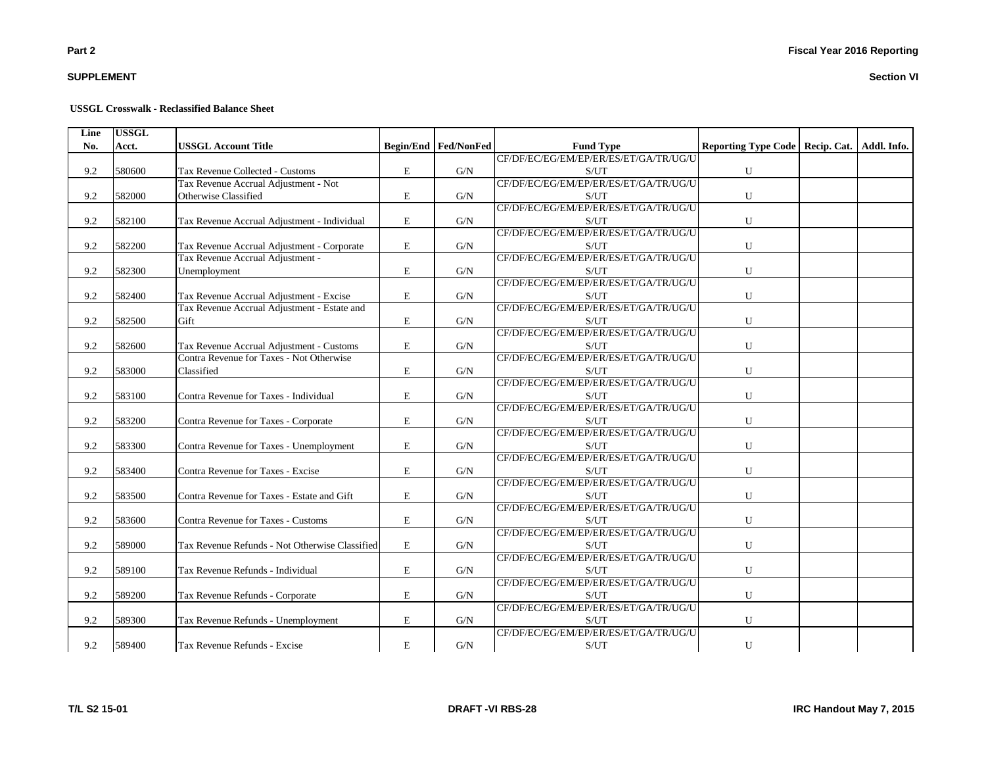# **SUPPLEMENT**

#### **USSGL Crosswalk - Reclassified Balance Sheet**

| Line | <b>USSGL</b> |                                                |   |                             |                                                    |                                                 |  |
|------|--------------|------------------------------------------------|---|-----------------------------|----------------------------------------------------|-------------------------------------------------|--|
| No.  | Acct.        | <b>USSGL Account Title</b>                     |   | <b>Begin/End Fed/NonFed</b> | <b>Fund Type</b>                                   | Reporting Type Code   Recip. Cat.   Addl. Info. |  |
|      |              |                                                |   |                             | CF/DF/EC/EG/EM/EP/ER/ES/ET/GA/TR/UG/U              |                                                 |  |
| 9.2  | 580600       | Tax Revenue Collected - Customs                | E | G/N                         | S/UT                                               | ${\bf U}$                                       |  |
|      |              | Tax Revenue Accrual Adjustment - Not           |   |                             | CF/DF/EC/EG/EM/EP/ER/ES/ET/GA/TR/UG/U              |                                                 |  |
| 9.2  | 582000       | Otherwise Classified                           | E | G/N                         | S/UT                                               | ${\bf U}$                                       |  |
|      |              |                                                |   |                             | CF/DF/EC/EG/EM/EP/ER/ES/ET/GA/TR/UG/U              |                                                 |  |
| 9.2  | 582100       | Tax Revenue Accrual Adjustment - Individual    | E | G/N                         | S/UT                                               | U                                               |  |
|      |              |                                                |   |                             | CF/DF/EC/EG/EM/EP/ER/ES/ET/GA/TR/UG/U              |                                                 |  |
| 9.2  | 582200       | Tax Revenue Accrual Adjustment - Corporate     | E | G/N                         | S/UT                                               | U                                               |  |
|      |              | Tax Revenue Accrual Adjustment -               |   |                             | CF/DF/EC/EG/EM/EP/ER/ES/ET/GA/TR/UG/U              |                                                 |  |
| 9.2  | 582300       | Unemployment                                   | E | G/N                         | S/UT                                               | U                                               |  |
|      |              |                                                |   |                             | CF/DF/EC/EG/EM/EP/ER/ES/ET/GA/TR/UG/U              |                                                 |  |
| 9.2  | 582400       | Tax Revenue Accrual Adjustment - Excise        | E | G/N                         | S/UT                                               | U                                               |  |
|      |              | Tax Revenue Accrual Adjustment - Estate and    |   |                             | CF/DF/EC/EG/EM/EP/ER/ES/ET/GA/TR/UG/U              |                                                 |  |
| 9.2  | 582500       | Gift                                           | E | G/N                         | S/UT                                               | ${\bf U}$                                       |  |
|      |              |                                                |   |                             | CF/DF/EC/EG/EM/EP/ER/ES/ET/GA/TR/UG/U              |                                                 |  |
| 9.2  | 582600       | Tax Revenue Accrual Adjustment - Customs       | E | G/N                         | S/UT                                               | U                                               |  |
|      |              | Contra Revenue for Taxes - Not Otherwise       |   |                             | CF/DF/EC/EG/EM/EP/ER/ES/ET/GA/TR/UG/U              |                                                 |  |
| 9.2  | 583000       | Classified                                     | E | G/N                         | S/UT                                               | U                                               |  |
|      |              |                                                |   |                             | CF/DF/EC/EG/EM/EP/ER/ES/ET/GA/TR/UG/U              |                                                 |  |
| 9.2  | 583100       | Contra Revenue for Taxes - Individual          | E | G/N                         | S/UT                                               | ${\bf U}$                                       |  |
|      |              |                                                |   |                             | CF/DF/EC/EG/EM/EP/ER/ES/ET/GA/TR/UG/U              |                                                 |  |
| 9.2  | 583200       | Contra Revenue for Taxes - Corporate           | E | G/N                         | $\ensuremath{\mathrm{S}}/\ensuremath{\mathrm{UT}}$ | U                                               |  |
|      |              |                                                |   |                             | CF/DF/EC/EG/EM/EP/ER/ES/ET/GA/TR/UG/U              |                                                 |  |
| 9.2  | 583300       | Contra Revenue for Taxes - Unemployment        | E | G/N                         | S/UT                                               | U                                               |  |
|      |              |                                                |   |                             | CF/DF/EC/EG/EM/EP/ER/ES/ET/GA/TR/UG/U              |                                                 |  |
| 9.2  | 583400       | Contra Revenue for Taxes - Excise              | E | G/N                         | S/UT                                               | U                                               |  |
|      |              |                                                |   |                             | CF/DF/EC/EG/EM/EP/ER/ES/ET/GA/TR/UG/U              |                                                 |  |
| 9.2  | 583500       | Contra Revenue for Taxes - Estate and Gift     | E | G/N                         | S/UT                                               | U                                               |  |
|      |              |                                                |   |                             | CF/DF/EC/EG/EM/EP/ER/ES/ET/GA/TR/UG/U              |                                                 |  |
| 9.2  | 583600       | Contra Revenue for Taxes - Customs             | E | G/N                         | S/UT                                               | U                                               |  |
|      |              |                                                |   |                             | CF/DF/EC/EG/EM/EP/ER/ES/ET/GA/TR/UG/U              |                                                 |  |
| 9.2  | 589000       | Tax Revenue Refunds - Not Otherwise Classified | E | G/N                         | S/UT                                               | U                                               |  |
|      |              |                                                |   |                             | CF/DF/EC/EG/EM/EP/ER/ES/ET/GA/TR/UG/U              |                                                 |  |
| 9.2  | 589100       | Tax Revenue Refunds - Individual               | E | G/N                         | S/UT                                               | U                                               |  |
|      |              |                                                |   |                             | CF/DF/EC/EG/EM/EP/ER/ES/ET/GA/TR/UG/U              |                                                 |  |
| 9.2  | 589200       | Tax Revenue Refunds - Corporate                | E | G/N                         | S/UT                                               | ${\bf U}$                                       |  |
|      |              |                                                |   |                             | CF/DF/EC/EG/EM/EP/ER/ES/ET/GA/TR/UG/U              |                                                 |  |
| 9.2  | 589300       |                                                | E | G/N                         | S/UT                                               | U                                               |  |
|      |              | Tax Revenue Refunds - Unemployment             |   |                             |                                                    |                                                 |  |
|      |              |                                                |   |                             | CF/DF/EC/EG/EM/EP/ER/ES/ET/GA/TR/UG/U              |                                                 |  |
| 9.2  | 589400       | Tax Revenue Refunds - Excise                   | E | G/N                         | S/UT                                               | U                                               |  |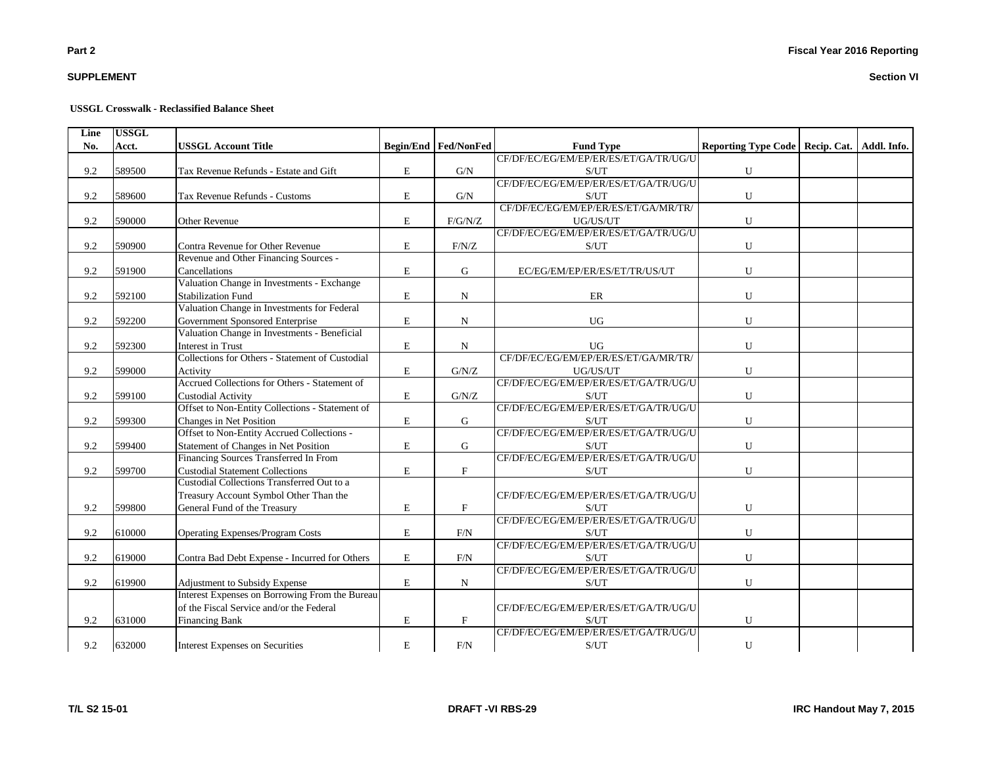# **SUPPLEMENT**

#### **USSGL Crosswalk - Reclassified Balance Sheet**

| Line | <b>USSGL</b> |                                                 |             |                             |                                                    |                                                 |  |
|------|--------------|-------------------------------------------------|-------------|-----------------------------|----------------------------------------------------|-------------------------------------------------|--|
| No.  | Acct.        | <b>USSGL Account Title</b>                      |             | <b>Begin/End Fed/NonFed</b> | <b>Fund Type</b>                                   | Reporting Type Code   Recip. Cat.   Addl. Info. |  |
|      |              |                                                 |             |                             | CF/DF/EC/EG/EM/EP/ER/ES/ET/GA/TR/UG/U              |                                                 |  |
| 9.2  | 589500       | Tax Revenue Refunds - Estate and Gift           | E           | G/N                         | S/UT                                               | ${\bf U}$                                       |  |
|      |              |                                                 |             |                             | CF/DF/EC/EG/EM/EP/ER/ES/ET/GA/TR/UG/U              |                                                 |  |
| 9.2  | 589600       | Tax Revenue Refunds - Customs                   | E           | G/N                         | S/UT                                               | ${\bf U}$                                       |  |
|      |              |                                                 |             |                             | CF/DF/EC/EG/EM/EP/ER/ES/ET/GA/MR/TR/               |                                                 |  |
| 9.2  | 590000       | <b>Other Revenue</b>                            | E           | F/G/N/Z                     | UG/US/UT                                           | U                                               |  |
|      |              |                                                 |             |                             | CF/DF/EC/EG/EM/EP/ER/ES/ET/GA/TR/UG/U              |                                                 |  |
| 9.2  | 590900       | Contra Revenue for Other Revenue                | E           | $\rm F/N/Z$                 | S/UT                                               | U                                               |  |
|      |              | Revenue and Other Financing Sources -           |             |                             |                                                    |                                                 |  |
| 9.2  | 591900       | Cancellations                                   | E           | G                           | EC/EG/EM/EP/ER/ES/ET/TR/US/UT                      | U                                               |  |
|      |              | Valuation Change in Investments - Exchange      |             |                             |                                                    |                                                 |  |
| 9.2  | 592100       | <b>Stabilization Fund</b>                       | E           | N                           | ER                                                 | U                                               |  |
|      |              | Valuation Change in Investments for Federal     |             |                             |                                                    |                                                 |  |
| 9.2  | 592200       | Government Sponsored Enterprise                 | $\bf E$     | N                           | <b>UG</b>                                          | U                                               |  |
|      |              | Valuation Change in Investments - Beneficial    |             |                             |                                                    |                                                 |  |
| 9.2  | 592300       | Interest in Trust                               | E           | N                           | <b>UG</b>                                          | U                                               |  |
|      |              | Collections for Others - Statement of Custodial |             |                             | CF/DF/EC/EG/EM/EP/ER/ES/ET/GA/MR/TR/               |                                                 |  |
| 9.2  | 599000       | Activity                                        | E           | G/N/Z                       | UG/US/UT                                           | ${\bf U}$                                       |  |
|      |              | Accrued Collections for Others - Statement of   |             |                             | CF/DF/EC/EG/EM/EP/ER/ES/ET/GA/TR/UG/U              |                                                 |  |
| 9.2  | 599100       | <b>Custodial Activity</b>                       | E           | G/N/Z                       | S/UT                                               | U                                               |  |
|      |              | Offset to Non-Entity Collections - Statement of |             |                             | CF/DF/EC/EG/EM/EP/ER/ES/ET/GA/TR/UG/U              |                                                 |  |
| 9.2  | 599300       | Changes in Net Position                         | E           | G                           | $\ensuremath{\mathrm{S}}/\ensuremath{\mathrm{UT}}$ | ${\bf U}$                                       |  |
|      |              | Offset to Non-Entity Accrued Collections -      |             |                             | CF/DF/EC/EG/EM/EP/ER/ES/ET/GA/TR/UG/U              |                                                 |  |
| 9.2  | 599400       | Statement of Changes in Net Position            | E           | G                           | S/UT                                               | U                                               |  |
|      |              | Financing Sources Transferred In From           |             |                             | CF/DF/EC/EG/EM/EP/ER/ES/ET/GA/TR/UG/U              |                                                 |  |
| 9.2  | 599700       | <b>Custodial Statement Collections</b>          | E           | $\mathbf{F}$                | S/UT                                               | U                                               |  |
|      |              | Custodial Collections Transferred Out to a      |             |                             |                                                    |                                                 |  |
|      |              | Treasury Account Symbol Other Than the          |             |                             | CF/DF/EC/EG/EM/EP/ER/ES/ET/GA/TR/UG/U              |                                                 |  |
| 9.2  | 599800       | General Fund of the Treasury                    | E           | $\mathbf{F}$                | $\ensuremath{\mathrm{S}}/\ensuremath{\mathrm{UT}}$ | U                                               |  |
|      |              |                                                 |             |                             | CF/DF/EC/EG/EM/EP/ER/ES/ET/GA/TR/UG/U              |                                                 |  |
| 9.2  | 610000       | Operating Expenses/Program Costs                | E           | F/N                         | $\ensuremath{\mathrm{S}}/\ensuremath{\mathrm{UT}}$ | ${\bf U}$                                       |  |
|      |              |                                                 |             |                             | CF/DF/EC/EG/EM/EP/ER/ES/ET/GA/TR/UG/U              |                                                 |  |
| 9.2  | 619000       | Contra Bad Debt Expense - Incurred for Others   | E           | F/N                         | S/UT                                               | U                                               |  |
|      |              |                                                 |             |                             | CF/DF/EC/EG/EM/EP/ER/ES/ET/GA/TR/UG/U              |                                                 |  |
| 9.2  | 619900       | Adjustment to Subsidy Expense                   | $\mathbf E$ | N                           | S/UT                                               | U                                               |  |
|      |              | Interest Expenses on Borrowing From the Bureau  |             |                             |                                                    |                                                 |  |
|      |              | of the Fiscal Service and/or the Federal        |             |                             | CF/DF/EC/EG/EM/EP/ER/ES/ET/GA/TR/UG/U              |                                                 |  |
| 9.2  | 631000       | <b>Financing Bank</b>                           | E           | $\boldsymbol{\mathrm{F}}$   | S/UT                                               | U                                               |  |
|      |              |                                                 |             |                             | CF/DF/EC/EG/EM/EP/ER/ES/ET/GA/TR/UG/U              |                                                 |  |
| 9.2  | 632000       | Interest Expenses on Securities                 | ${\bf E}$   | F/N                         | $\ensuremath{\mathrm{S}}/\ensuremath{\mathrm{UT}}$ | ${\bf U}$                                       |  |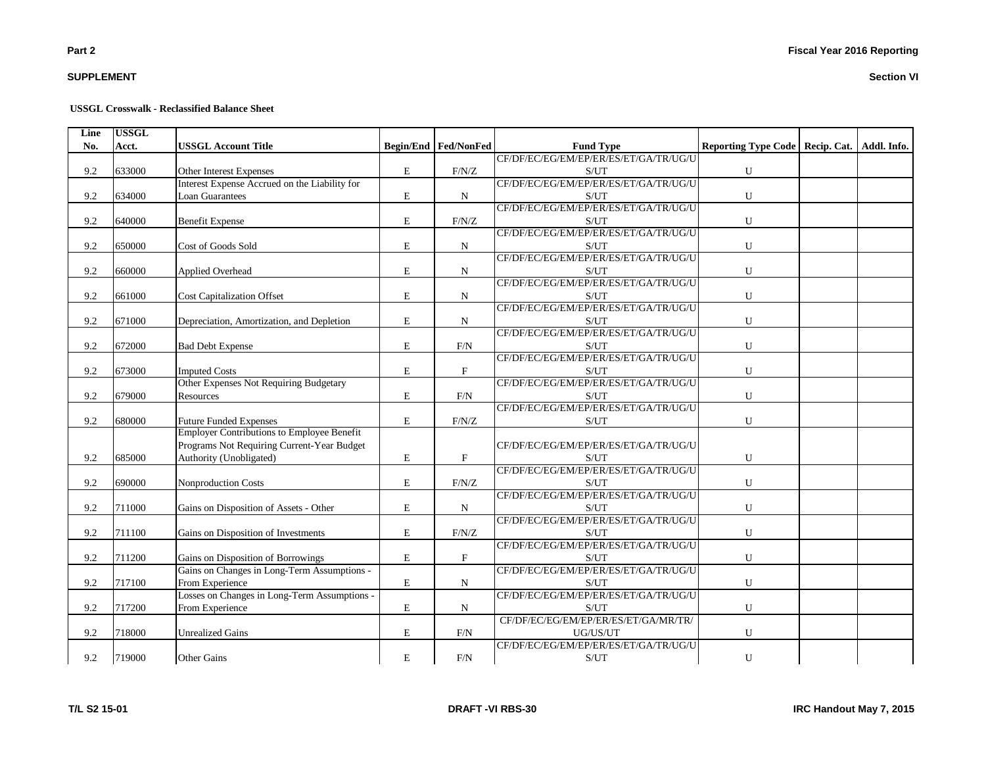# **SUPPLEMENT**

#### **USSGL Crosswalk - Reclassified Balance Sheet**

| Line | <b>USSGL</b> |                                               |             |                             |                                                    |                                                 |  |
|------|--------------|-----------------------------------------------|-------------|-----------------------------|----------------------------------------------------|-------------------------------------------------|--|
| No.  | Acct.        | <b>USSGL Account Title</b>                    |             | <b>Begin/End Fed/NonFed</b> | <b>Fund Type</b>                                   | Reporting Type Code   Recip. Cat.   Addl. Info. |  |
|      |              |                                               |             |                             | CF/DF/EC/EG/EM/EP/ER/ES/ET/GA/TR/UG/U              |                                                 |  |
| 9.2  | 633000       | Other Interest Expenses                       | E           | F/N/Z                       | S/UT                                               | ${\bf U}$                                       |  |
|      |              | Interest Expense Accrued on the Liability for |             |                             | CF/DF/EC/EG/EM/EP/ER/ES/ET/GA/TR/UG/U              |                                                 |  |
| 9.2  | 634000       | <b>Loan Guarantees</b>                        | $\mathbf E$ | $\mathbf N$                 | S/UT                                               | ${\bf U}$                                       |  |
|      |              |                                               |             |                             | CF/DF/EC/EG/EM/EP/ER/ES/ET/GA/TR/UG/U              |                                                 |  |
| 9.2  | 640000       | <b>Benefit Expense</b>                        | E           | F/N/Z                       | S/UT                                               | U                                               |  |
|      |              |                                               |             |                             | CF/DF/EC/EG/EM/EP/ER/ES/ET/GA/TR/UG/U              |                                                 |  |
| 9.2  | 650000       | Cost of Goods Sold                            | $\mathbf E$ | ${\bf N}$                   | S/UT                                               | U                                               |  |
|      |              |                                               |             |                             | CF/DF/EC/EG/EM/EP/ER/ES/ET/GA/TR/UG/U              |                                                 |  |
| 9.2  | 660000       | Applied Overhead                              | E           | $\mathbf N$                 | S/UT                                               | U                                               |  |
|      |              |                                               |             |                             | CF/DF/EC/EG/EM/EP/ER/ES/ET/GA/TR/UG/U              |                                                 |  |
| 9.2  | 661000       | <b>Cost Capitalization Offset</b>             | $\mathbf E$ | $\mathbf N$                 | S/UT                                               | ${\bf U}$                                       |  |
|      |              |                                               |             |                             | CF/DF/EC/EG/EM/EP/ER/ES/ET/GA/TR/UG/U              |                                                 |  |
| 9.2  | 671000       | Depreciation, Amortization, and Depletion     | E           | $\mathbf N$                 | S/UT                                               | U                                               |  |
|      |              |                                               |             |                             | CF/DF/EC/EG/EM/EP/ER/ES/ET/GA/TR/UG/U              |                                                 |  |
| 9.2  | 672000       | <b>Bad Debt Expense</b>                       | E           | F/N                         | S/UT                                               | ${\bf U}$                                       |  |
|      |              |                                               |             |                             | CF/DF/EC/EG/EM/EP/ER/ES/ET/GA/TR/UG/U              |                                                 |  |
| 9.2  | 673000       | <b>Imputed Costs</b>                          | $\mathbf E$ | $\mathbf F$                 | S/UT                                               | U                                               |  |
|      |              | Other Expenses Not Requiring Budgetary        |             |                             | CF/DF/EC/EG/EM/EP/ER/ES/ET/GA/TR/UG/U              |                                                 |  |
| 9.2  | 679000       | Resources                                     | E           | F/N                         | S/UT                                               | ${\bf U}$                                       |  |
|      |              |                                               |             |                             | CF/DF/EC/EG/EM/EP/ER/ES/ET/GA/TR/UG/U              |                                                 |  |
| 9.2  | 680000       | <b>Future Funded Expenses</b>                 | $\mathbf E$ | F/N/Z                       | S/UT                                               | U                                               |  |
|      |              | Employer Contributions to Employee Benefit    |             |                             |                                                    |                                                 |  |
|      |              | Programs Not Requiring Current-Year Budget    |             |                             | CF/DF/EC/EG/EM/EP/ER/ES/ET/GA/TR/UG/U              |                                                 |  |
| 9.2  | 685000       | Authority (Unobligated)                       | ${\bf E}$   | $\mathbf F$                 | S/UT                                               | ${\bf U}$                                       |  |
|      |              |                                               |             |                             | CF/DF/EC/EG/EM/EP/ER/ES/ET/GA/TR/UG/U              |                                                 |  |
| 9.2  | 690000       | Nonproduction Costs                           | ${\rm E}$   | F/N/Z                       | S/UT                                               | ${\bf U}$                                       |  |
|      |              |                                               |             |                             | CF/DF/EC/EG/EM/EP/ER/ES/ET/GA/TR/UG/U              |                                                 |  |
| 9.2  | 711000       | Gains on Disposition of Assets - Other        | E           | ${\bf N}$                   | S/UT                                               | U                                               |  |
|      |              |                                               |             |                             | CF/DF/EC/EG/EM/EP/ER/ES/ET/GA/TR/UG/U              |                                                 |  |
| 9.2  | 711100       | Gains on Disposition of Investments           | E           | $\rm F/N/Z$                 | S/UT                                               | U                                               |  |
|      |              |                                               |             |                             | CF/DF/EC/EG/EM/EP/ER/ES/ET/GA/TR/UG/U              |                                                 |  |
| 9.2  | 711200       | Gains on Disposition of Borrowings            | ${\rm E}$   | $\mathbf F$                 | S/UT                                               | ${\bf U}$                                       |  |
|      |              | Gains on Changes in Long-Term Assumptions -   |             |                             | CF/DF/EC/EG/EM/EP/ER/ES/ET/GA/TR/UG/U              |                                                 |  |
| 9.2  | 717100       | From Experience                               | E           | N                           | S/UT                                               | ${\bf U}$                                       |  |
|      |              | Losses on Changes in Long-Term Assumptions -  |             |                             | CF/DF/EC/EG/EM/EP/ER/ES/ET/GA/TR/UG/U              |                                                 |  |
| 9.2  | 717200       | From Experience                               | $\mathbf E$ | $\mathbf N$                 | S/UT                                               | U                                               |  |
|      |              |                                               |             |                             | CF/DF/EC/EG/EM/EP/ER/ES/ET/GA/MR/TR/               |                                                 |  |
| 9.2  | 718000       | <b>Unrealized Gains</b>                       | E           | F/N                         | UG/US/UT                                           | U                                               |  |
|      |              |                                               |             |                             | CF/DF/EC/EG/EM/EP/ER/ES/ET/GA/TR/UG/U              |                                                 |  |
| 9.2  | 719000       | Other Gains                                   | ${\bf E}$   | F/N                         | $\ensuremath{\mathrm{S}}/\ensuremath{\mathrm{UT}}$ | ${\bf U}$                                       |  |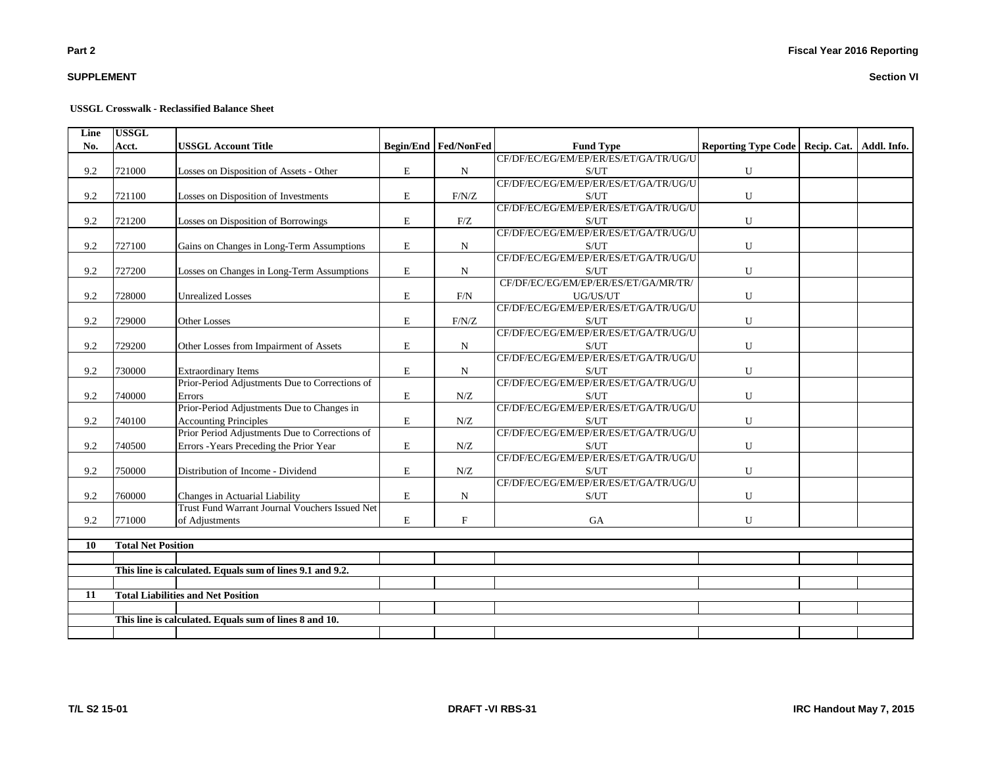# **SUPPLEMENT**

#### **USSGL Crosswalk - Reclassified Balance Sheet**

| Line | <b>USSGL</b>              |                                                                                  |             |                           |                                                    |                                   |             |
|------|---------------------------|----------------------------------------------------------------------------------|-------------|---------------------------|----------------------------------------------------|-----------------------------------|-------------|
| No.  | Acct.                     | <b>USSGL Account Title</b>                                                       |             | Begin/End Fed/NonFed      | <b>Fund Type</b>                                   | Reporting Type Code   Recip. Cat. | Addl. Info. |
|      |                           |                                                                                  |             |                           | CF/DF/EC/EG/EM/EP/ER/ES/ET/GA/TR/UG/U              |                                   |             |
| 9.2  | 721000                    | Losses on Disposition of Assets - Other                                          | E           | ${\bf N}$                 | S/UT                                               | U                                 |             |
|      |                           |                                                                                  |             |                           | CF/DF/EC/EG/EM/EP/ER/ES/ET/GA/TR/UG/U              |                                   |             |
| 9.2  | 721100                    | Losses on Disposition of Investments                                             | $\mathbf E$ | F/N/Z                     | S/UT                                               | U                                 |             |
|      |                           |                                                                                  |             |                           | CF/DF/EC/EG/EM/EP/ER/ES/ET/GA/TR/UG/U              |                                   |             |
| 9.2  | 721200                    | Losses on Disposition of Borrowings                                              | $\mathbf E$ | F/Z                       | $\ensuremath{\mathrm{S}}/\ensuremath{\mathrm{UT}}$ | U                                 |             |
|      |                           |                                                                                  |             |                           | CF/DF/EC/EG/EM/EP/ER/ES/ET/GA/TR/UG/U              |                                   |             |
| 9.2  | 727100                    | Gains on Changes in Long-Term Assumptions                                        | E           | $\mathbf N$               | S/UT                                               | U                                 |             |
|      |                           |                                                                                  |             |                           | CF/DF/EC/EG/EM/EP/ER/ES/ET/GA/TR/UG/U              |                                   |             |
| 9.2  | 727200                    | Losses on Changes in Long-Term Assumptions                                       | E           | $\mathbf N$               | S/UT                                               | U                                 |             |
|      |                           |                                                                                  |             |                           | CF/DF/EC/EG/EM/EP/ER/ES/ET/GA/MR/TR/               |                                   |             |
| 9.2  | 728000                    | <b>Unrealized Losses</b>                                                         | $\mathbf E$ | F/N                       | UG/US/UT                                           | U                                 |             |
|      |                           |                                                                                  |             |                           | CF/DF/EC/EG/EM/EP/ER/ES/ET/GA/TR/UG/U              |                                   |             |
| 9.2  | 729000                    | Other Losses                                                                     | ${\bf E}$   | F/N/Z                     | S/UT                                               | U                                 |             |
|      |                           |                                                                                  |             |                           | CF/DF/EC/EG/EM/EP/ER/ES/ET/GA/TR/UG/U              |                                   |             |
| 9.2  | 729200                    | Other Losses from Impairment of Assets                                           | $\mathbf E$ | N                         | S/UT                                               | U                                 |             |
|      |                           |                                                                                  |             |                           | CF/DF/EC/EG/EM/EP/ER/ES/ET/GA/TR/UG/U              |                                   |             |
| 9.2  | 730000                    | <b>Extraordinary Items</b>                                                       | $\mathbf E$ | $\mathbf N$               | S/UT                                               | U                                 |             |
|      |                           | Prior-Period Adjustments Due to Corrections of                                   |             |                           | CF/DF/EC/EG/EM/EP/ER/ES/ET/GA/TR/UG/U              |                                   |             |
| 9.2  | 740000                    | Errors                                                                           | $\mathbf E$ | N/Z                       | S/UT                                               | U                                 |             |
|      |                           | Prior-Period Adjustments Due to Changes in                                       |             |                           | CF/DF/EC/EG/EM/EP/ER/ES/ET/GA/TR/UG/U              |                                   |             |
| 9.2  | 740100                    | <b>Accounting Principles</b>                                                     | E           | N/Z                       | S/UT<br>CF/DF/EC/EG/EM/EP/ER/ES/ET/GA/TR/UG/U      | U                                 |             |
|      |                           | Prior Period Adjustments Due to Corrections of                                   |             |                           |                                                    |                                   |             |
| 9.2  | 740500                    | Errors - Years Preceding the Prior Year                                          | $\mathbf E$ | N/Z                       | S/UT<br>CF/DF/EC/EG/EM/EP/ER/ES/ET/GA/TR/UG/U      | U                                 |             |
|      |                           |                                                                                  |             |                           |                                                    |                                   |             |
| 9.2  | 750000                    | Distribution of Income - Dividend                                                | $\mathbf E$ | N/Z                       | S/UT<br>CF/DF/EC/EG/EM/EP/ER/ES/ET/GA/TR/UG/U      | ${\bf U}$                         |             |
|      |                           |                                                                                  |             |                           |                                                    |                                   |             |
| 9.2  | 760000                    | Changes in Actuarial Liability<br>Trust Fund Warrant Journal Vouchers Issued Net | $\mathbf E$ | $\mathbf N$               | S/UT                                               | U                                 |             |
| 9.2  | 771000                    |                                                                                  | E           | $\boldsymbol{\mathrm{F}}$ | GA                                                 | U                                 |             |
|      |                           | of Adjustments                                                                   |             |                           |                                                    |                                   |             |
| 10   | <b>Total Net Position</b> |                                                                                  |             |                           |                                                    |                                   |             |
|      |                           |                                                                                  |             |                           |                                                    |                                   |             |
|      |                           | This line is calculated. Equals sum of lines 9.1 and 9.2.                        |             |                           |                                                    |                                   |             |
|      |                           |                                                                                  |             |                           |                                                    |                                   |             |
| 11   |                           | <b>Total Liabilities and Net Position</b>                                        |             |                           |                                                    |                                   |             |
|      |                           |                                                                                  |             |                           |                                                    |                                   |             |
|      |                           | This line is calculated. Equals sum of lines 8 and 10.                           |             |                           |                                                    |                                   |             |
|      |                           |                                                                                  |             |                           |                                                    |                                   |             |
|      |                           |                                                                                  |             |                           |                                                    |                                   |             |